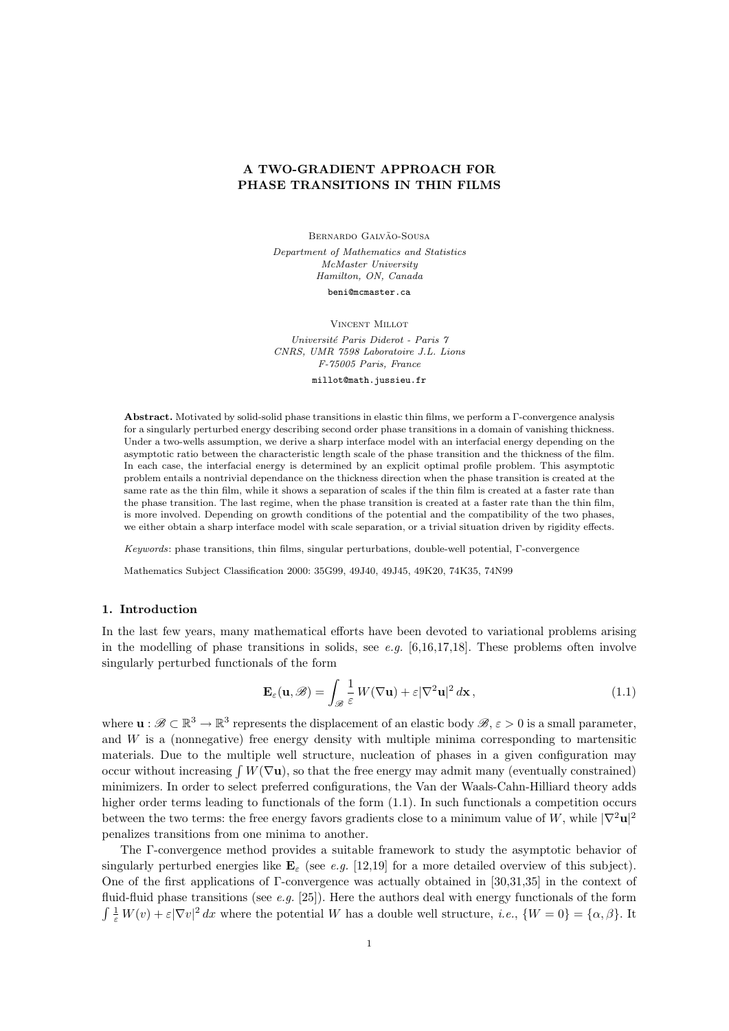# A TWO-GRADIENT APPROACH FOR PHASE TRANSITIONS IN THIN FILMS

BERNARDO GALVÃO-SOUSA Department of Mathematics and Statistics McMaster University Hamilton, ON, Canada beni@mcmaster.ca

Vincent Millot

Université Paris Diderot - Paris 7 CNRS, UMR 7598 Laboratoire J.L. Lions F-75005 Paris, France

millot@math.jussieu.fr

Abstract. Motivated by solid-solid phase transitions in elastic thin films, we perform a Γ-convergence analysis for a singularly perturbed energy describing second order phase transitions in a domain of vanishing thickness. Under a two-wells assumption, we derive a sharp interface model with an interfacial energy depending on the asymptotic ratio between the characteristic length scale of the phase transition and the thickness of the film. In each case, the interfacial energy is determined by an explicit optimal profile problem. This asymptotic problem entails a nontrivial dependance on the thickness direction when the phase transition is created at the same rate as the thin film, while it shows a separation of scales if the thin film is created at a faster rate than the phase transition. The last regime, when the phase transition is created at a faster rate than the thin film, is more involved. Depending on growth conditions of the potential and the compatibility of the two phases, we either obtain a sharp interface model with scale separation, or a trivial situation driven by rigidity effects.

Keywords: phase transitions, thin films, singular perturbations, double-well potential, Γ-convergence

Mathematics Subject Classification 2000: 35G99, 49J40, 49J45, 49K20, 74K35, 74N99

# 1. Introduction

In the last few years, many mathematical efforts have been devoted to variational problems arising in the modelling of phase transitions in solids, see e.g.  $[6,16,17,18]$ . These problems often involve singularly perturbed functionals of the form

$$
\mathbf{E}_{\varepsilon}(\mathbf{u}, \mathscr{B}) = \int_{\mathscr{B}} \frac{1}{\varepsilon} W(\nabla \mathbf{u}) + \varepsilon |\nabla^2 \mathbf{u}|^2 d\mathbf{x},
$$
\n(1.1)

where  $\mathbf{u}: \mathscr{B} \subset \mathbb{R}^3 \to \mathbb{R}^3$  represents the displacement of an elastic body  $\mathscr{B}, \varepsilon > 0$  is a small parameter, and  $W$  is a (nonnegative) free energy density with multiple minima corresponding to martensitic materials. Due to the multiple well structure, nucleation of phases in a given configuration may occur without increasing  $\int W(\nabla \mathbf{u})$ , so that the free energy may admit many (eventually constrained) minimizers. In order to select preferred configurations, the Van der Waals-Cahn-Hilliard theory adds higher order terms leading to functionals of the form  $(1.1)$ . In such functionals a competition occurs between the two terms: the free energy favors gradients close to a minimum value of W, while  $|\nabla^2 \mathbf{u}|^2$ penalizes transitions from one minima to another.

The Γ-convergence method provides a suitable framework to study the asymptotic behavior of singularly perturbed energies like  $\mathbf{E}_{\varepsilon}$  (see e.g. [12,19] for a more detailed overview of this subject). One of the first applications of Γ-convergence was actually obtained in [30,31,35] in the context of fluid-fluid phase transitions (see e.g. [25]). Here the authors deal with energy functionals of the form  $\int \frac{1}{\varepsilon} W(v) + \varepsilon |\nabla v|^2 dx$  where the potential W has a double well structure, *i.e.*,  $\{W = 0\} = \{\alpha, \beta\}$ . It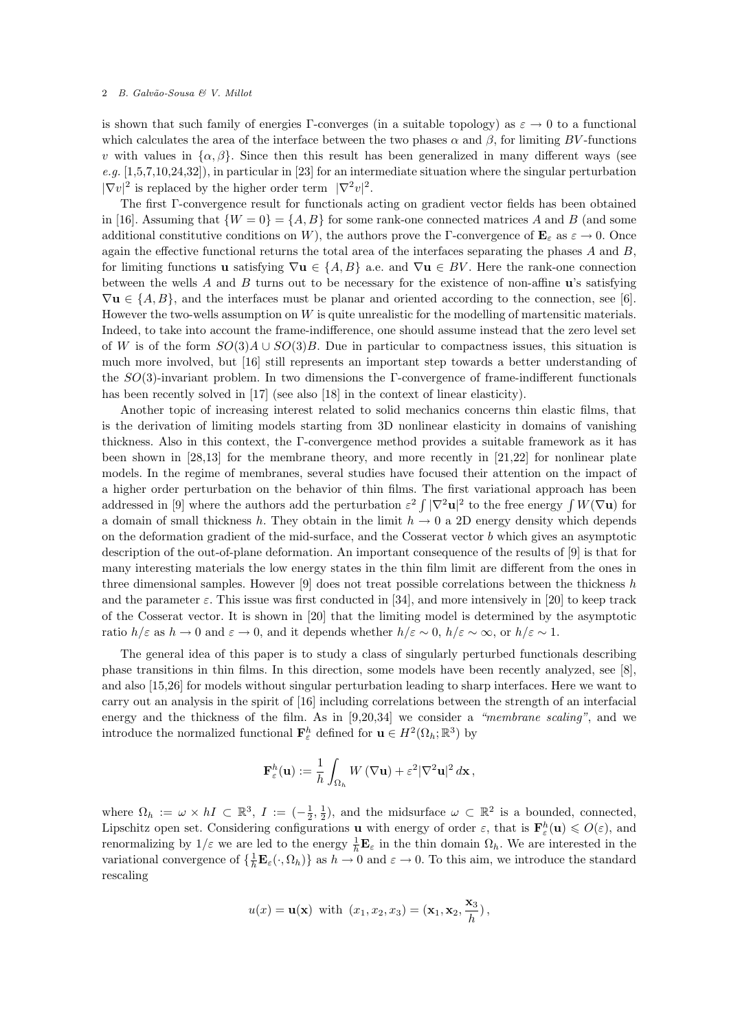is shown that such family of energies Γ-converges (in a suitable topology) as  $\varepsilon \to 0$  to a functional which calculates the area of the interface between the two phases  $\alpha$  and  $\beta$ , for limiting BV-functions v with values in  $\{\alpha,\beta\}$ . Since then this result has been generalized in many different ways (see e.g.  $[1,5,7,10,24,32]$ , in particular in [23] for an intermediate situation where the singular perturbation  $|\nabla v|^2$  is replaced by the higher order term  $|\nabla^2 v|^2$ .

The first Γ-convergence result for functionals acting on gradient vector fields has been obtained in [16]. Assuming that  $\{W = 0\} = \{A, B\}$  for some rank-one connected matrices A and B (and some additional constitutive conditions on W), the authors prove the Γ-convergence of  $\mathbf{E}_{\varepsilon}$  as  $\varepsilon \to 0$ . Once again the effective functional returns the total area of the interfaces separating the phases  $A$  and  $B$ , for limiting functions u satisfying  $\nabla$ u ∈ {A, B} a.e. and  $\nabla$ u ∈ BV. Here the rank-one connection between the wells A and B turns out to be necessary for the existence of non-affine  $\bf{u}$ 's satisfying  $\nabla$ **u**  $\in \{A, B\}$ , and the interfaces must be planar and oriented according to the connection, see [6]. However the two-wells assumption on W is quite unrealistic for the modelling of martensitic materials. Indeed, to take into account the frame-indifference, one should assume instead that the zero level set of W is of the form  $SO(3)A \cup SO(3)B$ . Due in particular to compactness issues, this situation is much more involved, but [16] still represents an important step towards a better understanding of the SO(3)-invariant problem. In two dimensions the Γ-convergence of frame-indifferent functionals has been recently solved in [17] (see also [18] in the context of linear elasticity).

Another topic of increasing interest related to solid mechanics concerns thin elastic films, that is the derivation of limiting models starting from 3D nonlinear elasticity in domains of vanishing thickness. Also in this context, the Γ-convergence method provides a suitable framework as it has been shown in [28,13] for the membrane theory, and more recently in [21,22] for nonlinear plate models. In the regime of membranes, several studies have focused their attention on the impact of a higher order perturbation on the behavior of thin films. The first variational approach has been addressed in [9] where the authors add the perturbation  $\varepsilon^2 \int |\nabla^2 \mathbf{u}|^2$  to the free energy  $\int W(\nabla \mathbf{u})$  for a domain of small thickness h. They obtain in the limit  $h \to 0$  a 2D energy density which depends on the deformation gradient of the mid-surface, and the Cosserat vector  $b$  which gives an asymptotic description of the out-of-plane deformation. An important consequence of the results of [9] is that for many interesting materials the low energy states in the thin film limit are different from the ones in three dimensional samples. However  $[9]$  does not treat possible correlations between the thickness h and the parameter  $\varepsilon$ . This issue was first conducted in [34], and more intensively in [20] to keep track of the Cosserat vector. It is shown in [20] that the limiting model is determined by the asymptotic ratio  $h/\varepsilon$  as  $h \to 0$  and  $\varepsilon \to 0$ , and it depends whether  $h/\varepsilon \sim 0$ ,  $h/\varepsilon \sim \infty$ , or  $h/\varepsilon \sim 1$ .

The general idea of this paper is to study a class of singularly perturbed functionals describing phase transitions in thin films. In this direction, some models have been recently analyzed, see [8], and also [15,26] for models without singular perturbation leading to sharp interfaces. Here we want to carry out an analysis in the spirit of [16] including correlations between the strength of an interfacial energy and the thickness of the film. As in  $[9,20,34]$  we consider a "membrane scaling", and we introduce the normalized functional  $\mathbf{F}_{\varepsilon}^{h}$  defined for  $\mathbf{u} \in H^{2}(\Omega_{h}; \mathbb{R}^{3})$  by

$$
\mathbf{F}_{\varepsilon}^{h}(\mathbf{u}) := \frac{1}{h} \int_{\Omega_h} W(\nabla \mathbf{u}) + \varepsilon^2 |\nabla^2 \mathbf{u}|^2 d\mathbf{x},
$$

where  $\Omega_h := \omega \times hI \subset \mathbb{R}^3$ ,  $I := \left(-\frac{1}{2}, \frac{1}{2}\right)$ , and the midsurface  $\omega \subset \mathbb{R}^2$  is a bounded, connected, Lipschitz open set. Considering configurations **u** with energy of order  $\varepsilon$ , that is  $\mathbf{F}_{\varepsilon}^{h}(\mathbf{u}) \leq O(\varepsilon)$ , and renormalizing by  $1/\varepsilon$  we are led to the energy  $\frac{1}{h}$ **E**<sub> $\varepsilon$ </sub> in the thin domain  $\Omega_h$ . We are interested in the variational convergence of  $\{\frac{1}{h}\mathbf{E}_{\varepsilon}(\cdot,\Omega_h)\}\)$  as  $h\to 0$  and  $\varepsilon\to 0$ . To this aim, we introduce the standard rescaling

$$
u(x) = \mathbf{u}(\mathbf{x})
$$
 with  $(x_1, x_2, x_3) = (\mathbf{x}_1, \mathbf{x}_2, \frac{\mathbf{x}_3}{h}),$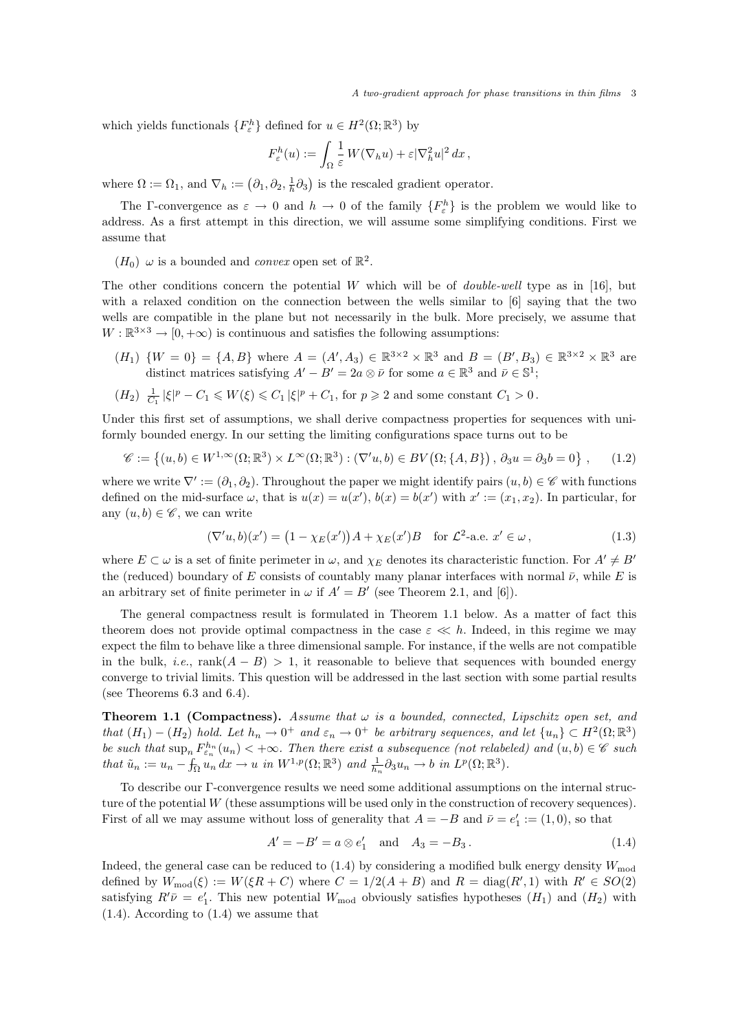which yields functionals  $\{F_{\varepsilon}^{h}\}$  defined for  $u \in H^{2}(\Omega;\mathbb{R}^{3})$  by

$$
F_{\varepsilon}^{h}(u) := \int_{\Omega} \frac{1}{\varepsilon} W(\nabla_h u) + \varepsilon |\nabla_h^2 u|^2 dx,
$$

where  $\Omega := \Omega_1$ , and  $\nabla_h := (\partial_1, \partial_2, \frac{1}{h}\partial_3)$  is the rescaled gradient operator.

The Γ-convergence as  $\varepsilon \to 0$  and  $h \to 0$  of the family  $\{F_{\varepsilon}^{h}\}\$ is the problem we would like to address. As a first attempt in this direction, we will assume some simplifying conditions. First we assume that

 $(H_0)$   $\omega$  is a bounded and *convex* open set of  $\mathbb{R}^2$ .

The other conditions concern the potential W which will be of *double-well* type as in [16], but with a relaxed condition on the connection between the wells similar to [6] saying that the two wells are compatible in the plane but not necessarily in the bulk. More precisely, we assume that  $W : \mathbb{R}^{3 \times 3} \to [0, +\infty)$  is continuous and satisfies the following assumptions:

 $(H_1) \{W = 0\} = \{A, B\}$  where  $A = (A', A_3) \in \mathbb{R}^{3 \times 2} \times \mathbb{R}^3$  and  $B = (B', B_3) \in \mathbb{R}^{3 \times 2} \times \mathbb{R}^3$  are distinct matrices satisfying  $A'-B'=2a\otimes\bar{\nu}$  for some  $a\in\mathbb{R}^3$  and  $\bar{\nu}\in\mathbb{S}^1$ ;

$$
(H_2) \frac{1}{C_1} |\xi|^p - C_1 \leqslant W(\xi) \leqslant C_1 |\xi|^p + C_1, \text{ for } p \geqslant 2 \text{ and some constant } C_1 > 0 \, .
$$

Under this first set of assumptions, we shall derive compactness properties for sequences with uniformly bounded energy. In our setting the limiting configurations space turns out to be

$$
\mathscr{C} := \left\{ (u, b) \in W^{1, \infty}(\Omega; \mathbb{R}^3) \times L^{\infty}(\Omega; \mathbb{R}^3) : (\nabla' u, b) \in BV(\Omega; \{A, B\}), \partial_3 u = \partial_3 b = 0 \right\},\tag{1.2}
$$

where we write  $\nabla' := (\partial_1, \partial_2)$ . Throughout the paper we might identify pairs  $(u, b) \in \mathscr{C}$  with functions defined on the mid-surface  $\omega$ , that is  $u(x) = u(x')$ ,  $b(x) = b(x')$  with  $x' := (x_1, x_2)$ . In particular, for any  $(u, b) \in \mathscr{C}$ , we can write

$$
(\nabla'u, b)(x') = (1 - \chi_E(x'))A + \chi_E(x')B \quad \text{for } \mathcal{L}^2\text{-a.e. } x' \in \omega,
$$
\n(1.3)

where  $E \subset \omega$  is a set of finite perimeter in  $\omega$ , and  $\chi_E$  denotes its characteristic function. For  $A' \neq B'$ the (reduced) boundary of E consists of countably many planar interfaces with normal  $\bar{\nu}$ , while E is an arbitrary set of finite perimeter in  $\omega$  if  $A' = B'$  (see Theorem 2.1, and [6]).

The general compactness result is formulated in Theorem 1.1 below. As a matter of fact this theorem does not provide optimal compactness in the case  $\varepsilon \ll h$ . Indeed, in this regime we may expect the film to behave like a three dimensional sample. For instance, if the wells are not compatible in the bulk, *i.e.*,  $rank(A - B) > 1$ , it reasonable to believe that sequences with bounded energy converge to trivial limits. This question will be addressed in the last section with some partial results (see Theorems 6.3 and 6.4).

**Theorem 1.1 (Compactness).** Assume that  $\omega$  is a bounded, connected, Lipschitz open set, and that  $(H_1) - (H_2)$  hold. Let  $h_n \to 0^+$  and  $\varepsilon_n \to 0^+$  be arbitrary sequences, and let  $\{u_n\} \subset H^2(\Omega;\mathbb{R}^3)$ be such that  $\sup_n F_{\varepsilon_n}^{h_n}(u_n) < +\infty$ . Then there exist a subsequence (not relabeled) and  $(u, b) \in \mathscr{C}$  such that  $\tilde{u}_n := u_n - \int_{\Omega} u_n dx \to u$  in  $W^{1,p}(\Omega; \mathbb{R}^3)$  and  $\frac{1}{h_n} \partial_3 u_n \to b$  in  $L^p(\Omega; \mathbb{R}^3)$ .

To describe our Γ-convergence results we need some additional assumptions on the internal structure of the potential W (these assumptions will be used only in the construction of recovery sequences). First of all we may assume without loss of generality that  $A = -B$  and  $\bar{\nu} = e'_1 := (1, 0)$ , so that

$$
A' = -B' = a \otimes e'_1 \text{ and } A_3 = -B_3. \tag{1.4}
$$

Indeed, the general case can be reduced to  $(1.4)$  by considering a modified bulk energy density  $W_{mod}$ defined by  $W_{\text{mod}}(\xi) := W(\xi R + C)$  where  $C = 1/2(A + B)$  and  $R = \text{diag}(R', 1)$  with  $R' \in SO(2)$ satisfying  $R'\bar{\nu} = e'_1$ . This new potential  $W_{\text{mod}}$  obviously satisfies hypotheses  $(H_1)$  and  $(H_2)$  with (1.4). According to (1.4) we assume that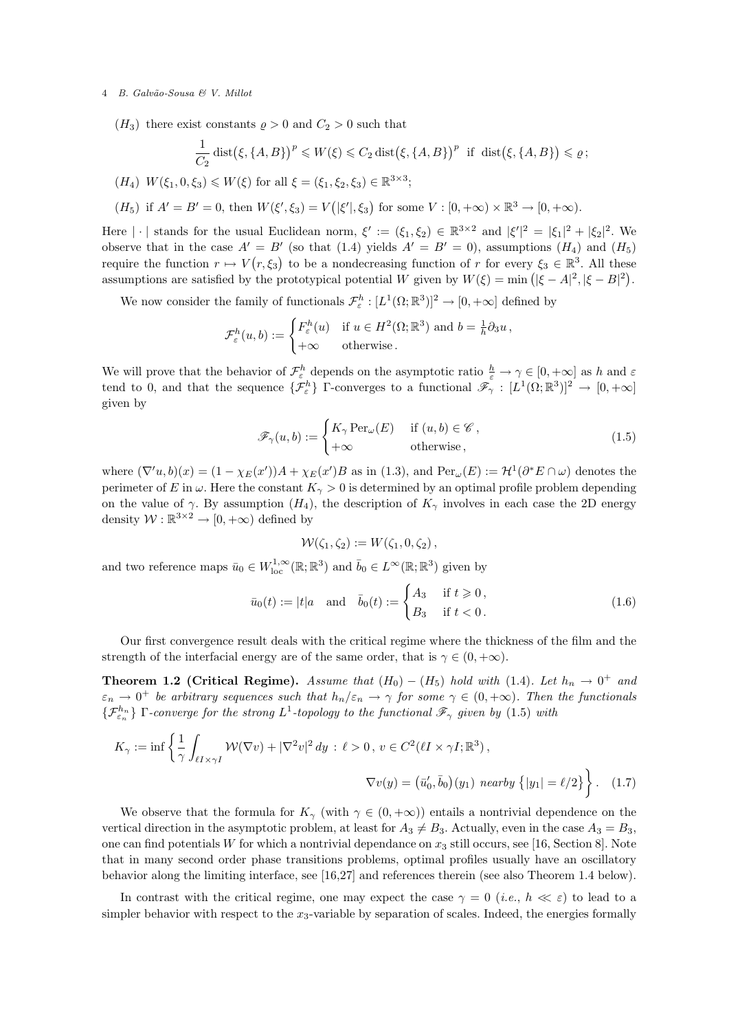$(H_3)$  there exist constants  $\rho > 0$  and  $C_2 > 0$  such that

$$
\frac{1}{C_2} \operatorname{dist}(\xi, \{A, B\})^p \leq W(\xi) \leq C_2 \operatorname{dist}(\xi, \{A, B\})^p \text{ if } \operatorname{dist}(\xi, \{A, B\}) \leq \varrho;
$$

 $(H_4) W(\xi_1, 0, \xi_3) \leq W(\xi)$  for all  $\xi = (\xi_1, \xi_2, \xi_3) \in \mathbb{R}^{3 \times 3}$ ;

$$
(H_5)
$$
 if  $A' = B' = 0$ , then  $W(\xi', \xi_3) = V(|\xi'|, \xi_3)$  for some  $V : [0, +\infty) \times \mathbb{R}^3 \to [0, +\infty)$ .

Here  $|\cdot|$  stands for the usual Euclidean norm,  $\xi' := (\xi_1, \xi_2) \in \mathbb{R}^{3 \times 2}$  and  $|\xi'|^2 = |\xi_1|^2 + |\xi_2|^2$ . We observe that in the case  $A' = B'$  (so that (1.4) yields  $A' = B' = 0$ ), assumptions  $(H_4)$  and  $(H_5)$ require the function  $r \mapsto V(r,\xi_3)$  to be a nondecreasing function of r for every  $\xi_3 \in \mathbb{R}^3$ . All these assumptions are satisfied by the prototypical potential W given by  $W(\xi) = \min (|\xi - A|^2, |\xi - B|^2)$ .

We now consider the family of functionals  $\mathcal{F}^h_{\varepsilon}:[L^1(\Omega;\mathbb{R}^3)]^2\to[0,+\infty]$  defined by

$$
\mathcal{F}^h_{\varepsilon}(u,b) := \begin{cases} F^h_{\varepsilon}(u) & \text{if } u \in H^2(\Omega;\mathbb{R}^3) \text{ and } b = \frac{1}{h}\partial_3 u, \\ +\infty & \text{otherwise.} \end{cases}
$$

We will prove that the behavior of  $\mathcal{F}_{\varepsilon}^{h}$  depends on the asymptotic ratio  $\frac{h}{\varepsilon} \to \gamma \in [0, +\infty]$  as h and  $\varepsilon$ tend to 0, and that the sequence  $\{\mathcal{F}_{\varepsilon}^h\}$  Γ-converges to a functional  $\tilde{\mathscr{F}}_{\gamma} : [L^1(\Omega;\mathbb{R}^3)]^2 \to [0, +\infty]$ given by

$$
\mathscr{F}_{\gamma}(u,b) := \begin{cases} K_{\gamma} \operatorname{Per}_{\omega}(E) & \text{if } (u,b) \in \mathscr{C}, \\ +\infty & \text{otherwise}, \end{cases}
$$
(1.5)

where  $(\nabla' u, b)(x) = (1 - \chi_E(x'))A + \chi_E(x')B$  as in (1.3), and  $Per_\omega(E) := \mathcal{H}^1(\partial^* E \cap \omega)$  denotes the perimeter of E in  $\omega$ . Here the constant  $K_{\gamma} > 0$  is determined by an optimal profile problem depending on the value of  $\gamma$ . By assumption  $(H_4)$ , the description of  $K_{\gamma}$  involves in each case the 2D energy density  $W : \mathbb{R}^{3 \times 2} \to [0, +\infty)$  defined by

$$
W(\zeta_1,\zeta_2) := W(\zeta_1,0,\zeta_2),
$$

and two reference maps  $\bar{u}_0 \in W^{1,\infty}_{loc}(\mathbb{R};\mathbb{R}^3)$  and  $\bar{b}_0 \in L^{\infty}(\mathbb{R};\mathbb{R}^3)$  given by

$$
\bar{u}_0(t) := |t|a \quad \text{and} \quad \bar{b}_0(t) := \begin{cases} A_3 & \text{if } t \ge 0, \\ B_3 & \text{if } t < 0. \end{cases} \tag{1.6}
$$

Our first convergence result deals with the critical regime where the thickness of the film and the strength of the interfacial energy are of the same order, that is  $\gamma \in (0, +\infty)$ .

**Theorem 1.2 (Critical Regime).** Assume that  $(H_0) - (H_5)$  hold with (1.4). Let  $h_n \to 0^+$  and  $\varepsilon_n \to 0^+$  be arbitrary sequences such that  $h_n/\varepsilon_n \to \gamma$  for some  $\gamma \in (0, +\infty)$ . Then the functionals  $\{\mathcal{F}^{h_n}_{\varepsilon_n}\}\Gamma$ -converge for the strong  $L^1$ -topology to the functional  $\mathscr{F}_\gamma$  given by  $(1.5)$  with

$$
K_{\gamma} := \inf \left\{ \frac{1}{\gamma} \int_{\ell I \times \gamma I} \mathcal{W}(\nabla v) + |\nabla^2 v|^2 \, dy : \, \ell > 0 \,, \, v \in C^2(\ell I \times \gamma I; \mathbb{R}^3) \,, \right\}
$$
\n
$$
\nabla v(y) = \left( \bar{u}'_0, \bar{b}_0 \right) (y_1) \text{ nearby } \left\{ |y_1| = \ell/2 \right\} \right\}. \tag{1.7}
$$

We observe that the formula for  $K_{\gamma}$  (with  $\gamma \in (0, +\infty)$ ) entails a nontrivial dependence on the vertical direction in the asymptotic problem, at least for  $A_3 \neq B_3$ . Actually, even in the case  $A_3 = B_3$ , one can find potentials W for which a nontrivial dependance on  $x_3$  still occurs, see [16, Section 8]. Note that in many second order phase transitions problems, optimal profiles usually have an oscillatory behavior along the limiting interface, see [16,27] and references therein (see also Theorem 1.4 below).

In contrast with the critical regime, one may expect the case  $\gamma = 0$  (*i.e.*,  $h \ll \varepsilon$ ) to lead to a simpler behavior with respect to the  $x_3$ -variable by separation of scales. Indeed, the energies formally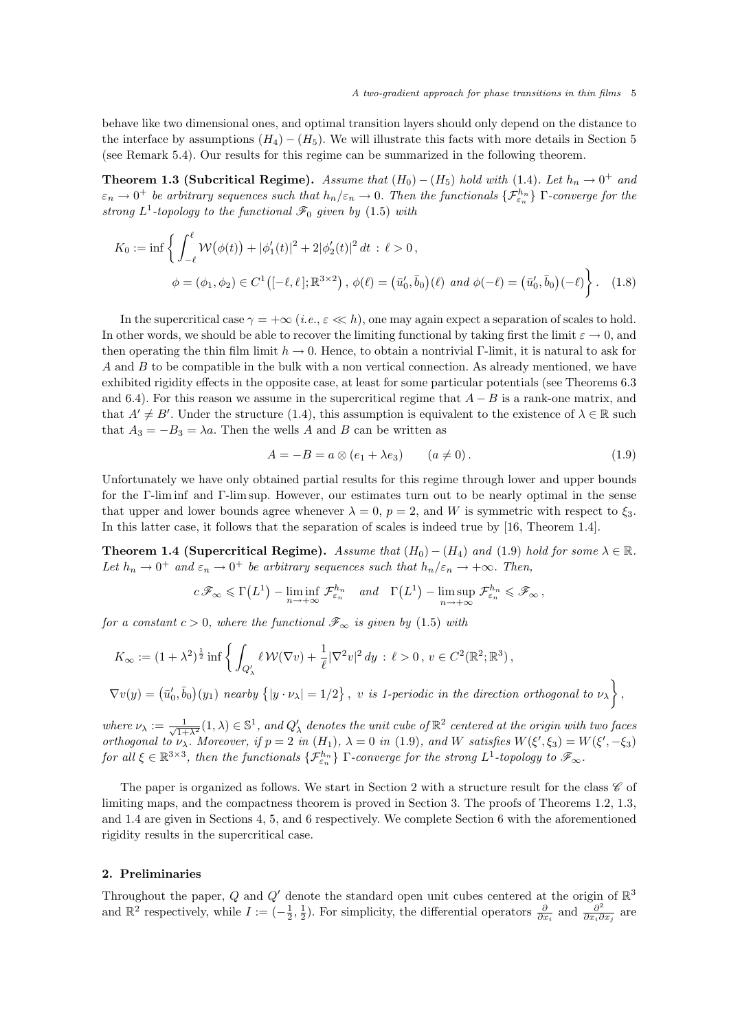behave like two dimensional ones, and optimal transition layers should only depend on the distance to the interface by assumptions  $(H_4) - (H_5)$ . We will illustrate this facts with more details in Section 5 (see Remark 5.4). Our results for this regime can be summarized in the following theorem.

**Theorem 1.3 (Subcritical Regime).** Assume that  $(H_0) - (H_5)$  hold with (1.4). Let  $h_n \to 0^+$  and  $\varepsilon_n\to 0^+$  be arbitrary sequences such that  $h_n/\varepsilon_n\to 0$ . Then the functionals  $\{\mathcal{F}^{h_n}_{\varepsilon_n}\}$   $\Gamma$ -converge for the strong  $L^1$ -topology to the functional  $\mathscr{F}_0$  given by (1.5) with

$$
K_0 := \inf \left\{ \int_{-\ell}^{\ell} \mathcal{W}(\phi(t)) + |\phi_1'(t)|^2 + 2|\phi_2'(t)|^2 dt : \ell > 0, \phi = (\phi_1, \phi_2) \in C^1([-\ell, \ell]; \mathbb{R}^{3 \times 2}), \phi(\ell) = (\bar{u}'_0, \bar{b}_0)(\ell) \text{ and } \phi(-\ell) = (\bar{u}'_0, \bar{b}_0)(-\ell) \right\}. \tag{1.8}
$$

In the supercritical case  $\gamma = +\infty$  (*i.e.*,  $\varepsilon \ll h$ ), one may again expect a separation of scales to hold. In other words, we should be able to recover the limiting functional by taking first the limit  $\varepsilon \to 0$ , and then operating the thin film limit  $h \to 0$ . Hence, to obtain a nontrivial Γ-limit, it is natural to ask for  $A$  and  $B$  to be compatible in the bulk with a non vertical connection. As already mentioned, we have exhibited rigidity effects in the opposite case, at least for some particular potentials (see Theorems 6.3 and 6.4). For this reason we assume in the supercritical regime that  $A - B$  is a rank-one matrix, and that  $A' \neq B'$ . Under the structure (1.4), this assumption is equivalent to the existence of  $\lambda \in \mathbb{R}$  such that  $A_3 = -B_3 = \lambda a$ . Then the wells A and B can be written as

$$
A = -B = a \otimes (e_1 + \lambda e_3) \qquad (a \neq 0).
$$
 (1.9)

 $\overline{ }$ 

Unfortunately we have only obtained partial results for this regime through lower and upper bounds for the Γ-lim inf and Γ-lim sup. However, our estimates turn out to be nearly optimal in the sense that upper and lower bounds agree whenever  $\lambda = 0$ ,  $p = 2$ , and W is symmetric with respect to  $\xi_3$ . In this latter case, it follows that the separation of scales is indeed true by [16, Theorem 1.4].

**Theorem 1.4 (Supercritical Regime).** Assume that  $(H_0) - (H_4)$  and  $(1.9)$  hold for some  $\lambda \in \mathbb{R}$ . Let  $h_n \to 0^+$  and  $\varepsilon_n \to 0^+$  be arbitrary sequences such that  $h_n/\varepsilon_n \to +\infty$ . Then,

$$
c\mathscr{F}_{\infty} \leq \Gamma\left(L^{1}\right) - \liminf_{n \to +\infty} \mathcal{F}_{\varepsilon_{n}}^{h_{n}} \quad and \quad \Gamma\left(L^{1}\right) - \limsup_{n \to +\infty} \mathcal{F}_{\varepsilon_{n}}^{h_{n}} \leqslant \mathscr{F}_{\infty},
$$

for a constant  $c > 0$ , where the functional  $\mathscr{F}_{\infty}$  is given by (1.5) with

$$
K_{\infty} := (1 + \lambda^2)^{\frac{1}{2}} \inf \left\{ \int_{Q'_{\lambda}} \ell \, \mathcal{W}(\nabla v) + \frac{1}{\ell} |\nabla^2 v|^2 \, dy \, : \, \ell > 0 \, , \, v \in C^2(\mathbb{R}^2; \mathbb{R}^3) \, , \right\}
$$

$$
\nabla v(y) = (\bar{u}'_0, \bar{b}_0)(y_1) \text{ nearby } \{|y \cdot \nu_\lambda| = 1/2\}, \text{ v is 1-periodic in the direction orthogonal to } \nu_\lambda \},
$$

where  $\nu_{\lambda} := \frac{1}{\sqrt{1+\lambda^2}}(1,\lambda) \in \mathbb{S}^1$ , and  $Q'_{\lambda}$  denotes the unit cube of  $\mathbb{R}^2$  centered at the origin with two faces orthogonal to  $\nu_{\lambda}$ . Moreover, if  $p = 2$  in  $(H_1)$ ,  $\lambda = 0$  in (1.9), and W satisfies  $W(\xi', \xi_3) = W(\xi', -\xi_3)$ for all  $\xi \in \mathbb{R}^{3\times 3}$ , then the functionals  $\{\mathcal{F}_{\varepsilon_n}^{h_n}\}\Gamma$ -converge for the strong  $L^1$ -topology to  $\mathscr{F}_{\infty}$ .

The paper is organized as follows. We start in Section 2 with a structure result for the class  $\mathscr C$  of limiting maps, and the compactness theorem is proved in Section 3. The proofs of Theorems 1.2, 1.3, and 1.4 are given in Sections 4, 5, and 6 respectively. We complete Section 6 with the aforementioned rigidity results in the supercritical case.

#### 2. Preliminaries

Throughout the paper, Q and Q' denote the standard open unit cubes centered at the origin of  $\mathbb{R}^3$ and  $\mathbb{R}^2$  respectively, while  $I := \left(-\frac{1}{2}, \frac{1}{2}\right)$ . For simplicity, the differential operators  $\frac{\partial}{\partial x_i}$  and  $\frac{\partial^2}{\partial x_i \partial x_j}$  $\frac{\partial^2}{\partial x_i \partial x_j}$  are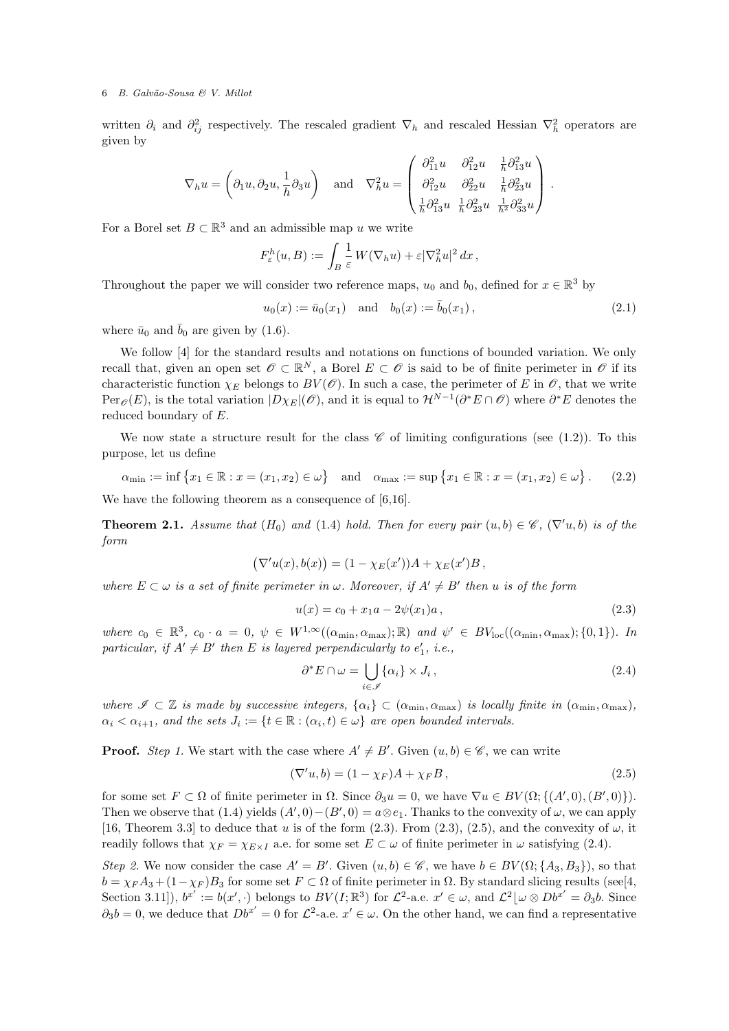written  $\partial_i$  and  $\partial_{ij}^2$  respectively. The rescaled gradient  $\nabla_h$  and rescaled Hessian  $\nabla_h^2$  operators are given by

$$
\nabla_h u = \left(\partial_1 u, \partial_2 u, \frac{1}{h} \partial_3 u\right) \quad \text{and} \quad \nabla_h^2 u = \begin{pmatrix} \frac{\partial_1^2 u}{\partial_1^2 u} & \frac{\partial_1^2 u}{\partial_1^2 u} & \frac{1}{h} \frac{\partial_1^2 u}{\partial_2^2 u} \\ \frac{\partial_1^2 u}{\partial_1^2 u} & \frac{\partial_2^2 u}{\partial_2^2 u} & \frac{1}{h} \frac{\partial_2^2 u}{\partial_3^2 u} \end{pmatrix}.
$$

For a Borel set  $B \subset \mathbb{R}^3$  and an admissible map u we write

$$
F_{\varepsilon}^{h}(u,B) := \int_{B} \frac{1}{\varepsilon} W(\nabla_h u) + \varepsilon |\nabla_h^2 u|^2 dx,
$$

Throughout the paper we will consider two reference maps,  $u_0$  and  $b_0$ , defined for  $x \in \mathbb{R}^3$  by

$$
u_0(x) := \bar{u}_0(x_1)
$$
 and  $b_0(x) := \bar{b}_0(x_1)$ , 
$$
(2.1)
$$

where  $\bar{u}_0$  and  $\bar{b}_0$  are given by (1.6).

We follow [4] for the standard results and notations on functions of bounded variation. We only recall that, given an open set  $\mathscr{O} \subset \mathbb{R}^N$ , a Borel  $E \subset \mathscr{O}$  is said to be of finite perimeter in  $\mathscr{O}$  if its characteristic function  $\chi_E$  belongs to  $BV(\mathscr{O})$ . In such a case, the perimeter of E in  $\mathscr{O}$ , that we write  $Per_{\mathscr{O}}(E)$ , is the total variation  $|D\chi_E|(\mathscr{O})$ , and it is equal to  $\mathcal{H}^{N-1}(\partial^*E\cap\mathscr{O})$  where  $\partial^*E$  denotes the reduced boundary of E.

We now state a structure result for the class  $\mathscr C$  of limiting configurations (see (1.2)). To this purpose, let us define

$$
\alpha_{\min} := \inf \{ x_1 \in \mathbb{R} : x = (x_1, x_2) \in \omega \} \text{ and } \alpha_{\max} := \sup \{ x_1 \in \mathbb{R} : x = (x_1, x_2) \in \omega \}.
$$
 (2.2)

We have the following theorem as a consequence of [6,16].

**Theorem 2.1.** Assume that  $(H_0)$  and (1.4) hold. Then for every pair  $(u, b) \in \mathscr{C}$ ,  $(\nabla^{\prime} u, b)$  is of the form

$$
(\nabla'u(x), b(x)) = (1 - \chi_E(x'))A + \chi_E(x')B,
$$

where  $E \subset \omega$  is a set of finite perimeter in  $\omega$ . Moreover, if  $A' \neq B'$  then u is of the form

$$
u(x) = c_0 + x_1 a - 2\psi(x_1)a,
$$
\n(2.3)

where  $c_0 \in \mathbb{R}^3$ ,  $c_0 \cdot a = 0$ ,  $\psi \in W^{1,\infty}((\alpha_{\min}, \alpha_{\max}); \mathbb{R})$  and  $\psi' \in BV_{loc}((\alpha_{\min}, \alpha_{\max}); \{0,1\})$ . In particular, if  $A' \neq B'$  then E is layered perpendicularly to  $e'_1$ , i.e.,

$$
\partial^* E \cap \omega = \bigcup_{i \in \mathscr{I}} \{ \alpha_i \} \times J_i , \qquad (2.4)
$$

where  $\mathscr{I} \subset \mathbb{Z}$  is made by successive integers,  $\{\alpha_i\} \subset (\alpha_{\min}, \alpha_{\max})$  is locally finite in  $(\alpha_{\min}, \alpha_{\max})$ ,  $\alpha_i < \alpha_{i+1}$ , and the sets  $J_i := \{t \in \mathbb{R} : (\alpha_i, t) \in \omega\}$  are open bounded intervals.

**Proof.** Step 1. We start with the case where  $A' \neq B'$ . Given  $(u, b) \in \mathscr{C}$ , we can write

$$
(\nabla' u, b) = (1 - \chi_F)A + \chi_F B, \qquad (2.5)
$$

for some set  $F \subset \Omega$  of finite perimeter in  $\Omega$ . Since  $\partial_3 u = 0$ , we have  $\nabla u \in BV(\Omega; \{(A', 0), (B', 0)\}).$ Then we observe that (1.4) yields  $(A', 0) - (B', 0) = a \otimes e_1$ . Thanks to the convexity of  $\omega$ , we can apply [16, Theorem 3.3] to deduce that u is of the form (2.3). From (2.3), (2.5), and the convexity of  $\omega$ , it readily follows that  $\chi_F = \chi_{E \times I}$  a.e. for some set  $E \subset \omega$  of finite perimeter in  $\omega$  satisfying (2.4).

Step 2. We now consider the case  $A' = B'$ . Given  $(u, b) \in \mathscr{C}$ , we have  $b \in BV(\Omega; \{A_3, B_3\})$ , so that  $b = \chi_F A_3 + (1 - \chi_F) B_3$  for some set  $F \subset \Omega$  of finite perimeter in  $\Omega$ . By standard slicing results (see [4, Section 3.11]),  $b^{x'} := b(x', \cdot)$  belongs to  $BV(I; \mathbb{R}^3)$  for  $\mathcal{L}^2$ -a.e.  $x' \in \omega$ , and  $\mathcal{L}^2[\omega \otimes Db^{x'} = \partial_3 b]$ . Since  $\partial_3 b = 0$ , we deduce that  $Db^{x'} = 0$  for  $\mathcal{L}^2$ -a.e.  $x' \in \omega$ . On the other hand, we can find a representative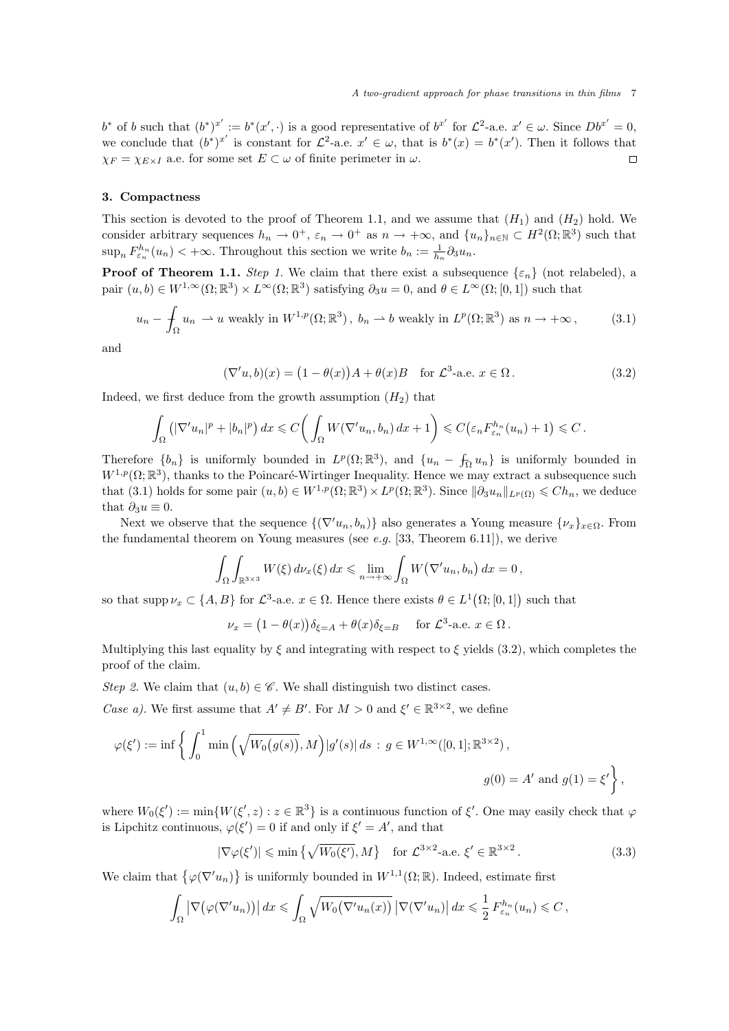$b^*$  of b such that  $(b^*)^{x'} := b^*(x', \cdot)$  is a good representative of  $b^{x'}$  for  $\mathcal{L}^2$ -a.e.  $x' \in \omega$ . Since  $Db^{x'} = 0$ , we conclude that  $(b^*)^{x'}$  is constant for  $\mathcal{L}^2$ -a.e.  $x' \in \omega$ , that is  $b^*(x) = b^*(x')$ . Then it follows that  $\chi_F = \chi_{E \times I}$  a.e. for some set  $E \subset \omega$  of finite perimeter in  $\omega$ .  $\Box$ 

#### 3. Compactness

This section is devoted to the proof of Theorem 1.1, and we assume that  $(H_1)$  and  $(H_2)$  hold. We consider arbitrary sequences  $h_n \to 0^+$ ,  $\varepsilon_n \to 0^+$  as  $n \to +\infty$ , and  $\{u_n\}_{n\in\mathbb{N}} \subset H^2(\Omega;\mathbb{R}^3)$  such that  $\sup_n F_{\varepsilon_n}^{h_n}(u_n) < +\infty$ . Throughout this section we write  $b_n := \frac{1}{h_n} \partial_3 u_n$ .

**Proof of Theorem 1.1.** Step 1. We claim that there exist a subsequence  $\{\varepsilon_n\}$  (not relabeled), a pair  $(u, b) \in W^{1, \infty}(\Omega; \mathbb{R}^3) \times L^{\infty}(\Omega; \mathbb{R}^3)$  satisfying  $\partial_3 u = 0$ , and  $\theta \in L^{\infty}(\Omega; [0, 1])$  such that

$$
u_n - \int_{\Omega} u_n \rightharpoonup u \text{ weakly in } W^{1,p}(\Omega; \mathbb{R}^3), \ b_n \rightharpoonup b \text{ weakly in } L^p(\Omega; \mathbb{R}^3) \text{ as } n \to +\infty,
$$
 (3.1)

and

$$
(\nabla'u, b)(x) = (1 - \theta(x))A + \theta(x)B \quad \text{for } \mathcal{L}^3\text{-a.e. } x \in \Omega. \tag{3.2}
$$

Indeed, we first deduce from the growth assumption  $(H_2)$  that

$$
\int_{\Omega} \left( |\nabla' u_n|^p + |b_n|^p \right) dx \leqslant C \bigg( \int_{\Omega} W(\nabla' u_n, b_n) \, dx + 1 \bigg) \leqslant C \big( \varepsilon_n F_{\varepsilon_n}^{h_n}(u_n) + 1 \big) \leqslant C \, .
$$

Therefore  $\{b_n\}$  is uniformly bounded in  $L^p(\Omega;\mathbb{R}^3)$ , and  $\{u_n - f_{\Omega} u_n\}$  is uniformly bounded in  $W^{1,p}(\Omega;\mathbb{R}^3)$ , thanks to the Poincaré-Wirtinger Inequality. Hence we may extract a subsequence such that (3.1) holds for some pair  $(u, b) \in W^{1, p}(\Omega; \mathbb{R}^3) \times L^p(\Omega; \mathbb{R}^3)$ . Since  $\|\partial_3 u_n\|_{L^p(\Omega)} \leq C h_n$ , we deduce that  $\partial_3 u \equiv 0$ .

Next we observe that the sequence  $\{(\nabla' u_n, b_n)\}\$ also generates a Young measure  $\{\nu_x\}_{x\in\Omega}$ . From the fundamental theorem on Young measures (see e.g. [33, Theorem 6.11]), we derive

$$
\int_{\Omega} \int_{\mathbb{R}^{3 \times 3}} W(\xi) d\nu_x(\xi) dx \leq \lim_{n \to +\infty} \int_{\Omega} W(\nabla' u_n, b_n) dx = 0,
$$

so that supp  $\nu_x \subset \{A, B\}$  for  $\mathcal{L}^3$ -a.e.  $x \in \Omega$ . Hence there exists  $\theta \in L^1(\Omega; [0, 1])$  such that

$$
\nu_x = (1 - \theta(x))\delta_{\xi = A} + \theta(x)\delta_{\xi = B} \quad \text{for } \mathcal{L}^3\text{-a.e. } x \in \Omega.
$$

Multiplying this last equality by  $\xi$  and integrating with respect to  $\xi$  yields (3.2), which completes the proof of the claim.

Step 2. We claim that  $(u, b) \in \mathscr{C}$ . We shall distinguish two distinct cases.

Case a). We first assume that  $A' \neq B'$ . For  $M > 0$  and  $\xi' \in \mathbb{R}^{3 \times 2}$ , we define

$$
\varphi(\xi') := \inf \left\{ \int_0^1 \min \left( \sqrt{W_0(g(s))}, M \right) |g'(s)| ds \, : \, g \in W^{1, \infty}([0, 1]; \mathbb{R}^{3 \times 2}), \right\}
$$
  

$$
g(0) = A' \text{ and } g(1) = \xi' \left\},
$$

where  $W_0(\xi') := \min\{W(\xi', z) : z \in \mathbb{R}^3\}$  is a continuous function of  $\xi'$ . One may easily check that  $\varphi$ is Lipchitz continuous,  $\varphi(\xi') = 0$  if and only if  $\xi' = A'$ , and that

$$
|\nabla \varphi(\xi')| \le \min\left\{\sqrt{W_0(\xi')}, M\right\} \quad \text{for } \mathcal{L}^{3 \times 2}\text{-a.e. } \xi' \in \mathbb{R}^{3 \times 2}. \tag{3.3}
$$

We claim that  $\{\varphi(\nabla' u_n)\}\$ is uniformly bounded in  $W^{1,1}(\Omega;\mathbb{R})$ . Indeed, estimate first

$$
\int_{\Omega} \left| \nabla (\varphi(\nabla' u_n)) \right| dx \leq \int_{\Omega} \sqrt{W_0(\nabla' u_n(x))} \left| \nabla (\nabla' u_n) \right| dx \leq \frac{1}{2} F_{\varepsilon_n}^{h_n}(u_n) \leq C,
$$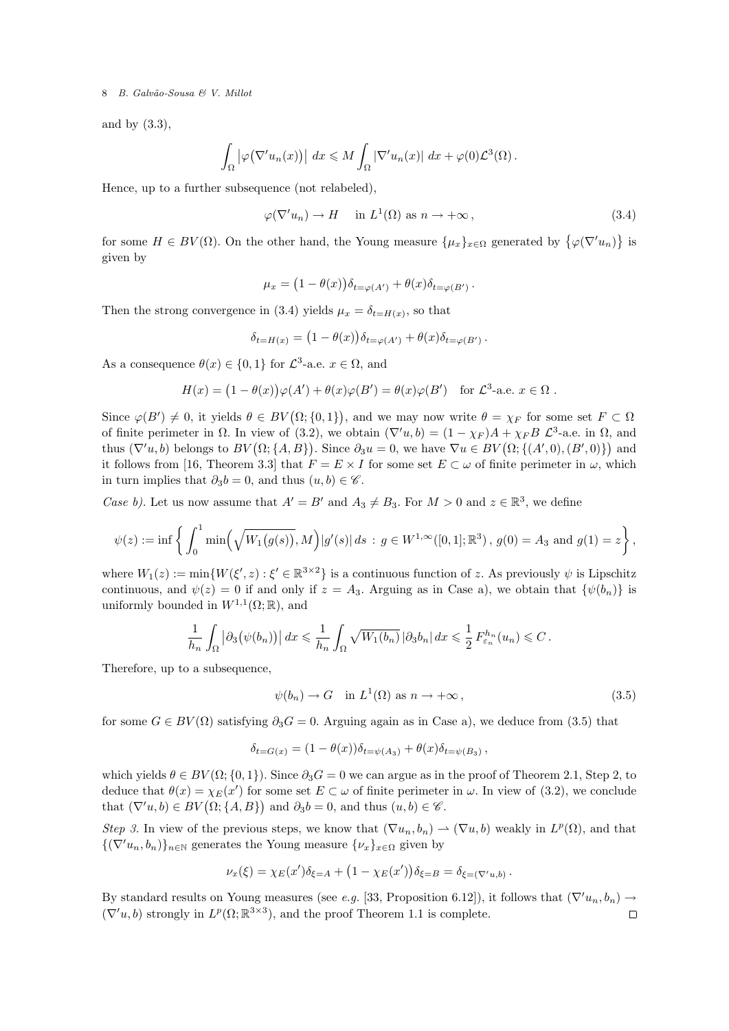and by (3.3),

$$
\int_{\Omega} |\varphi(\nabla' u_n(x))| dx \leq M \int_{\Omega} |\nabla' u_n(x)| dx + \varphi(0) \mathcal{L}^3(\Omega).
$$

Hence, up to a further subsequence (not relabeled),

$$
\varphi(\nabla' u_n) \to H \quad \text{in } L^1(\Omega) \text{ as } n \to +\infty,
$$
\n(3.4)

for some  $H \in BV(\Omega)$ . On the other hand, the Young measure  $\{\mu_x\}_{x \in \Omega}$  generated by  $\{\varphi(\nabla' u_n)\}\$ is given by

$$
\mu_x = (1 - \theta(x)) \delta_{t = \varphi(A')} + \theta(x) \delta_{t = \varphi(B')}.
$$

Then the strong convergence in (3.4) yields  $\mu_x = \delta_{t=H(x)}$ , so that

$$
\delta_{t=H(x)} = (1 - \theta(x)) \delta_{t=\varphi(A')} + \theta(x) \delta_{t=\varphi(B')}.
$$

As a consequence  $\theta(x) \in \{0,1\}$  for  $\mathcal{L}^3$ -a.e.  $x \in \Omega$ , and

$$
H(x) = (1 - \theta(x))\varphi(A') + \theta(x)\varphi(B') = \theta(x)\varphi(B') \text{ for } \mathcal{L}^3\text{-a.e. } x \in \Omega.
$$

Since  $\varphi(B') \neq 0$ , it yields  $\theta \in BV(\Omega;\{0,1\})$ , and we may now write  $\theta = \chi_F$  for some set  $F \subset \Omega$ of finite perimeter in  $\Omega$ . In view of (3.2), we obtain  $(\nabla' u, b) = (1 - \chi_F)A + \chi_F B \mathcal{L}^3$ -a.e. in  $\Omega$ , and thus  $(\nabla' u, b)$  belongs to  $BV(\Omega; \{A, B\})$ . Since  $\partial_3 u = 0$ , we have  $\nabla u \in BV(\Omega; \{(A', 0), (B', 0)\})$  and it follows from [16, Theorem 3.3] that  $F = E \times I$  for some set  $E \subset \omega$  of finite perimeter in  $\omega$ , which in turn implies that  $\partial_3b = 0$ , and thus  $(u, b) \in \mathscr{C}$ .

Case b). Let us now assume that  $A' = B'$  and  $A_3 \neq B_3$ . For  $M > 0$  and  $z \in \mathbb{R}^3$ , we define

$$
\psi(z) := \inf \left\{ \int_0^1 \min \left( \sqrt{W_1(g(s))}, M \right) |g'(s)| \, ds \, : \, g \in W^{1, \infty}([0, 1]; \mathbb{R}^3), \, g(0) = A_3 \text{ and } g(1) = z \right\},\
$$

where  $W_1(z) := \min\{W(\xi', z) : \xi' \in \mathbb{R}^{3 \times 2}\}\$ is a continuous function of z. As previously  $\psi$  is Lipschitz continuous, and  $\psi(z) = 0$  if and only if  $z = A_3$ . Arguing as in Case a), we obtain that  $\{\psi(b_n)\}\$ is uniformly bounded in  $W^{1,1}(\Omega;\mathbb{R})$ , and

$$
\frac{1}{h_n} \int_{\Omega} \left| \partial_3(\psi(b_n)) \right| dx \leq \frac{1}{h_n} \int_{\Omega} \sqrt{W_1(b_n)} \left| \partial_3 b_n \right| dx \leq \frac{1}{2} F_{\varepsilon_n}^{h_n}(u_n) \leq C.
$$

Therefore, up to a subsequence,

$$
\psi(b_n) \to G \quad \text{in } L^1(\Omega) \text{ as } n \to +\infty \,, \tag{3.5}
$$

for some  $G \in BV(\Omega)$  satisfying  $\partial_3 G = 0$ . Arguing again as in Case a), we deduce from (3.5) that

$$
\delta_{t=G(x)} = (1 - \theta(x)) \delta_{t=\psi(A_3)} + \theta(x) \delta_{t=\psi(B_3)},
$$

which yields  $\theta \in BV(\Omega; \{0, 1\})$ . Since  $\partial_3 G = 0$  we can argue as in the proof of Theorem 2.1, Step 2, to deduce that  $\theta(x) = \chi_E(x')$  for some set  $E \subset \omega$  of finite perimeter in  $\omega$ . In view of (3.2), we conclude that  $(\nabla'u, b) \in BV(\Omega; \{A, B\})$  and  $\partial_3b = 0$ , and thus  $(u, b) \in \mathscr{C}$ .

Step 3. In view of the previous steps, we know that  $(\nabla u_n, b_n) \rightharpoonup (\nabla u, b)$  weakly in  $L^p(\Omega)$ , and that  $\{(\nabla'u_n, b_n)\}_{n\in\mathbb{N}}$  generates the Young measure  $\{\nu_x\}_{x\in\Omega}$  given by

$$
\nu_x(\xi) = \chi_E(x')\delta_{\xi=A} + (1 - \chi_E(x'))\delta_{\xi=B} = \delta_{\xi=(\nabla'u,b)}.
$$

By standard results on Young measures (see e.g. [33, Proposition 6.12]), it follows that  $(\nabla' u_n, b_n) \rightarrow$  $(\nabla' u, b)$  strongly in  $L^p(\Omega; \mathbb{R}^{3 \times 3})$ , and the proof Theorem 1.1 is complete.  $\Box$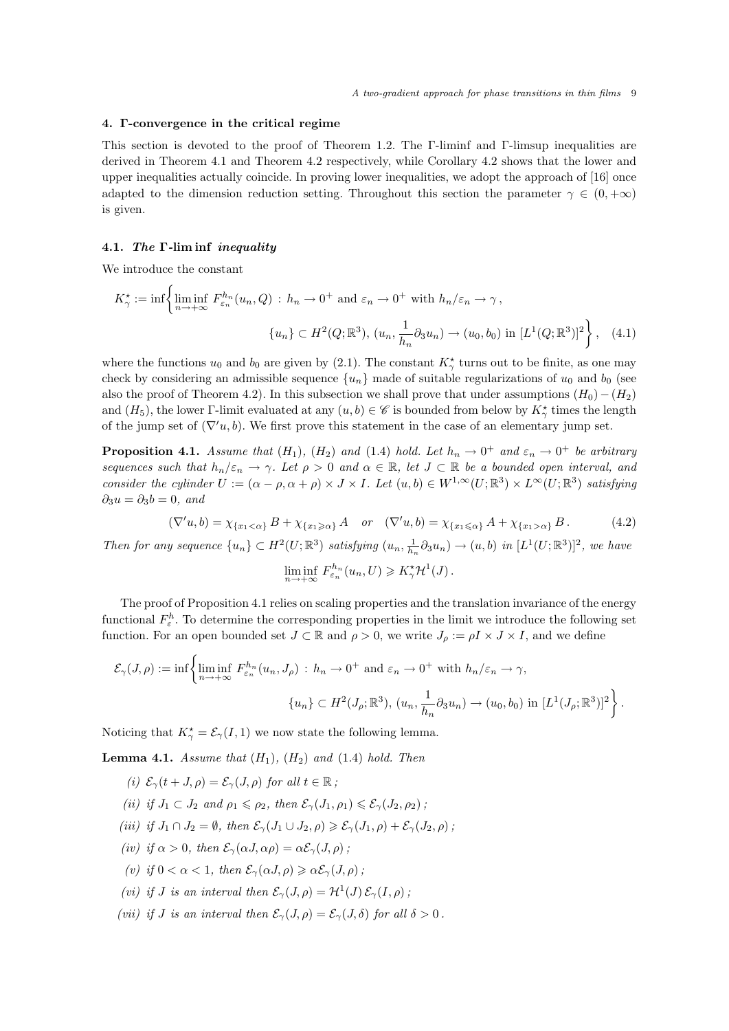# 4. Γ-convergence in the critical regime

This section is devoted to the proof of Theorem 1.2. The Γ-liminf and Γ-limsup inequalities are derived in Theorem 4.1 and Theorem 4.2 respectively, while Corollary 4.2 shows that the lower and upper inequalities actually coincide. In proving lower inequalities, we adopt the approach of [16] once adapted to the dimension reduction setting. Throughout this section the parameter  $\gamma \in (0, +\infty)$ is given.

# 4.1. The Γ-lim inf inequality

We introduce the constant

$$
K_{\gamma}^{\star} := \inf \left\{ \liminf_{n \to +\infty} F_{\varepsilon_n}^{h_n}(u_n, Q) : h_n \to 0^+ \text{ and } \varepsilon_n \to 0^+ \text{ with } h_n/\varepsilon_n \to \gamma,
$$

$$
\{u_n\} \subset H^2(Q; \mathbb{R}^3), (u_n, \frac{1}{h_n}\partial_3 u_n) \to (u_0, b_0) \text{ in } [L^1(Q; \mathbb{R}^3)]^2 \right\}, \quad (4.1)
$$

where the functions  $u_0$  and  $b_0$  are given by (2.1). The constant  $K^{\star}_{\gamma}$  turns out to be finite, as one may check by considering an admissible sequence  $\{u_n\}$  made of suitable regularizations of  $u_0$  and  $b_0$  (see also the proof of Theorem 4.2). In this subsection we shall prove that under assumptions  $(H_0) - (H_2)$ and  $(H_5)$ , the lower Γ-limit evaluated at any  $(u, b) \in \mathscr{C}$  is bounded from below by  $K_\gamma^{\star}$  times the length of the jump set of  $(\nabla' u, b)$ . We first prove this statement in the case of an elementary jump set.

**Proposition 4.1.** Assume that  $(H_1)$ ,  $(H_2)$  and  $(1.4)$  hold. Let  $h_n \to 0^+$  and  $\varepsilon_n \to 0^+$  be arbitrary sequences such that  $h_n/\varepsilon_n \to \gamma$ . Let  $\rho > 0$  and  $\alpha \in \mathbb{R}$ , let  $J \subset \mathbb{R}$  be a bounded open interval, and consider the cylinder  $U := (\alpha - \rho, \alpha + \rho) \times J \times I$ . Let  $(u, b) \in W^{1,\infty}(U; \mathbb{R}^3) \times L^{\infty}(U; \mathbb{R}^3)$  satisfying  $\partial_3 u = \partial_3 b = 0$ , and

$$
(\nabla' u, b) = \chi_{\{x_1 < \alpha\}} B + \chi_{\{x_1 \geq \alpha\}} A \quad \text{or} \quad (\nabla' u, b) = \chi_{\{x_1 \leq \alpha\}} A + \chi_{\{x_1 > \alpha\}} B. \tag{4.2}
$$

Then for any sequence  $\{u_n\} \subset H^2(U;\mathbb{R}^3)$  satisfying  $(u_n, \frac{1}{h_n} \partial_3 u_n) \to (u, b)$  in  $[L^1(U;\mathbb{R}^3)]^2$ , we have

$$
\liminf_{n \to +\infty} F_{\varepsilon_n}^{h_n}(u_n, U) \geqslant K_\gamma^* \mathcal{H}^1(J).
$$

The proof of Proposition 4.1 relies on scaling properties and the translation invariance of the energy functional  $F_{\varepsilon}^h$ . To determine the corresponding properties in the limit we introduce the following set function. For an open bounded set  $J \subset \mathbb{R}$  and  $\rho > 0$ , we write  $J_{\rho} := \rho I \times J \times I$ , and we define

$$
\mathcal{E}_{\gamma}(J,\rho) := \inf \left\{ \liminf_{n \to +\infty} F_{\varepsilon_n}^{h_n}(u_n, J_{\rho}) : h_n \to 0^+ \text{ and } \varepsilon_n \to 0^+ \text{ with } h_n/\varepsilon_n \to \gamma,
$$

$$
\{u_n\} \subset H^2(J_{\rho}; \mathbb{R}^3), (u_n, \frac{1}{h_n}\partial_3 u_n) \to (u_0, b_0) \text{ in } [L^1(J_{\rho}; \mathbb{R}^3)]^2 \right\}.
$$

Noticing that  $K_{\gamma}^* = \mathcal{E}_{\gamma}(I,1)$  we now state the following lemma.

**Lemma 4.1.** Assume that  $(H_1)$ ,  $(H_2)$  and  $(1.4)$  hold. Then

- (i)  $\mathcal{E}_{\gamma}(t+J,\rho)=\mathcal{E}_{\gamma}(J,\rho)$  for all  $t\in\mathbb{R}$ ;
- (ii) if  $J_1 \subset J_2$  and  $\rho_1 \leq \rho_2$ , then  $\mathcal{E}_{\gamma}(J_1, \rho_1) \leq \mathcal{E}_{\gamma}(J_2, \rho_2)$ ;
- (iii) if  $J_1 \cap J_2 = \emptyset$ , then  $\mathcal{E}_{\gamma}(J_1 \cup J_2, \rho) \geq \mathcal{E}_{\gamma}(J_1, \rho) + \mathcal{E}_{\gamma}(J_2, \rho)$ ;
- (iv) if  $\alpha > 0$ , then  $\mathcal{E}_{\gamma}(\alpha J, \alpha \rho) = \alpha \mathcal{E}_{\gamma}(J, \rho)$ ;
- (v) if  $0 < \alpha < 1$ , then  $\mathcal{E}_{\gamma}(\alpha J, \rho) \geq \alpha \mathcal{E}_{\gamma}(J, \rho)$ ;
- (vi) if J is an interval then  $\mathcal{E}_{\gamma}(J,\rho) = \mathcal{H}^1(J) \mathcal{E}_{\gamma}(I,\rho)$ ;
- (vii) if J is an interval then  $\mathcal{E}_{\gamma}(J,\rho) = \mathcal{E}_{\gamma}(J,\delta)$  for all  $\delta > 0$ .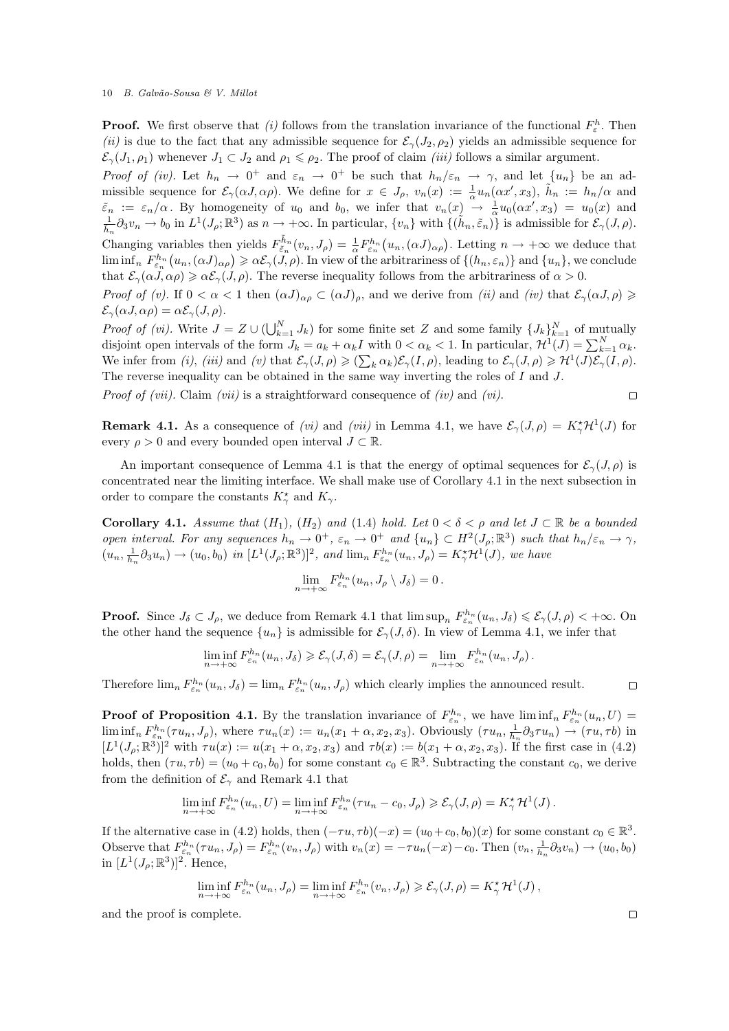**Proof.** We first observe that (i) follows from the translation invariance of the functional  $F_{\varepsilon}^h$ . Then (ii) is due to the fact that any admissible sequence for  $\mathcal{E}_{\gamma}(J_2, \rho_2)$  yields an admissible sequence for  $\mathcal{E}_{\gamma}(J_1,\rho_1)$  whenever  $J_1 \subset J_2$  and  $\rho_1 \leq \rho_2$ . The proof of claim *(iii)* follows a similar argument.

Proof of (iv). Let  $h_n \to 0^+$  and  $\varepsilon_n \to 0^+$  be such that  $h_n/\varepsilon_n \to \gamma$ , and let  $\{u_n\}$  be an admissible sequence for  $\mathcal{E}_{\gamma}(\alpha J, \alpha \rho)$ . We define for  $x \in J_{\rho}, v_n(x) := \frac{1}{\alpha} u_n(\alpha x', x_3), \tilde{h}_n := h_n/\alpha$  and  $\tilde{\varepsilon}_n := \varepsilon_n/\alpha$ . By homogeneity of  $u_0$  and  $b_0$ , we infer that  $v_n(x) \to \frac{1}{\alpha} u_0(\alpha x', x_3) = u_0(x)$  and  $\frac{1}{\tilde{h}_n} \partial_3 v_n \to b_0$  in  $L^1(J_\rho; \mathbb{R}^3)$  as  $n \to +\infty$ . In particular,  $\{v_n\}$  with  $\{(\tilde{h}_n, \tilde{\varepsilon}_n)\$ Changing variables then yields  $F_{\tilde{\varepsilon}_n}^{\tilde{h}_n}(v_n, J_\rho) = \frac{1}{\alpha} F_{\varepsilon_n}^{h_n}(u_n, (\alpha J)_{\alpha \rho})$ . Letting  $n \to +\infty$  we deduce that  $\liminf_n F_{\varepsilon_n}^{h_n}(u_n,(\alpha J)_{\alpha\rho}) \geqslant \alpha \mathcal{E}_{\gamma}(J,\rho).$  In view of the arbitrariness of  $\{(h_n,\varepsilon_n)\}\$  and  $\{u_n\}$ , we conclude that  $\mathcal{E}_{\gamma}(\alpha J, \alpha \rho) \geq \alpha \mathcal{E}_{\gamma}(J, \rho)$ . The reverse inequality follows from the arbitrariness of  $\alpha > 0$ .

Proof of (v). If  $0 < \alpha < 1$  then  $(\alpha J)_{\alpha\rho} \subset (\alpha J)_{\rho}$ , and we derive from (ii) and (iv) that  $\mathcal{E}_{\gamma}(\alpha J, \rho) \ge$  $\mathcal{E}_{\gamma}(\alpha J, \alpha \rho) = \alpha \mathcal{E}_{\gamma}(J, \rho).$ 

*Proof of (vi)*. Write  $J = Z \cup (\bigcup_{k=1}^{N} J_k)$  for some finite set Z and some family  $\{J_k\}_{k=1}^{N}$  of mutually disjoint open intervals of the form  $J_k = a_k + \alpha_k I$  with  $0 < \alpha_k < 1$ . In particular,  $\mathcal{H}^1(J) = \sum_{k=1}^N \alpha_k$ . We infer from (i), (iii) and (v) that  $\mathcal{E}_{\gamma}(J,\rho) \geqslant (\sum_{k} \alpha_k) \mathcal{E}_{\gamma}(I,\rho)$ , leading to  $\mathcal{E}_{\gamma}(J,\rho) \geqslant \mathcal{H}^1(J) \mathcal{E}_{\gamma}(I,\rho)$ . The reverse inequality can be obtained in the same way inverting the roles of I and J.

*Proof of (vii).* Claim *(vii)* is a straightforward consequence of *(iv)* and *(vi)*.

**Remark 4.1.** As a consequence of *(vi)* and *(vii)* in Lemma 4.1, we have  $\mathcal{E}_{\gamma}(J,\rho) = K_{\gamma}^{*}\mathcal{H}^{1}(J)$  for every  $\rho > 0$  and every bounded open interval  $J \subset \mathbb{R}$ .

An important consequence of Lemma 4.1 is that the energy of optimal sequences for  $\mathcal{E}_{\gamma}(J,\rho)$  is concentrated near the limiting interface. We shall make use of Corollary 4.1 in the next subsection in order to compare the constants  $K_{\gamma}^*$  and  $K_{\gamma}$ .

Corollary 4.1. Assume that  $(H_1)$ ,  $(H_2)$  and  $(1.4)$  hold. Let  $0 < \delta < \rho$  and let  $J \subset \mathbb{R}$  be a bounded open interval. For any sequences  $h_n \to 0^+$ ,  $\varepsilon_n \to 0^+$  and  $\{u_n\} \subset H^2(J_\rho;\mathbb{R}^3)$  such that  $h_n/\varepsilon_n \to \gamma$ ,  $(u_n, \frac{1}{h_n} \partial_3 u_n) \to (u_0, b_0)$  in  $[L^1(J_\rho; \mathbb{R}^3)]^2$ , and  $\lim_n F_{\varepsilon_n}^{h_n}(u_n, J_\rho) = K_\gamma^* \mathcal{H}^1(J)$ , we have

$$
\lim_{n \to +\infty} F_{\varepsilon_n}^{h_n}(u_n, J_\rho \setminus J_\delta) = 0.
$$

**Proof.** Since  $J_{\delta} \subset J_{\rho}$ , we deduce from Remark 4.1 that  $\limsup_{n} F_{\varepsilon_n}^{h_n}(u_n, J_{\delta}) \leqslant \mathcal{E}_{\gamma}(J, \rho) < +\infty$ . On the other hand the sequence  $\{u_n\}$  is admissible for  $\mathcal{E}_{\gamma}(J,\delta)$ . In view of Lemma 4.1, we infer that

$$
\liminf_{n \to +\infty} F_{\varepsilon_n}^{h_n}(u_n, J_\delta) \geqslant \mathcal{E}_{\gamma}(J, \delta) = \mathcal{E}_{\gamma}(J, \rho) = \lim_{n \to +\infty} F_{\varepsilon_n}^{h_n}(u_n, J_\rho).
$$

Therefore  $\lim_{n} F_{\varepsilon_n}^{h_n}(u_n, J_{\delta}) = \lim_{n} F_{\varepsilon_n}^{h_n}(u_n, J_{\rho})$  which clearly implies the announced result.

**Proof of Proposition 4.1.** By the translation invariance of  $F_{\varepsilon_n}^{h_n}$ , we have  $\liminf_n F_{\varepsilon_n}^{h_n}(u_n,U)$  $\liminf_n F_{\varepsilon_n}^{h_n}(\tau u_n, J_\rho)$ , where  $\tau u_n(x) := u_n(x_1 + \alpha, x_2, x_3)$ . Obviously  $(\tau u_n, \frac{1}{h_n} \partial_3 \tau u_n) \to (\tau u, \tau b)$  in  $[L^1(J_\rho;\mathbb{R}^3)]^2$  with  $\tau u(x) := u(x_1 + \alpha, x_2, x_3)$  and  $\tau b(x) := b(x_1 + \alpha, x_2, x_3)$ . If the first case in (4.2) holds, then  $(\tau u, \tau b) = (u_0 + c_0, b_0)$  for some constant  $c_0 \in \mathbb{R}^3$ . Subtracting the constant  $c_0$ , we derive from the definition of  $\mathcal{E}_{\gamma}$  and Remark 4.1 that

$$
\liminf_{n \to +\infty} F_{\varepsilon_n}^{h_n}(u_n, U) = \liminf_{n \to +\infty} F_{\varepsilon_n}^{h_n}(\tau u_n - c_0, J_\rho) \geqslant \mathcal{E}_\gamma(J, \rho) = K_\gamma^* \mathcal{H}^1(J).
$$

If the alternative case in (4.2) holds, then  $(-\tau u, \tau b)(-x) = (u_0 + c_0, b_0)(x)$  for some constant  $c_0 \in \mathbb{R}^3$ . Observe that  $F_{\varepsilon_n}^{h_n}(\tau u_n, J_\rho) = F_{\varepsilon_n}^{h_n}(v_n, J_\rho)$  with  $v_n(x) = -\tau u_n(-x) - c_0$ . Then  $(v_n, \frac{1}{h_n}\partial_3 v_n) \to (u_0, b_0)$ in  $[L^1(J_\rho;\mathbb{R}^3)]^2$ . Hence,

$$
\liminf_{n \to +\infty} F_{\varepsilon_n}^{h_n}(u_n, J_\rho) = \liminf_{n \to +\infty} F_{\varepsilon_n}^{h_n}(v_n, J_\rho) \geqslant \mathcal{E}_\gamma(J, \rho) = K_\gamma^* \mathcal{H}^1(J),
$$

and the proof is complete.

 $\Box$ 

 $\Box$ 

 $\Box$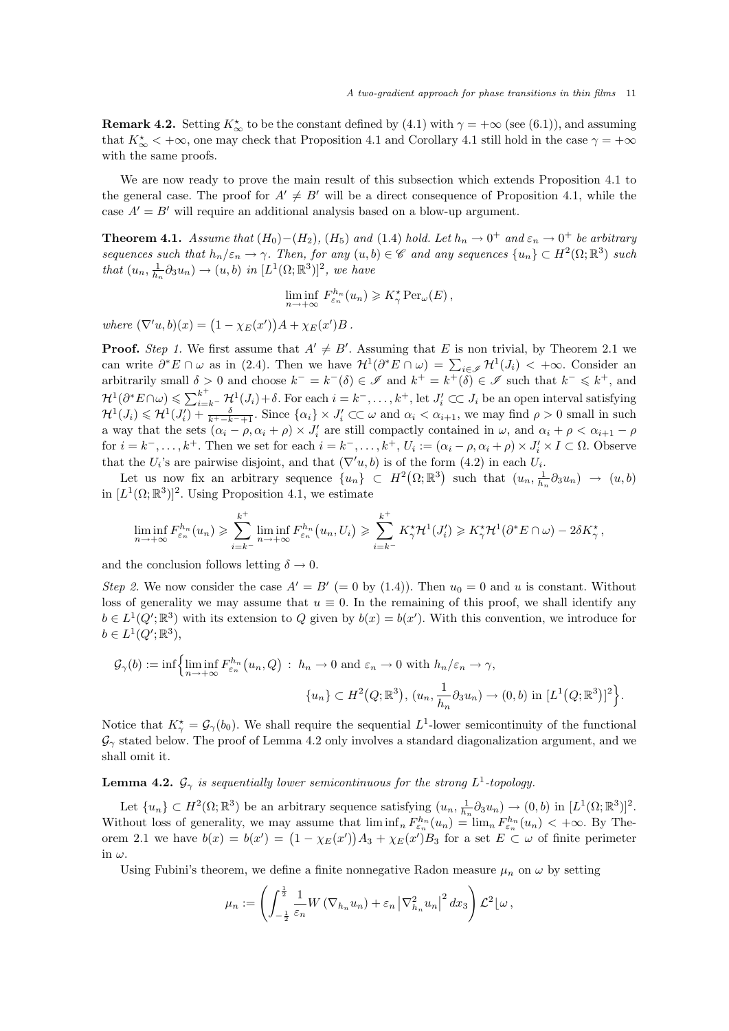**Remark 4.2.** Setting  $K^*_{\infty}$  to be the constant defined by (4.1) with  $\gamma = +\infty$  (see (6.1)), and assuming that  $K^*_{\infty}$   $< +\infty$ , one may check that Proposition 4.1 and Corollary 4.1 still hold in the case  $\gamma = +\infty$ with the same proofs.

We are now ready to prove the main result of this subsection which extends Proposition 4.1 to the general case. The proof for  $A' \neq B'$  will be a direct consequence of Proposition 4.1, while the case  $A' = B'$  will require an additional analysis based on a blow-up argument.

**Theorem 4.1.** Assume that  $(H_0) - (H_2)$ ,  $(H_5)$  and  $(1.4)$  hold. Let  $h_n \to 0^+$  and  $\varepsilon_n \to 0^+$  be arbitrary sequences such that  $h_n/\varepsilon_n \to \gamma$ . Then, for any  $(u, b) \in \mathscr{C}$  and any sequences  $\{u_n\} \subset H^2(\Omega; \mathbb{R}^3)$  such that  $(u_n, \frac{1}{h_n} \partial_3 u_n) \to (u, b)$  in  $[L^1(\Omega; \mathbb{R}^3)]^2$ , we have

$$
\liminf_{n \to +\infty} F_{\varepsilon_n}^{h_n}(u_n) \geqslant K_\gamma^* \operatorname{Per}_\omega(E),
$$

where  $(\nabla' u, b)(x) = (1 - \chi_E(x'))A + \chi_E(x')B$ .

**Proof.** Step 1. We first assume that  $A' \neq B'$ . Assuming that E is non trivial, by Theorem 2.1 we can write  $\partial^* E \cap \omega$  as in (2.4). Then we have  $\mathcal{H}^1(\partial^* E \cap \omega) = \sum_{i \in \mathscr{I}} \mathcal{H}^1(J_i) < +\infty$ . Consider an arbitrarily small  $\delta > 0$  and choose  $k^- = k^- (\delta) \in \mathscr{I}$  and  $k^+ = k^+ (\delta) \in \mathscr{I}$  such that  $k^- \leq k^+$ , and  $\mathcal{H}^1(\partial^*E \cap \omega) \leqslant \sum_{i=k^-}^{k^+} \mathcal{H}^1(J_i) + \delta.$  For each  $i = k^-, \ldots, k^+$ , let  $J_i' \subset\subset J_i$  be an open interval satisfying  $\mathcal{H}^1(J_i) \leq \mathcal{H}^1(J'_i) + \frac{\delta}{k^+ - k^- + 1}$ . Since  $\{\alpha_i\} \times J'_i \subset\subset \omega$  and  $\alpha_i < \alpha_{i+1}$ , we may find  $\rho > 0$  small in such a way that the sets  $(\alpha_i - \rho, \alpha_i + \rho) \times J'_i$  are still compactly contained in  $\omega$ , and  $\alpha_i + \rho < \alpha_{i+1} - \rho$ for  $i = k^-, \ldots, k^+$ . Then we set for each  $i = k^-, \ldots, k^+, U_i := (\alpha_i - \rho, \alpha_i + \rho) \times J'_i \times I \subset \Omega$ . Observe that the  $U_i$ 's are pairwise disjoint, and that  $(\nabla' u, b)$  is of the form  $(4.2)$  in each  $U_i$ .

Let us now fix an arbitrary sequence  $\{u_n\} \subset H^2(\Omega;\mathbb{R}^3)$  such that  $(u_n, \frac{1}{h_n} \partial_3 u_n) \to (u, b)$ in  $[L^1(\Omega;\mathbb{R}^3)]^2$ . Using Proposition 4.1, we estimate

$$
\liminf_{n \to +\infty} F_{\varepsilon_n}^{h_n}(u_n) \geq \sum_{i=k^-}^{k^+} \liminf_{n \to +\infty} F_{\varepsilon_n}^{h_n}(u_n, U_i) \geq \sum_{i=k^-}^{k^+} K_{\gamma}^* \mathcal{H}^1(J_i') \geq K_{\gamma}^* \mathcal{H}^1(\partial^* E \cap \omega) - 2\delta K_{\gamma}^*,
$$

and the conclusion follows letting  $\delta \to 0$ .

Step 2. We now consider the case  $A' = B' (= 0$  by (1.4)). Then  $u_0 = 0$  and u is constant. Without loss of generality we may assume that  $u \equiv 0$ . In the remaining of this proof, we shall identify any  $b \in L^1(Q';\mathbb{R}^3)$  with its extension to Q given by  $b(x) = b(x')$ . With this convention, we introduce for  $b \in L^1(Q';\mathbb{R}^3),$ 

$$
\mathcal{G}_{\gamma}(b) := \inf \left\{ \liminf_{n \to +\infty} F_{\varepsilon_n}^{h_n}(u_n, Q) : h_n \to 0 \text{ and } \varepsilon_n \to 0 \text{ with } h_n/\varepsilon_n \to \gamma,
$$

$$
\{u_n\} \subset H^2(Q; \mathbb{R}^3), (u_n, \frac{1}{h_n} \partial_3 u_n) \to (0, b) \text{ in } [L^1(Q; \mathbb{R}^3)]^2 \right\}.
$$

Notice that  $K^*_{\gamma} = \mathcal{G}_{\gamma}(b_0)$ . We shall require the sequential  $L^1$ -lower semicontinuity of the functional  $\mathcal{G}_{\gamma}$  stated below. The proof of Lemma 4.2 only involves a standard diagonalization argument, and we shall omit it.

**Lemma 4.2.**  $\mathcal{G}_{\gamma}$  is sequentially lower semicontinuous for the strong  $L^1$ -topology.

Let  $\{u_n\} \subset H^2(\Omega;\mathbb{R}^3)$  be an arbitrary sequence satisfying  $(u_n, \frac{1}{h_n} \partial_3 u_n) \to (0, b)$  in  $[L^1(\Omega;\mathbb{R}^3)]^2$ . Without loss of generality, we may assume that  $\liminf_n F_{\varepsilon_n}^{h_n}(u_n) = \lim_n F_{\varepsilon_n}^{h_n}(u_n) < +\infty$ . By Theorem 2.1 we have  $b(x) = b(x') = (1 - \chi_E(x'))A_3 + \chi_E(x')B_3$  for a set  $E \subset \omega$  of finite perimeter in  $\omega$ .

Using Fubini's theorem, we define a finite nonnegative Radon measure  $\mu_n$  on  $\omega$  by setting

$$
\mu_n := \left( \int_{-\frac{1}{2}}^{\frac{1}{2}} \frac{1}{\varepsilon_n} W(\nabla_{h_n} u_n) + \varepsilon_n \left| \nabla_{h_n}^2 u_n \right|^2 dx_3 \right) \mathcal{L}^2 \left[ \omega \right],
$$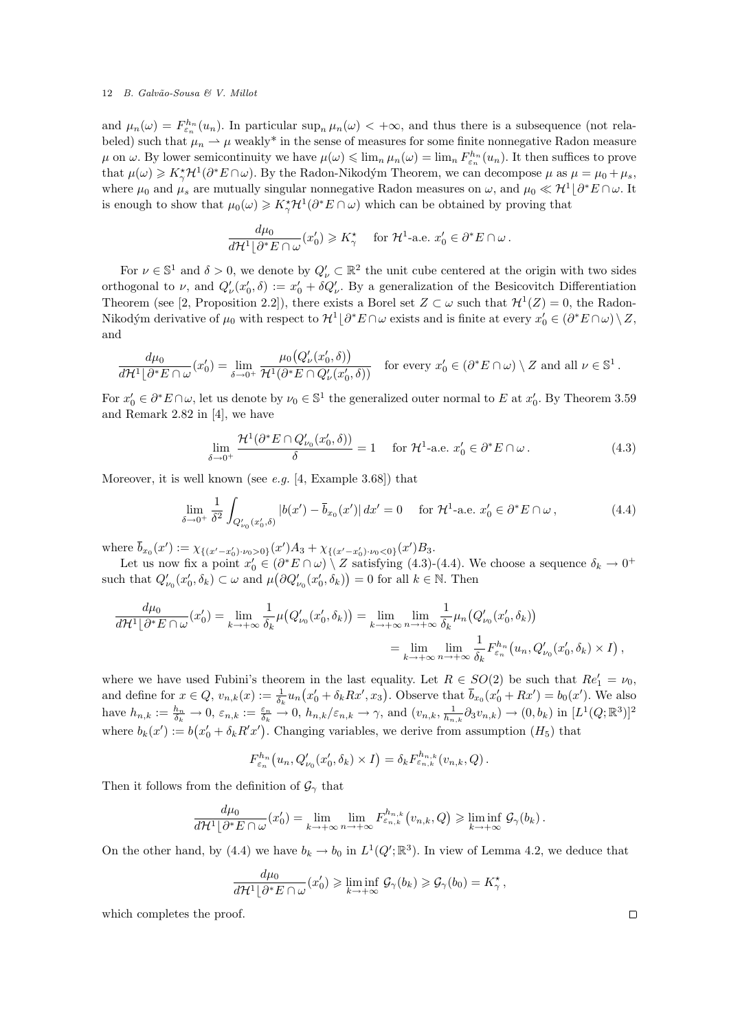and  $\mu_n(\omega) = F_{\varepsilon_n}^{h_n}(u_n)$ . In particular  $\sup_n \mu_n(\omega) < +\infty$ , and thus there is a subsequence (not relabeled) such that  $\mu_n \to \mu$  weakly<sup>\*</sup> in the sense of measures for some finite nonnegative Radon measure  $\mu$  on  $\omega$ . By lower semicontinuity we have  $\mu(\omega) \leqslant \lim_{n} \mu_n(\omega) = \lim_{n} F_{\varepsilon_n}^{h_n}(u_n)$ . It then suffices to prove that  $\mu(\omega) \geqslant K_{\gamma}^{*}\mathcal{H}^{1}(\partial^{*}E \cap \omega)$ . By the Radon-Nikodým Theorem, we can decompose  $\mu$  as  $\mu = \mu_{0} + \mu_{s}$ , where  $\mu_0$  and  $\mu_s$  are mutually singular nonnegative Radon measures on  $\omega$ , and  $\mu_0 \ll \mathcal{H}^1\lfloor \partial^* E \cap \omega$ . It is enough to show that  $\mu_0(\omega) \geq K_\gamma^* \mathcal{H}^1(\partial^* E \cap \omega)$  which can be obtained by proving that

$$
\frac{d\mu_0}{d\mathcal{H}^1\lfloor \partial^* E \cap \omega}(x'_0) \geqslant K_\gamma^* \quad \text{ for } \mathcal{H}^1\text{-a.e. } x'_0 \in \partial^* E \cap \omega.
$$

For  $\nu \in \mathbb{S}^1$  and  $\delta > 0$ , we denote by  $Q'_\nu \subset \mathbb{R}^2$  the unit cube centered at the origin with two sides orthogonal to  $\nu$ , and  $Q'_\nu(x'_0, \delta) := x'_0 + \delta Q'_\nu$ . By a generalization of the Besicovitch Differentiation Theorem (see [2, Proposition 2.2]), there exists a Borel set  $Z \subset \omega$  such that  $\mathcal{H}^1(Z) = 0$ , the Radon-Nikodým derivative of  $\mu_0$  with respect to  $\mathcal{H}^1\lfloor \partial^* E \cap \omega$  exists and is finite at every  $x'_0 \in (\partial^* E \cap \omega) \setminus Z$ , and

$$
\frac{d\mu_0}{d\mathcal{H}^1\lfloor \partial^* E \cap \omega}(x'_0) = \lim_{\delta \to 0^+} \frac{\mu_0(Q'_\nu(x'_0, \delta))}{\mathcal{H}^1(\partial^* E \cap Q'_\nu(x'_0, \delta))} \quad \text{for every } x'_0 \in (\partial^* E \cap \omega) \setminus Z \text{ and all } \nu \in \mathbb{S}^1.
$$

For  $x'_0 \in \partial^* E \cap \omega$ , let us denote by  $\nu_0 \in \mathbb{S}^1$  the generalized outer normal to E at  $x'_0$ . By Theorem 3.59 and Remark 2.82 in [4], we have

$$
\lim_{\delta \to 0^+} \frac{\mathcal{H}^1(\partial^* E \cap Q'_{\nu_0}(x'_0, \delta))}{\delta} = 1 \quad \text{for } \mathcal{H}^1\text{-a.e. } x'_0 \in \partial^* E \cap \omega. \tag{4.3}
$$

Moreover, it is well known (see *e.g.* [4, Example 3.68]) that

$$
\lim_{\delta \to 0^+} \frac{1}{\delta^2} \int_{Q'_{\nu_0}(x'_0, \delta)} |b(x') - \bar{b}_{x_0}(x')| dx' = 0 \quad \text{for } \mathcal{H}^1\text{-a.e. } x'_0 \in \partial^* E \cap \omega,
$$
\n(4.4)

where  $\bar{b}_{x_0}(x') := \chi_{\{(x'-x'_0)\cdot \nu_0>0\}}(x')A_3 + \chi_{\{(x'-x'_0)\cdot \nu_0<0\}}(x')B_3.$ 

Let us now fix a point  $x'_0 \in (\partial^* E \cap \omega) \setminus Z$  satisfying (4.3)-(4.4). We choose a sequence  $\delta_k \to 0^+$ such that  $Q'_{\nu_0}(x'_0, \delta_k) \subset \omega$  and  $\mu(\partial Q'_{\nu_0}(x'_0, \delta_k)) = 0$  for all  $k \in \mathbb{N}$ . Then

$$
\frac{d\mu_0}{d\mathcal{H}^1\lfloor \partial^* E \cap \omega}(x'_0) = \lim_{k \to +\infty} \frac{1}{\delta_k} \mu\big(Q'_{\nu_0}(x'_0, \delta_k)\big) = \lim_{k \to +\infty} \lim_{n \to +\infty} \frac{1}{\delta_k} \mu_n\big(Q'_{\nu_0}(x'_0, \delta_k)\big) \n= \lim_{k \to +\infty} \lim_{n \to +\infty} \frac{1}{\delta_k} F_{\varepsilon_n}^{h_n}(u_n, Q'_{\nu_0}(x'_0, \delta_k) \times I),
$$

where we have used Fubini's theorem in the last equality. Let  $R \in SO(2)$  be such that  $Re'_1 = \nu_0$ , and define for  $x \in Q$ ,  $v_{n,k}(x) := \frac{1}{\delta_k} u_n(x_0' + \delta_k R x', x_3)$ . Observe that  $\bar{b}_{x_0}(x_0' + R x') = b_0(x')$ . We also have  $h_{n,k} := \frac{h_n}{\delta_k} \to 0$ ,  $\varepsilon_{n,k} := \frac{\varepsilon_n}{\delta_k} \to 0$ ,  $h_{n,k}/\varepsilon_{n,k} \to \gamma$ , and  $(v_{n,k}, \frac{1}{h_{n,k}} \partial_3 v_{n,k}) \to (0, b_k)$  in  $[L^1(Q;\mathbb{R}^3)]^2$ where  $b_k(x') := b(x'_0 + \delta_k R' x')$ . Changing variables, we derive from assumption  $(H_5)$  that

$$
F_{\varepsilon_n}^{h_n}(u_n, Q'_{\nu_0}(x'_0, \delta_k) \times I) = \delta_k F_{\varepsilon_n, k}^{h_{n,k}}(v_{n,k}, Q).
$$

Then it follows from the definition of  $\mathcal{G}_{\gamma}$  that

$$
\frac{d\mu_0}{d\mathcal{H}^1\lfloor \partial^* E \cap \omega}(x'_0) = \lim_{k \to +\infty} \lim_{n \to +\infty} F_{\varepsilon_{n,k}}^{h_{n,k}}(v_{n,k}, Q) \geq \liminf_{k \to +\infty} \mathcal{G}_{\gamma}(b_k).
$$

On the other hand, by (4.4) we have  $b_k \to b_0$  in  $L^1(Q'; \mathbb{R}^3)$ . In view of Lemma 4.2, we deduce that

$$
\frac{d\mu_0}{d\mathcal{H}^1\lfloor \partial^* E \cap \omega}(x'_0) \geq \liminf_{k \to +\infty} \mathcal{G}_{\gamma}(b_k) \geq \mathcal{G}_{\gamma}(b_0) = K_{\gamma}^{\star},
$$

which completes the proof.

 $\Box$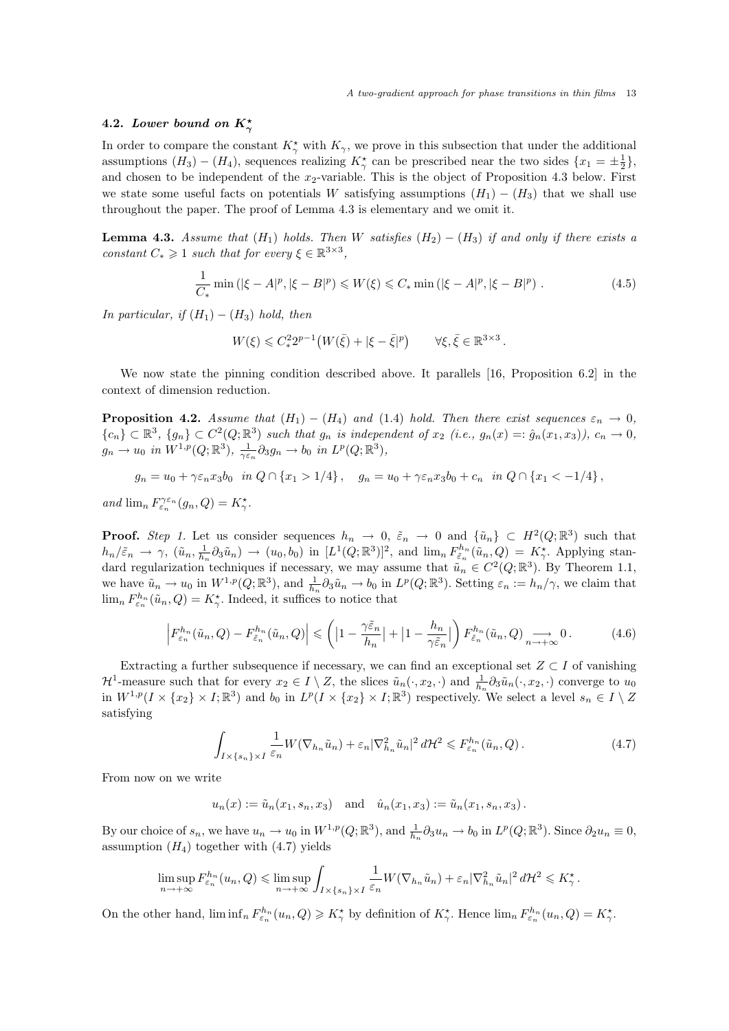.

# 4.2. Lower bound on  $K_{\gamma}^{\star}$

In order to compare the constant  $K^*_{\gamma}$  with  $K_{\gamma}$ , we prove in this subsection that under the additional assumptions  $(H_3) - (H_4)$ , sequences realizing  $K^*_{\gamma}$  can be prescribed near the two sides  $\{x_1 = \pm \frac{1}{2}\}\$ , and chosen to be independent of the  $x_2$ -variable. This is the object of Proposition 4.3 below. First we state some useful facts on potentials W satisfying assumptions  $(H_1) - (H_3)$  that we shall use throughout the paper. The proof of Lemma 4.3 is elementary and we omit it.

**Lemma 4.3.** Assume that  $(H_1)$  holds. Then W satisfies  $(H_2) - (H_3)$  if and only if there exists a constant  $C_* \geq 1$  such that for every  $\xi \in \mathbb{R}^{3 \times 3}$ ,

$$
\frac{1}{C_*} \min\left( |\xi - A|^p, |\xi - B|^p \right) \leqslant W(\xi) \leqslant C_* \min\left( |\xi - A|^p, |\xi - B|^p \right). \tag{4.5}
$$

In particular, if  $(H_1) - (H_3)$  hold, then

$$
W(\xi) \leqslant C_*^2 2^{p-1} \left( W(\bar{\xi}) + |\xi - \bar{\xi}|^p \right) \qquad \forall \xi, \bar{\xi} \in \mathbb{R}^{3 \times 3}
$$

We now state the pinning condition described above. It parallels [16, Proposition 6.2] in the context of dimension reduction.

**Proposition 4.2.** Assume that  $(H_1) - (H_4)$  and  $(1.4)$  hold. Then there exist sequences  $\varepsilon_n \to 0$ ,  ${c_n} \subset \mathbb{R}^3$ ,  ${g_n} \subset C^2(Q;\mathbb{R}^3)$  such that  $g_n$  is independent of  $x_2$  (i.e.,  $g_n(x) = \hat{g}_n(x_1, x_3)$ ),  $c_n \to 0$ ,  $g_n \to u_0$  in  $W^{1,p}(Q;\mathbb{R}^3)$ ,  $\frac{1}{\gamma \varepsilon_n} \partial_3 g_n \to b_0$  in  $L^p(Q;\mathbb{R}^3)$ ,

 $g_n = u_0 + \gamma \varepsilon_n x_3 b_0$  in  $Q \cap \{x_1 > 1/4\}$ ,  $g_n = u_0 + \gamma \varepsilon_n x_3 b_0 + c_n$  in  $Q \cap \{x_1 < -1/4\}$ ,

and  $\lim_{n} F_{\varepsilon_n}^{\gamma \varepsilon_n} (g_n, Q) = K_{\gamma}^*$ .

**Proof.** Step 1. Let us consider sequences  $h_n \to 0$ ,  $\tilde{\varepsilon}_n \to 0$  and  $\{\tilde{u}_n\} \subset H^2(Q;\mathbb{R}^3)$  such that  $h_n/\tilde{\varepsilon}_n \to \gamma$ ,  $(\tilde{u}_n, \frac{1}{h_n} \partial_3 \tilde{u}_n) \to (u_0, b_0)$  in  $[L^1(Q; \mathbb{R}^3)]^2$ , and  $\lim_n F^{h_n}_{\tilde{\varepsilon}_n}(\tilde{u}_n, Q) = K^{\star}_{\gamma}$ . Applying standard regularization techniques if necessary, we may assume that  $\tilde{u}_n \in C^2(Q;\mathbb{R}^3)$ . By Theorem 1.1, we have  $\tilde{u}_n \to u_0$  in  $W^{1,p}(Q;\mathbb{R}^3)$ , and  $\frac{1}{h_n} \partial_3 \tilde{u}_n \to b_0$  in  $L^p(Q;\mathbb{R}^3)$ . Setting  $\varepsilon_n := h_n/\gamma$ , we claim that  $\lim_{n} F_{\varepsilon_n}^{h_n}(\tilde{u}_n, Q) = K_{\gamma}^{\star}$ . Indeed, it suffices to notice that

$$
\left| F_{\varepsilon_n}^{h_n}(\tilde{u}_n, Q) - F_{\tilde{\varepsilon}_n}^{h_n}(\tilde{u}_n, Q) \right| \leq \left( \left| 1 - \frac{\gamma \tilde{\varepsilon}_n}{h_n} \right| + \left| 1 - \frac{h_n}{\gamma \tilde{\varepsilon}_n} \right| \right) F_{\tilde{\varepsilon}_n}^{h_n}(\tilde{u}_n, Q) \underset{n \to +\infty}{\longrightarrow} 0. \tag{4.6}
$$

Extracting a further subsequence if necessary, we can find an exceptional set  $Z \subset I$  of vanishing  $\mathcal{H}^1$ -measure such that for every  $x_2 \in I \setminus Z$ , the slices  $\tilde{u}_n(\cdot, x_2, \cdot)$  and  $\frac{1}{h_n} \partial_3 \tilde{u}_n(\cdot, x_2, \cdot)$  converge to  $u_0$ in  $W^{1,p}(I \times \{x_2\} \times I;\mathbb{R}^3)$  and  $b_0$  in  $L^p(I \times \{x_2\} \times I;\mathbb{R}^3)$  respectively. We select a level  $s_n \in I \setminus Z$ satisfying

$$
\int_{I \times \{s_n\} \times I} \frac{1}{\varepsilon_n} W(\nabla_{h_n} \tilde{u}_n) + \varepsilon_n |\nabla_{h_n}^2 \tilde{u}_n|^2 d\mathcal{H}^2 \leq F_{\varepsilon_n}^{h_n}(\tilde{u}_n, Q). \tag{4.7}
$$

From now on we write

$$
u_n(x) := \tilde{u}_n(x_1, s_n, x_3)
$$
 and  $\hat{u}_n(x_1, x_3) := \tilde{u}_n(x_1, s_n, x_3)$ .

By our choice of  $s_n$ , we have  $u_n \to u_0$  in  $W^{1,p}(Q;\mathbb{R}^3)$ , and  $\frac{1}{h_n} \partial_3 u_n \to b_0$  in  $L^p(Q;\mathbb{R}^3)$ . Since  $\partial_2 u_n \equiv 0$ , assumption  $(H_4)$  together with  $(4.7)$  yields

$$
\limsup_{n \to +\infty} F_{\varepsilon_n}^{h_n}(u_n, Q) \le \limsup_{n \to +\infty} \int_{I \times \{s_n\} \times I} \frac{1}{\varepsilon_n} W(\nabla_{h_n}\tilde{u}_n) + \varepsilon_n |\nabla_{h_n}^2 \tilde{u}_n|^2 d\mathcal{H}^2 \le K_\gamma^*.
$$

On the other hand,  $\liminf_n F_{\varepsilon_n}^{h_n}(u_n, Q) \geq K_\gamma^*$  by definition of  $K_\gamma^*$ . Hence  $\lim_n F_{\varepsilon_n}^{h_n}(u_n, Q) = K_\gamma^*$ .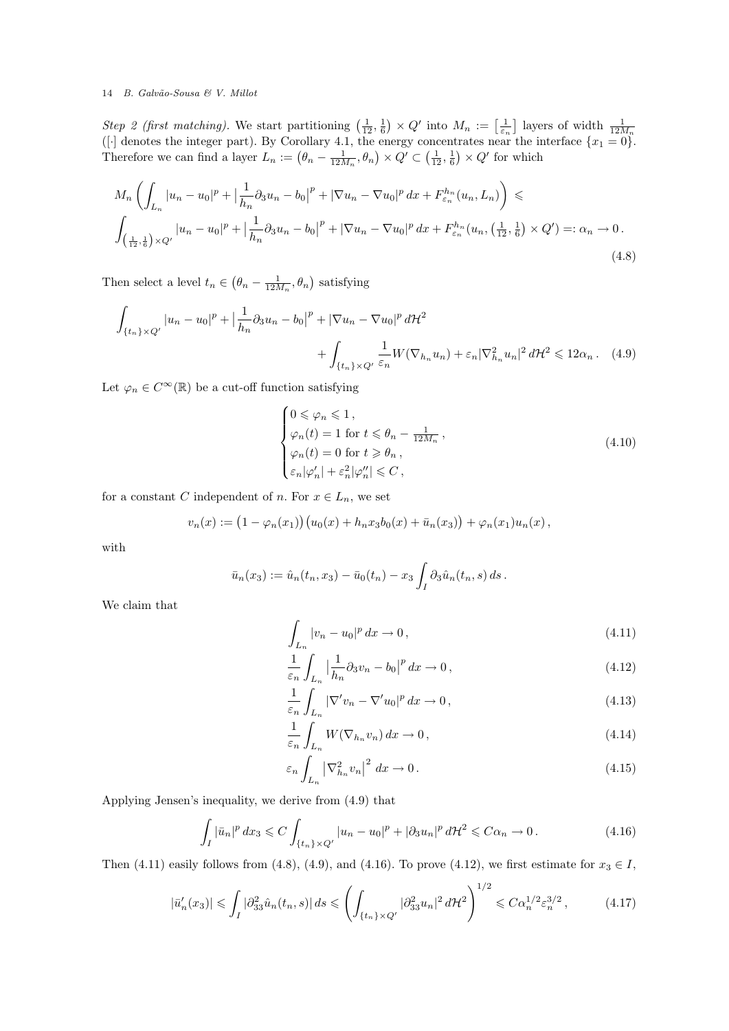Step 2 (first matching). We start partitioning  $\left(\frac{1}{12}, \frac{1}{6}\right) \times Q'$  into  $M_n := \left[\frac{1}{\varepsilon_n}\right]$  layers of width  $\frac{1}{12M_n}$ <br>([·] denotes the integer part). By Corollary 4.1, the energy concentrates near the interface Therefore we can find a layer  $L_n := (\theta_n - \frac{1}{12M_n}, \theta_n) \times Q' \subset (\frac{1}{12}, \frac{1}{6}) \times Q'$  for which

$$
M_{n}\left(\int_{L_{n}}|u_{n}-u_{0}|^{p}+\left|\frac{1}{h_{n}}\partial_{3}u_{n}-b_{0}\right|^{p}+|\nabla u_{n}-\nabla u_{0}|^{p} dx + F_{\varepsilon_{n}}^{h_{n}}(u_{n},L_{n})\right) \leq
$$
  

$$
\int_{\left(\frac{1}{12},\frac{1}{6}\right)\times Q'}|u_{n}-u_{0}|^{p}+\left|\frac{1}{h_{n}}\partial_{3}u_{n}-b_{0}\right|^{p}+|\nabla u_{n}-\nabla u_{0}|^{p} dx + F_{\varepsilon_{n}}^{h_{n}}(u_{n},\left(\frac{1}{12},\frac{1}{6}\right)\times Q') =: \alpha_{n} \to 0.
$$
\n(4.8)

Then select a level  $t_n \in (\theta_n - \frac{1}{12M_n}, \theta_n)$  satisfying

$$
\int_{\{t_n\}\times Q'} |u_n - u_0|^p + \left|\frac{1}{h_n}\partial_3 u_n - b_0\right|^p + |\nabla u_n - \nabla u_0|^p d\mathcal{H}^2 + \int_{\{t_n\}\times Q'} \frac{1}{\varepsilon_n} W(\nabla_{h_n} u_n) + \varepsilon_n |\nabla_{h_n}^2 u_n|^2 d\mathcal{H}^2 \leq 12\alpha_n. \tag{4.9}
$$

Let  $\varphi_n \in C^{\infty}(\mathbb{R})$  be a cut-off function satisfying

$$
\begin{cases}\n0 \leqslant \varphi_n \leqslant 1, \\
\varphi_n(t) = 1 \text{ for } t \leqslant \theta_n - \frac{1}{12M_n}, \\
\varphi_n(t) = 0 \text{ for } t \geqslant \theta_n, \\
\varepsilon_n |\varphi'_n| + \varepsilon_n^2 |\varphi''_n| \leqslant C,\n\end{cases}
$$
\n(4.10)

for a constant C independent of n. For  $x \in L_n$ , we set

$$
v_n(x) := (1 - \varphi_n(x_1))(u_0(x) + h_n x_3 b_0(x) + \bar{u}_n(x_3)) + \varphi_n(x_1) u_n(x),
$$

with

$$
\bar{u}_n(x_3) := \hat{u}_n(t_n, x_3) - \bar{u}_0(t_n) - x_3 \int_I \partial_3 \hat{u}_n(t_n, s) ds.
$$

We claim that

$$
\int_{L_n} |v_n - u_0|^p \, dx \to 0,\tag{4.11}
$$

$$
\frac{1}{\varepsilon_n} \int_{L_n} \left| \frac{1}{h_n} \partial_3 v_n - b_0 \right|^p dx \to 0, \tag{4.12}
$$

$$
\frac{1}{\varepsilon_n} \int_{L_n} |\nabla' v_n - \nabla' u_0|^p dx \to 0,
$$
\n(4.13)

$$
\frac{1}{\varepsilon_n} \int_{L_n} W(\nabla_{h_n} v_n) \, dx \to 0, \tag{4.14}
$$

$$
\varepsilon_n \int_{L_n} \left| \nabla_{h_n}^2 v_n \right|^2 dx \to 0. \tag{4.15}
$$

Applying Jensen's inequality, we derive from (4.9) that

$$
\int_{I} |\bar{u}_n|^p dx_3 \leqslant C \int_{\{t_n\} \times Q'} |u_n - u_0|^p + |\partial_3 u_n|^p d\mathcal{H}^2 \leqslant C\alpha_n \to 0. \tag{4.16}
$$

Then (4.11) easily follows from (4.8), (4.9), and (4.16). To prove (4.12), we first estimate for  $x_3 \in I$ ,

$$
|\bar{u}'_n(x_3)| \leq \int_I |\partial_{33}^2 \hat{u}_n(t_n, s)| ds \leq \left( \int_{\{t_n\} \times Q'} |\partial_{33}^2 u_n|^2 d\mathcal{H}^2 \right)^{1/2} \leq C \alpha_n^{1/2} \varepsilon_n^{3/2},\tag{4.17}
$$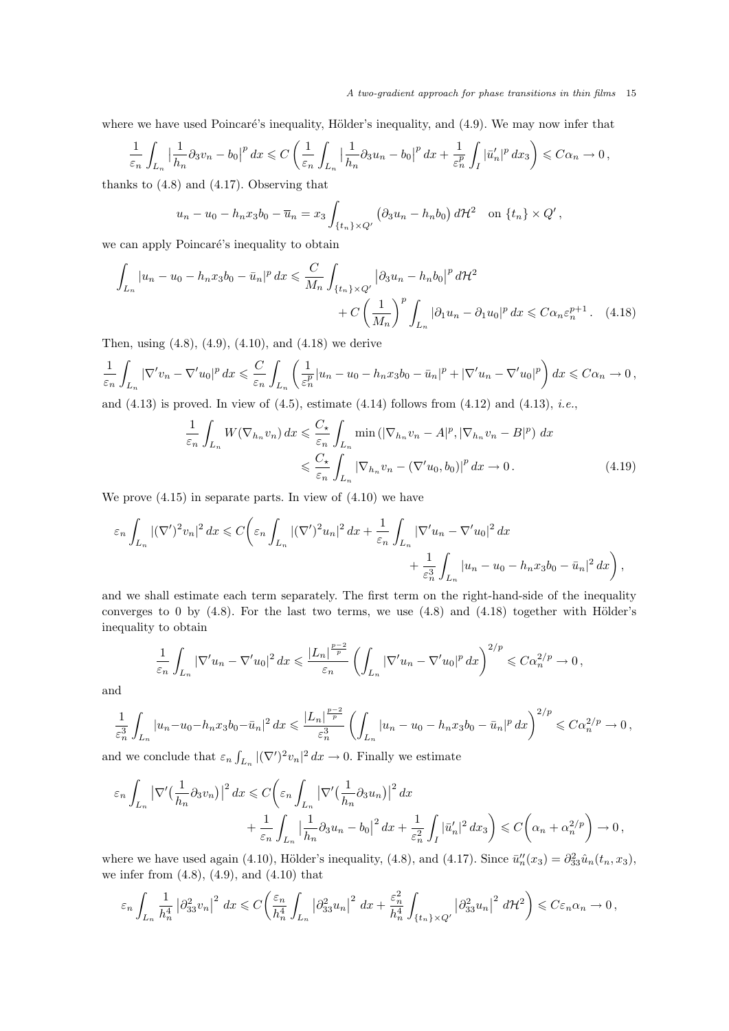where we have used Poincaré's inequality, Hölder's inequality, and (4.9). We may now infer that

$$
\frac{1}{\varepsilon_n} \int_{L_n} \left| \frac{1}{h_n} \partial_3 v_n - b_0 \right|^p dx \leqslant C \left( \frac{1}{\varepsilon_n} \int_{L_n} \left| \frac{1}{h_n} \partial_3 u_n - b_0 \right|^p dx + \frac{1}{\varepsilon_n^p} \int_I |\bar{u}'_n|^p dx_3 \right) \leqslant C \alpha_n \to 0,
$$

thanks to (4.8) and (4.17). Observing that

$$
u_n - u_0 - h_n x_3 b_0 - \overline{u}_n = x_3 \int_{\{t_n\} \times Q'} \left( \partial_3 u_n - h_n b_0 \right) d\mathcal{H}^2 \quad \text{on } \{t_n\} \times Q',
$$

we can apply Poincaré's inequality to obtain

$$
\int_{L_n} |u_n - u_0 - h_n x_3 b_0 - \bar{u}_n|^p dx \leq \frac{C}{M_n} \int_{\{t_n\} \times Q'} \left| \partial_3 u_n - h_n b_0 \right|^p d\mathcal{H}^2 + C \left( \frac{1}{M_n} \right)^p \int_{L_n} \left| \partial_1 u_n - \partial_1 u_0 \right|^p dx \leq C \alpha_n \varepsilon_n^{p+1} . \tag{4.18}
$$

Then, using (4.8), (4.9), (4.10), and (4.18) we derive

$$
\frac{1}{\varepsilon_n} \int_{L_n} |\nabla' v_n - \nabla' u_0|^p dx \leqslant \frac{C}{\varepsilon_n} \int_{L_n} \left( \frac{1}{\varepsilon_n^p} |u_n - u_0 - h_n x_3 b_0 - \bar{u}_n|^p + |\nabla' u_n - \nabla' u_0|^p \right) dx \leqslant C\alpha_n \to 0,
$$

and  $(4.13)$  is proved. In view of  $(4.5)$ , estimate  $(4.14)$  follows from  $(4.12)$  and  $(4.13)$ , *i.e.*,

$$
\frac{1}{\varepsilon_n} \int_{L_n} W(\nabla_{h_n} v_n) dx \leqslant \frac{C_\star}{\varepsilon_n} \int_{L_n} \min\left( |\nabla_{h_n} v_n - A|^p, |\nabla_{h_n} v_n - B|^p \right) dx
$$
  

$$
\leqslant \frac{C_\star}{\varepsilon_n} \int_{L_n} |\nabla_{h_n} v_n - (\nabla' u_0, b_0)|^p dx \to 0.
$$
 (4.19)

We prove (4.15) in separate parts. In view of (4.10) we have

$$
\varepsilon_n \int_{L_n} |(\nabla')^2 v_n|^2 dx \leqslant C \bigg( \varepsilon_n \int_{L_n} |(\nabla')^2 u_n|^2 dx + \frac{1}{\varepsilon_n} \int_{L_n} |\nabla' u_n - \nabla' u_0|^2 dx + \frac{1}{\varepsilon_n^3} \int_{L_n} |u_n - u_0 - h_n x_3 b_0 - \bar{u}_n|^2 dx \bigg),
$$

and we shall estimate each term separately. The first term on the right-hand-side of the inequality converges to 0 by  $(4.8)$ . For the last two terms, we use  $(4.8)$  and  $(4.18)$  together with Hölder's inequality to obtain

$$
\frac{1}{\varepsilon_n} \int_{L_n} |\nabla' u_n - \nabla' u_0|^2 dx \leqslant \frac{|L_n|^{\frac{p-2}{p}}}{\varepsilon_n} \left( \int_{L_n} |\nabla' u_n - \nabla' u_0|^p dx \right)^{2/p} \leqslant C \alpha_n^{2/p} \to 0,
$$

and

$$
\frac{1}{\varepsilon_n^3} \int_{L_n} |u_n - u_0 - h_n x_3 b_0 - \bar{u}_n|^2 dx \leqslant \frac{|L_n|^{\frac{p-2}{p}}}{\varepsilon_n^3} \left( \int_{L_n} |u_n - u_0 - h_n x_3 b_0 - \bar{u}_n|^p dx \right)^{2/p} \leqslant C \alpha_n^{2/p} \to 0,
$$

and we conclude that  $\varepsilon_n \int_{L_n} |(\nabla')^2 v_n|^2 dx \to 0$ . Finally we estimate

$$
\varepsilon_n \int_{L_n} \left| \nabla' \left( \frac{1}{h_n} \partial_3 v_n \right) \right|^2 dx \leq C \bigg( \varepsilon_n \int_{L_n} \left| \nabla' \left( \frac{1}{h_n} \partial_3 u_n \right) \right|^2 dx + \frac{1}{\varepsilon_n} \int_{L_n} \left| \frac{1}{h_n} \partial_3 u_n - b_0 \right|^2 dx + \frac{1}{\varepsilon_n^2} \int_I |\bar{u}'_n|^2 dx_3 \bigg) \leq C \bigg( \alpha_n + \alpha_n^{2/p} \bigg) \to 0,
$$

where we have used again (4.10), Hölder's inequality, (4.8), and (4.17). Since  $\bar{u}_n''(x_3) = \partial_{33}^2 \hat{u}_n(t_n, x_3)$ , we infer from  $(4.8)$ ,  $(4.9)$ , and  $(4.10)$  that

$$
\varepsilon_n \int_{L_n} \frac{1}{h_n^4} \left| \partial_{33}^2 v_n \right|^2 dx \leqslant C \left( \frac{\varepsilon_n}{h_n^4} \int_{L_n} \left| \partial_{33}^2 u_n \right|^2 dx + \frac{\varepsilon_n^2}{h_n^4} \int_{\{t_n\} \times Q'} \left| \partial_{33}^2 u_n \right|^2 d\mathcal{H}^2 \right) \leqslant C \varepsilon_n \alpha_n \to 0,
$$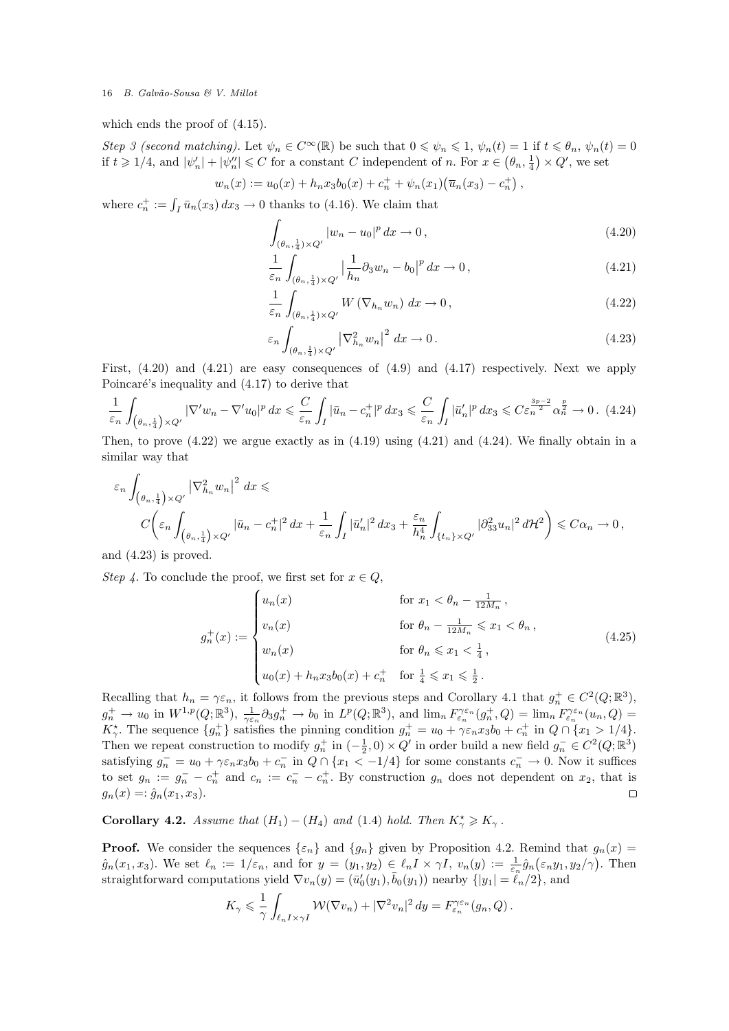which ends the proof of (4.15).

Step 3 (second matching). Let  $\psi_n \in C^{\infty}(\mathbb{R})$  be such that  $0 \leq \psi_n \leq 1$ ,  $\psi_n(t) = 1$  if  $t \leq \theta_n$ ,  $\psi_n(t) = 0$ if  $t \geq 1/4$ , and  $|\psi'_n| + |\psi''_n| \leq C$  for a constant C independent of n. For  $x \in (\theta_n, \frac{1}{4}) \times Q'$ , we set

$$
w_n(x) := u_0(x) + h_n x_3 b_0(x) + c_n^+ + \psi_n(x_1) (\overline{u}_n(x_3) - c_n^+),
$$

where  $c_n^+ := \int_I \bar{u}_n(x_3) dx_3 \to 0$  thanks to (4.16). We claim that

$$
\int_{(\theta_n, \frac{1}{4}) \times Q'} |w_n - u_0|^p \, dx \to 0, \tag{4.20}
$$

$$
\frac{1}{\varepsilon_n} \int_{(\theta_n, \frac{1}{4}) \times Q'} \left| \frac{1}{h_n} \partial_3 w_n - b_0 \right|^p dx \to 0, \qquad (4.21)
$$

$$
\frac{1}{\varepsilon_n} \int_{(\theta_n, \frac{1}{4}) \times Q'} W(\nabla_{h_n} w_n) dx \to 0, \qquad (4.22)
$$

$$
\varepsilon_n \int_{(\theta_n, \frac{1}{4}) \times Q'} \left| \nabla_{h_n}^2 w_n \right|^2 dx \to 0. \tag{4.23}
$$

First,  $(4.20)$  and  $(4.21)$  are easy consequences of  $(4.9)$  and  $(4.17)$  respectively. Next we apply Poincaré's inequality and  $(4.17)$  to derive that

$$
\frac{1}{\varepsilon_n} \int_{\left(\theta_n, \frac{1}{4}\right) \times Q'} |\nabla' w_n - \nabla' u_0|^p dx \leqslant \frac{C}{\varepsilon_n} \int_I |\bar{u}_n - c_n^+|^p dx_3 \leqslant \frac{C}{\varepsilon_n} \int_I |\bar{u}'_n|^p dx_3 \leqslant C \varepsilon_n^{\frac{3p-2}{2}} \alpha_n^{\frac{p}{2}} \to 0. \tag{4.24}
$$

Then, to prove  $(4.22)$  we argue exactly as in  $(4.19)$  using  $(4.21)$  and  $(4.24)$ . We finally obtain in a similar way that

$$
\varepsilon_n \int_{(\theta_n, \frac{1}{4}) \times Q'} |\nabla_{h_n}^2 w_n|^2 dx \le
$$
  

$$
C \left( \varepsilon_n \int_{(\theta_n, \frac{1}{4}) \times Q'} |\bar{u}_n - c_n^+|^2 dx + \frac{1}{\varepsilon_n} \int_I |\bar{u}'_n|^2 dx_3 + \frac{\varepsilon_n}{h_n^4} \int_{\{t_n\} \times Q'} |\partial_{33}^2 u_n|^2 d\mathcal{H}^2 \right) \leq C\alpha_n \to 0,
$$

and (4.23) is proved.

Step 4. To conclude the proof, we first set for  $x \in Q$ ,

$$
g_n^+(x) := \begin{cases} u_n(x) & \text{for } x_1 < \theta_n - \frac{1}{12M_n}, \\ v_n(x) & \text{for } \theta_n - \frac{1}{12M_n} \leq x_1 < \theta_n, \\ w_n(x) & \text{for } \theta_n \leq x_1 < \frac{1}{4}, \\ u_0(x) + h_n x_3 b_0(x) + c_n^+ & \text{for } \frac{1}{4} \leq x_1 \leq \frac{1}{2} \end{cases} \tag{4.25}
$$

Recalling that  $h_n = \gamma \varepsilon_n$ , it follows from the previous steps and Corollary 4.1 that  $g_n^+ \in C^2(Q; \mathbb{R}^3)$ ,  $g_n^+ \to u_0$  in  $W^{1,p}(Q;\mathbb{R}^3)$ ,  $\frac{1}{\gamma \varepsilon_n} \partial_3 g_n^+ \to b_0$  in  $L^p(Q;\mathbb{R}^3)$ , and  $\lim_n F_{\varepsilon_n}^{\gamma \varepsilon_n}(g_n^+,Q) = \lim_n F_{\varepsilon_n}^{\gamma \varepsilon_n}(u_n,Q) =$  $K_{\gamma}^{\star}$ . The sequence  $\{g_n^+\}$  satisfies the pinning condition  $g_n^+ = u_0 + \gamma \varepsilon_n x_3 b_0 + c_n^+$  in  $Q \cap \{x_1 > 1/4\}$ . Then we repeat construction to modify  $g_n^+$  in  $(-\frac{1}{2},0) \times Q'$  in order build a new field  $g_n^- \in C^2(Q;\mathbb{R}^3)$ satisfying  $g_n^- = u_0 + \gamma \varepsilon_n x_3 b_0 + c_n^-$  in  $Q \cap \{x_1 < -1/4\}$  for some constants  $c_n^- \to 0$ . Now it suffices to set  $g_n := g_n^- - c_n^+$  and  $c_n := c_n^- - c_n^+$ . By construction  $g_n$  does not dependent on  $x_2$ , that is  $g_n(x) =: \hat{g}_n(x_1, x_3).$  $\Box$ 

**Corollary 4.2.** Assume that  $(H_1) - (H_4)$  and  $(1.4)$  hold. Then  $K^*_{\gamma} \geq K_{\gamma}$ .

**Proof.** We consider the sequences  $\{\varepsilon_n\}$  and  $\{g_n\}$  given by Proposition 4.2. Remind that  $g_n(x)$  $\hat{g}_n(x_1, x_3)$ . We set  $\ell_n := 1/\varepsilon_n$ , and for  $y = (y_1, y_2) \in \ell_n I \times \gamma I$ ,  $v_n(y) := \frac{1}{\varepsilon_n} \hat{g}_n(\varepsilon_n y_1, y_2/\gamma)$ . Then straightforward computations yield  $\nabla v_n(y) = (\bar{u}'_0(y_1), \bar{b}_0(y_1))$  nearby  $\{|y_1| = \ell_n/2\}$ , and

$$
K_{\gamma} \leqslant \frac{1}{\gamma} \int_{\ell_n I \times \gamma I} \mathcal{W}(\nabla v_n) + |\nabla^2 v_n|^2 \, dy = F_{\varepsilon_n}^{\gamma \varepsilon_n}(g_n, Q) \, .
$$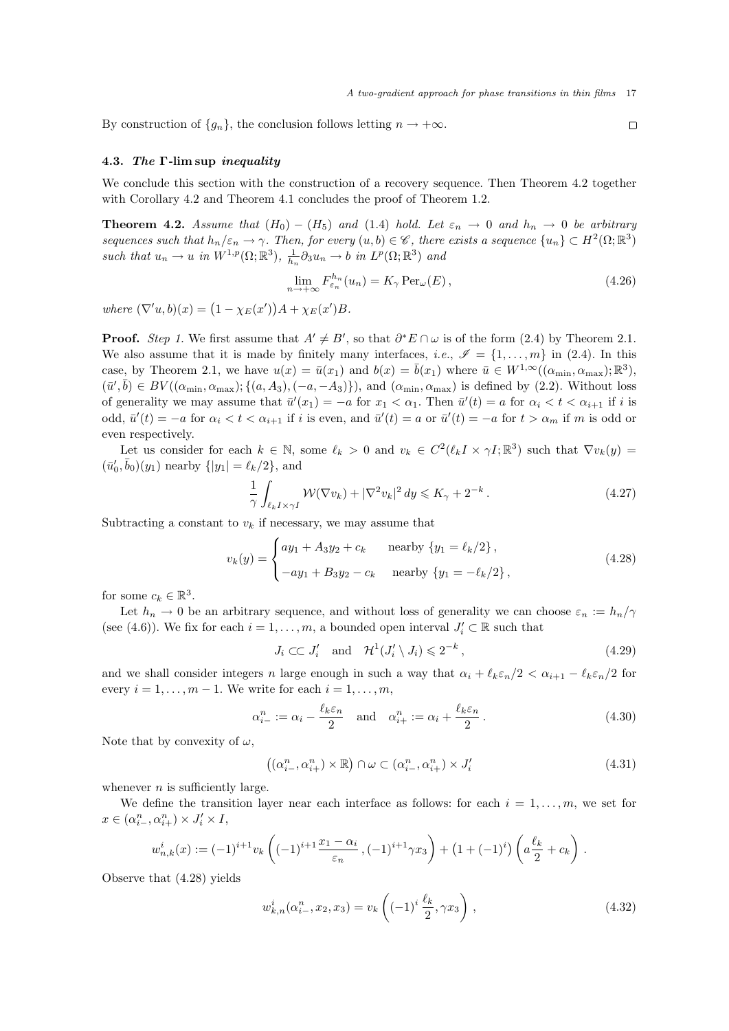By construction of  $\{g_n\}$ , the conclusion follows letting  $n \to +\infty$ .

### 4.3. The Γ-lim sup inequality

We conclude this section with the construction of a recovery sequence. Then Theorem 4.2 together with Corollary 4.2 and Theorem 4.1 concludes the proof of Theorem 1.2.

**Theorem 4.2.** Assume that  $(H_0) - (H_5)$  and  $(1.4)$  hold. Let  $\varepsilon_n \to 0$  and  $h_n \to 0$  be arbitrary sequences such that  $h_n/\varepsilon_n \to \gamma$ . Then, for every  $(u, b) \in \mathscr{C}$ , there exists a sequence  $\{u_n\} \subset H^2(\Omega; \mathbb{R}^3)$ such that  $u_n \to u$  in  $W^{1,p}(\Omega;\mathbb{R}^3)$ ,  $\frac{1}{h_n} \partial_3 u_n \to b$  in  $L^p(\Omega;\mathbb{R}^3)$  and

$$
\lim_{n \to +\infty} F_{\varepsilon_n}^{h_n}(u_n) = K_\gamma \operatorname{Per}_\omega(E), \tag{4.26}
$$

where  $(\nabla' u, b)(x) = (1 - \chi_E(x'))A + \chi_E(x')B$ .

**Proof.** Step 1. We first assume that  $A' \neq B'$ , so that  $\partial^* E \cap \omega$  is of the form (2.4) by Theorem 2.1. We also assume that it is made by finitely many interfaces, *i.e.*,  $\mathscr{I} = \{1, \ldots, m\}$  in (2.4). In this case, by Theorem 2.1, we have  $u(x) = \bar{u}(x_1)$  and  $b(x) = \bar{b}(x_1)$  where  $\bar{u} \in W^{1,\infty}((\alpha_{\min}, \alpha_{\max}); \mathbb{R}^3)$ ,  $(\bar{u}', \bar{b}) \in BV((\alpha_{\min}, \alpha_{\max}); \{(a, A_3), (-a, -A_3)\})$ , and  $(\alpha_{\min}, \alpha_{\max})$  is defined by (2.2). Without loss of generality we may assume that  $\bar{u}'(x_1) = -a$  for  $x_1 < \alpha_1$ . Then  $\bar{u}'(t) = a$  for  $\alpha_i < t < \alpha_{i+1}$  if i is odd,  $\bar{u}'(t) = -a$  for  $\alpha_i < t < \alpha_{i+1}$  if i is even, and  $\bar{u}'(t) = a$  or  $\bar{u}'(t) = -a$  for  $t > \alpha_m$  if m is odd or even respectively.

Let us consider for each  $k \in \mathbb{N}$ , some  $\ell_k > 0$  and  $v_k \in C^2(\ell_k I \times \gamma I; \mathbb{R}^3)$  such that  $\nabla v_k(y) =$  $(\bar{u}'_0, \bar{b}_0)(y_1)$  nearby  $\{|y_1| = \ell_k/2\}$ , and

$$
\frac{1}{\gamma} \int_{\ell_k I \times \gamma I} \mathcal{W}(\nabla v_k) + |\nabla^2 v_k|^2 \, dy \leqslant K_\gamma + 2^{-k} \,. \tag{4.27}
$$

Subtracting a constant to  $v_k$  if necessary, we may assume that

$$
v_k(y) = \begin{cases} ay_1 + A_3y_2 + c_k & \text{nearby } \{y_1 = \ell_k/2\}, \\ -ay_1 + B_3y_2 - c_k & \text{nearby } \{y_1 = -\ell_k/2\}, \end{cases}
$$
(4.28)

for some  $c_k \in \mathbb{R}^3$ .

Let  $h_n \to 0$  be an arbitrary sequence, and without loss of generality we can choose  $\varepsilon_n := h_n/\gamma$ (see (4.6)). We fix for each  $i = 1, \ldots, m$ , a bounded open interval  $J'_i \subset \mathbb{R}$  such that

$$
J_i \subset\subset J'_i \quad \text{and} \quad \mathcal{H}^1(J'_i \setminus J_i) \leqslant 2^{-k} \,, \tag{4.29}
$$

and we shall consider integers n large enough in such a way that  $\alpha_i + \ell_k \varepsilon_n/2 < \alpha_{i+1} - \ell_k \varepsilon_n/2$  for every  $i = 1, \ldots, m - 1$ . We write for each  $i = 1, \ldots, m$ ,

$$
\alpha_{i-}^{n} := \alpha_i - \frac{\ell_k \varepsilon_n}{2} \quad \text{and} \quad \alpha_{i+}^{n} := \alpha_i + \frac{\ell_k \varepsilon_n}{2} \,. \tag{4.30}
$$

Note that by convexity of  $\omega$ ,

$$
((\alpha_{i}^{n}, \alpha_{i+}^{n}) \times \mathbb{R}) \cap \omega \subset (\alpha_{i}^{n}, \alpha_{i+}^{n}) \times J'_{i}
$$
\n
$$
(4.31)
$$

whenever  $n$  is sufficiently large.

We define the transition layer near each interface as follows: for each  $i = 1, \ldots, m$ , we set for  $x \in (\alpha_{i-}^n, \alpha_{i+}^n) \times J'_i \times I$ ,

$$
w_{n,k}^i(x) := (-1)^{i+1} v_k \left( (-1)^{i+1} \frac{x_1 - \alpha_i}{\varepsilon_n}, (-1)^{i+1} \gamma x_3 \right) + (1 + (-1)^i) \left( a \frac{\ell_k}{2} + c_k \right).
$$

Observe that (4.28) yields

$$
w_{k,n}^i(\alpha_{i-}^n, x_2, x_3) = v_k\left((-1)^i \frac{\ell_k}{2}, \gamma x_3\right), \qquad (4.32)
$$

 $\Box$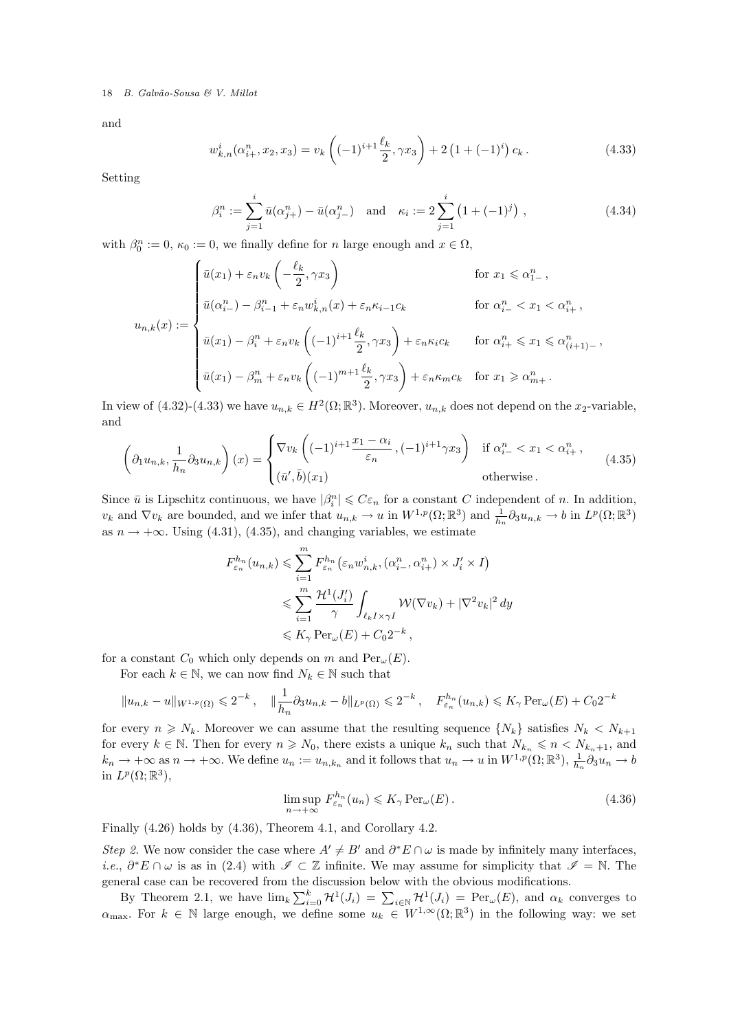and

$$
w_{k,n}^i(\alpha_{i+}^n, x_2, x_3) = v_k\left((-1)^{i+1}\frac{\ell_k}{2}, \gamma x_3\right) + 2\left(1 + (-1)^i\right)c_k.
$$
 (4.33)

Setting

$$
\beta_i^n := \sum_{j=1}^i \bar{u}(\alpha_{j+}^n) - \bar{u}(\alpha_{j-}^n) \quad \text{and} \quad \kappa_i := 2 \sum_{j=1}^i \left(1 + (-1)^j\right), \tag{4.34}
$$

,

with  $\beta_0^n := 0$ ,  $\kappa_0 := 0$ , we finally define for *n* large enough and  $x \in \Omega$ ,

$$
u_{n,k}(x) := \begin{cases} \bar{u}(x_1) + \varepsilon_n v_k \left( -\frac{\ell_k}{2}, \gamma x_3 \right) & \text{for } x_1 \leq \alpha_{1-}^n, \\ \bar{u}(\alpha_{i-}^n) - \beta_{i-1}^n + \varepsilon_n w_{k,n}^i(x) + \varepsilon_n \kappa_{i-1} c_k & \text{for } \alpha_{i-}^n < x_1 < \alpha_{i+}^n, \\ \bar{u}(x_1) - \beta_i^n + \varepsilon_n v_k \left( (-1)^{i+1} \frac{\ell_k}{2}, \gamma x_3 \right) + \varepsilon_n \kappa_i c_k & \text{for } \alpha_{i+}^n \leq x_1 \leq \alpha_{(i+1)-}^n, \\ \bar{u}(x_1) - \beta_m^n + \varepsilon_n v_k \left( (-1)^{m+1} \frac{\ell_k}{2}, \gamma x_3 \right) + \varepsilon_n \kappa_m c_k & \text{for } x_1 \geq \alpha_{m+}^n. \end{cases}
$$

In view of  $(4.32)-(4.33)$  we have  $u_{n,k} \in H^2(\Omega;\mathbb{R}^3)$ . Moreover,  $u_{n,k}$  does not depend on the  $x_2$ -variable, and

$$
\left(\partial_1 u_{n,k}, \frac{1}{h_n} \partial_3 u_{n,k}\right)(x) = \begin{cases} \nabla v_k \left((-1)^{i+1} \frac{x_1 - \alpha_i}{\varepsilon_n}, (-1)^{i+1} \gamma x_3\right) & \text{if } \alpha_{i-}^n < x_1 < \alpha_{i+}^n, \\ \n(\bar{u}', \bar{b})(x_1) & \text{otherwise.} \n\end{cases} \tag{4.35}
$$

Since  $\bar{u}$  is Lipschitz continuous, we have  $|\beta_i^n| \leqslant C\varepsilon_n$  for a constant C independent of n. In addition,  $v_k$  and  $\nabla v_k$  are bounded, and we infer that  $u_{n,k} \to u$  in  $W^{1,p}(\Omega;\mathbb{R}^3)$  and  $\frac{1}{h_n} \partial_3 u_{n,k} \to b$  in  $L^p(\Omega;\mathbb{R}^3)$ as  $n \to +\infty$ . Using (4.31), (4.35), and changing variables, we estimate

$$
F_{\varepsilon_n}^{h_n}(u_{n,k}) \leqslant \sum_{i=1}^m F_{\varepsilon_n}^{h_n}(\varepsilon_n w_{n,k}^i, (\alpha_{i-}^n, \alpha_{i+}^n) \times J_i' \times I)
$$
  

$$
\leqslant \sum_{i=1}^m \frac{\mathcal{H}^1(J_i')}{\gamma} \int_{\ell_k I \times \gamma I} \mathcal{W}(\nabla v_k) + |\nabla^2 v_k|^2 \, dy
$$
  

$$
\leqslant K_\gamma \operatorname{Per}_{\omega}(E) + C_0 2^{-k},
$$

for a constant  $C_0$  which only depends on m and  $\text{Per}_{\omega}(E)$ .

For each  $k \in \mathbb{N}$ , we can now find  $N_k \in \mathbb{N}$  such that

$$
||u_{n,k} - u||_{W^{1,p}(\Omega)} \leq 2^{-k}, \quad ||\frac{1}{h_n} \partial_3 u_{n,k} - b||_{L^p(\Omega)} \leq 2^{-k}, \quad F_{\varepsilon_n}^{h_n}(u_{n,k}) \leq K_\gamma \operatorname{Per}_{\omega}(E) + C_0 2^{-k}
$$

for every  $n \geq N_k$ . Moreover we can assume that the resulting sequence  $\{N_k\}$  satisfies  $N_k \langle N_{k+1} \rangle$ for every  $k \in \mathbb{N}$ . Then for every  $n \geq N_0$ , there exists a unique  $k_n$  such that  $N_{k_n} \leqslant n \leq N_{k_n+1}$ , and  $k_n \to +\infty$  as  $n \to +\infty$ . We define  $u_n := u_{n,k_n}$  and it follows that  $u_n \to u$  in  $W^{1,p}(\Omega;\mathbb{R}^3)$ ,  $\frac{1}{h_n}\partial_3 u_n \to b$ in  $L^p(\Omega;\mathbb{R}^3)$ ,

$$
\limsup_{n \to +\infty} F_{\varepsilon_n}^{h_n}(u_n) \leqslant K_\gamma \operatorname{Per}_{\omega}(E). \tag{4.36}
$$

Finally (4.26) holds by (4.36), Theorem 4.1, and Corollary 4.2.

Step 2. We now consider the case where  $A' \neq B'$  and  $\partial^* E \cap \omega$  is made by infinitely many interfaces, *i.e.*,  $\partial^* E \cap \omega$  is as in (2.4) with  $\mathscr{I} \subset \mathbb{Z}$  infinite. We may assume for simplicity that  $\mathscr{I} = \mathbb{N}$ . The general case can be recovered from the discussion below with the obvious modifications.

By Theorem 2.1, we have  $\lim_k \sum_{i=0}^k \mathcal{H}^1(J_i) = \sum_{i \in \mathbb{N}} \mathcal{H}^1(J_i) = \text{Per}_{\omega}(E)$ , and  $\alpha_k$  converges to  $\alpha_{\max}$ . For  $k \in \mathbb{N}$  large enough, we define some  $u_k \in W^{1,\infty}(\Omega;\mathbb{R}^3)$  in the following way: we set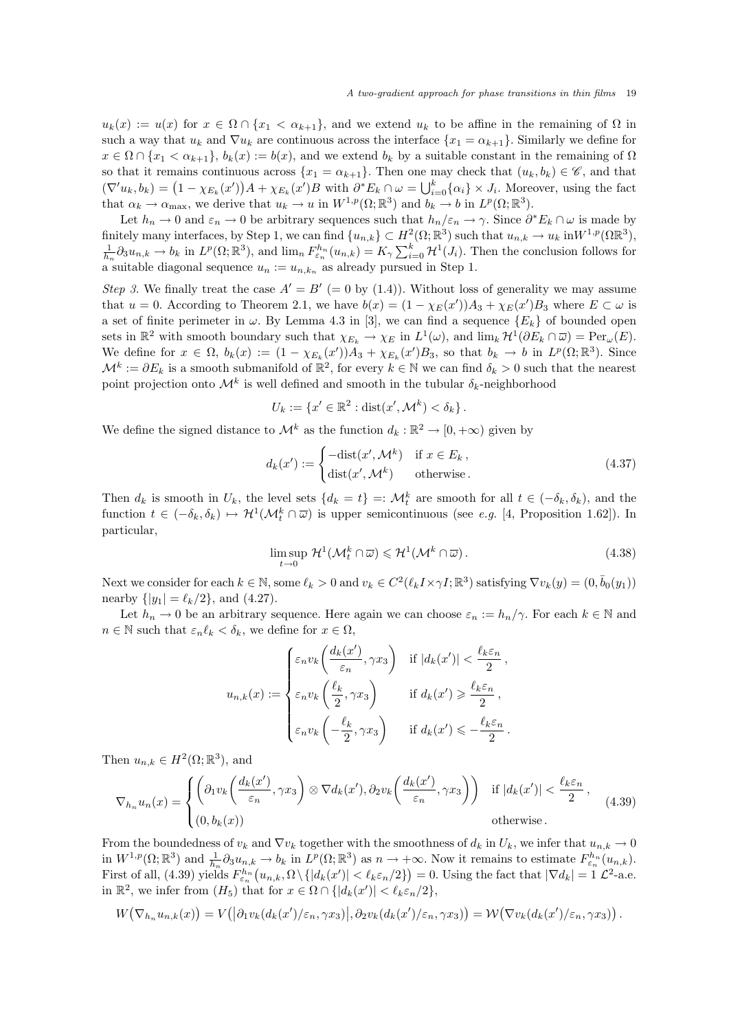$u_k(x) := u(x)$  for  $x \in \Omega \cap \{x_1 < \alpha_{k+1}\}\$ , and we extend  $u_k$  to be affine in the remaining of  $\Omega$  in such a way that  $u_k$  and  $\nabla u_k$  are continuous across the interface  $\{x_1 = \alpha_{k+1}\}\$ . Similarly we define for  $x \in \Omega \cap \{x_1 < \alpha_{k+1}\}, b_k(x) := b(x)$ , and we extend  $b_k$  by a suitable constant in the remaining of  $\Omega$ so that it remains continuous across  $\{x_1 = \alpha_{k+1}\}\$ . Then one may check that  $(u_k, b_k) \in \mathscr{C}$ , and that  $(\nabla' u_k, b_k) = (1 - \chi_{E_k}(x'))A + \chi_{E_k}(x')B$  with  $\partial^* E_k \cap \omega = \bigcup_{i=0}^k {\{\alpha_i\}} \times J_i$ . Moreover, using the fact that  $\alpha_k \to \alpha_{\text{max}}$ , we derive that  $u_k \to u$  in  $W^{1,p}(\Omega;\mathbb{R}^3)$  and  $b_k \to b$  in  $L^p(\Omega;\mathbb{R}^3)$ .

Let  $h_n \to 0$  and  $\varepsilon_n \to 0$  be arbitrary sequences such that  $h_n/\varepsilon_n \to \gamma$ . Since  $\partial^* E_k \cap \omega$  is made by finitely many interfaces, by Step 1, we can find  $\{u_{n,k}\}\subset H^2(\Omega;\mathbb{R}^3)$  such that  $u_{n,k}\to u_k$  in  $W^{1,p}(\Omega\mathbb{R}^3)$ ,  $\frac{1}{h_n}\partial_3 u_{n,k} \to b_k$  in  $L^p(\Omega;\mathbb{R}^3)$ , and  $\lim_n F_{\varepsilon_n}^{h_n}(u_{n,k}) = K_\gamma \sum_{i=0}^k \mathcal{H}^1(J_i)$ . Then the conclusion follows for a suitable diagonal sequence  $u_n := u_{n,k_n}$  as already pursued in Step 1.

Step 3. We finally treat the case  $A' = B' (= 0$  by (1.4)). Without loss of generality we may assume that  $u = 0$ . According to Theorem 2.1, we have  $b(x) = (1 - \chi_E(x'))A_3 + \chi_E(x')B_3$  where  $E \subset \omega$  is a set of finite perimeter in  $\omega$ . By Lemma 4.3 in [3], we can find a sequence  $\{E_k\}$  of bounded open sets in  $\mathbb{R}^2$  with smooth boundary such that  $\chi_{E_k} \to \chi_E$  in  $L^1(\omega)$ , and  $\lim_k \mathcal{H}^1(\partial E_k \cap \overline{\omega}) = \text{Per}_{\omega}(E)$ . We define for  $x \in \Omega$ ,  $b_k(x) := (1 - \chi_{E_k}(x'))A_3 + \chi_{E_k}(x')B_3$ , so that  $b_k \to b$  in  $L^p(\Omega;\mathbb{R}^3)$ . Since  $\mathcal{M}^k := \partial E_k$  is a smooth submanifold of  $\mathbb{R}^2$ , for every  $k \in \mathbb{N}$  we can find  $\delta_k > 0$  such that the nearest point projection onto  $\mathcal{M}^k$  is well defined and smooth in the tubular  $\delta_k$ -neighborhood

$$
U_k := \{x' \in \mathbb{R}^2 : \text{dist}(x', \mathcal{M}^k) < \delta_k\}.
$$

We define the signed distance to  $\mathcal{M}^k$  as the function  $d_k : \mathbb{R}^2 \to [0, +\infty)$  given by

$$
d_k(x') := \begin{cases} -\text{dist}(x', \mathcal{M}^k) & \text{if } x \in E_k, \\ \text{dist}(x', \mathcal{M}^k) & \text{otherwise.} \end{cases}
$$
(4.37)

Then  $d_k$  is smooth in  $U_k$ , the level sets  $\{d_k = t\} =: \mathcal{M}_t^k$  are smooth for all  $t \in (-\delta_k, \delta_k)$ , and the function  $t \in (-\delta_k, \delta_k) \mapsto \mathcal{H}^1(\mathcal{M}_t^k \cap \overline{\omega})$  is upper semicontinuous (see e.g. [4, Proposition 1.62]). In particular,

$$
\limsup_{t \to 0} \mathcal{H}^1(\mathcal{M}_t^k \cap \overline{\omega}) \leq \mathcal{H}^1(\mathcal{M}^k \cap \overline{\omega}). \tag{4.38}
$$

Next we consider for each  $k \in \mathbb{N}$ , some  $\ell_k > 0$  and  $v_k \in C^2(\ell_k I \times \gamma I; \mathbb{R}^3)$  satisfying  $\nabla v_k(y) = (0, \bar{b}_0(y_1))$ nearby  $\{|y_1| = \ell_k/2\}$ , and (4.27).

Let  $h_n \to 0$  be an arbitrary sequence. Here again we can choose  $\varepsilon_n := h_n/\gamma$ . For each  $k \in \mathbb{N}$  and  $n \in \mathbb{N}$  such that  $\varepsilon_n \ell_k < \delta_k$ , we define for  $x \in \Omega$ ,

$$
u_{n,k}(x) := \begin{cases} \varepsilon_n v_k\left(\frac{d_k(x')}{\varepsilon_n}, \gamma x_3\right) & \text{if } |d_k(x')| < \frac{\ell_k \varepsilon_n}{2}, \\ \varepsilon_n v_k\left(\frac{\ell_k}{2}, \gamma x_3\right) & \text{if } d_k(x') \geqslant \frac{\ell_k \varepsilon_n}{2}, \\ \varepsilon_n v_k\left(-\frac{\ell_k}{2}, \gamma x_3\right) & \text{if } d_k(x') \leqslant -\frac{\ell_k \varepsilon_n}{2}. \end{cases}
$$

Then  $u_{n,k} \in H^2(\Omega;\mathbb{R}^3)$ , and

$$
\nabla_{h_n} u_n(x) = \begin{cases} \left( \partial_1 v_k \left( \frac{d_k(x')}{\varepsilon_n}, \gamma x_3 \right) \otimes \nabla d_k(x'), \partial_2 v_k \left( \frac{d_k(x')}{\varepsilon_n}, \gamma x_3 \right) \right) & \text{if } |d_k(x')| < \frac{\ell_k \varepsilon_n}{2}, \\ (0, b_k(x)) & \text{otherwise.} \end{cases} \tag{4.39}
$$

From the boundedness of  $v_k$  and  $\nabla v_k$  together with the smoothness of  $d_k$  in  $U_k$ , we infer that  $u_{n,k} \to 0$ in  $W^{1,p}(\Omega;\mathbb{R}^3)$  and  $\frac{1}{h_n}\partial_3 u_{n,k} \to b_k$  in  $L^p(\Omega;\mathbb{R}^3)$  as  $n \to +\infty$ . Now it remains to estimate  $F_{\varepsilon_n}^{h_n}(u_{n,k})$ . First of all, (4.39) yields  $F_{\varepsilon_n}^{h_n}(u_{n,k}, \Omega \setminus \{|d_k(x')| < \ell_k \varepsilon_n/2\}) = 0$ . Using the fact that  $|\nabla d_k| = 1$   $\mathcal{L}^2$ -a.e. in  $\mathbb{R}^2$ , we infer from  $(H_5)$  that for  $x \in \Omega \cap \{|d_k(x')| < \ell_k \varepsilon_n/2\}$ ,

$$
W(\nabla_{h_n} u_{n,k}(x)) = V\big( \big| \partial_1 v_k(d_k(x')/\varepsilon_n, \gamma x_3) \big|, \partial_2 v_k(d_k(x')/\varepsilon_n, \gamma x_3) \big) = \mathcal{W}(\nabla v_k(d_k(x')/\varepsilon_n, \gamma x_3)) .
$$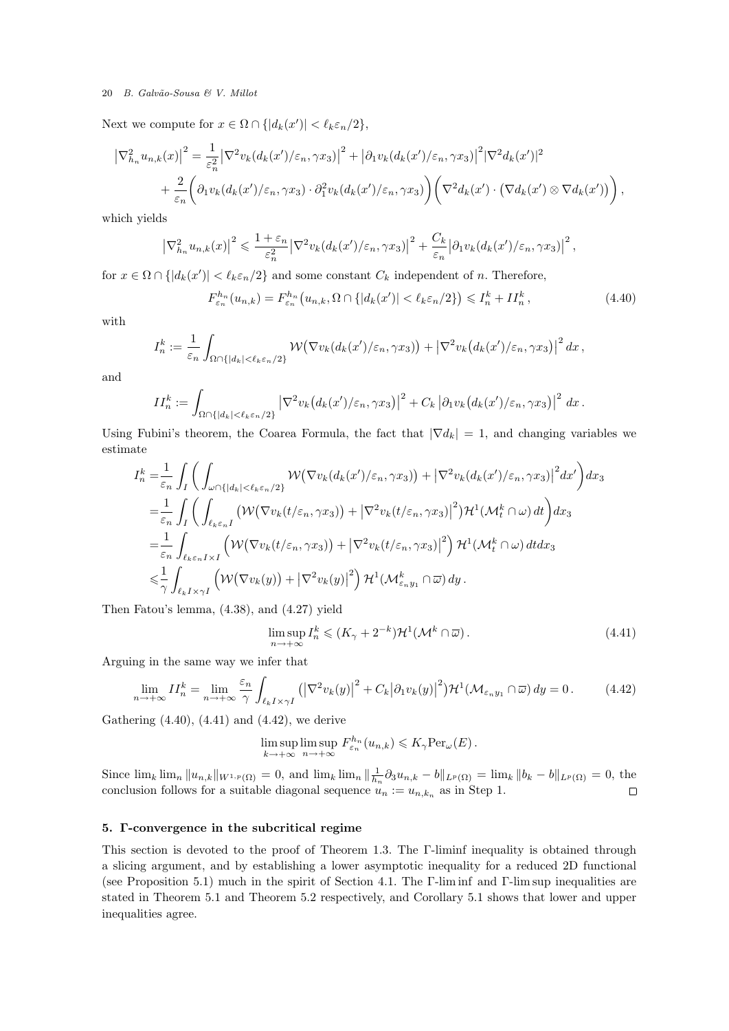Next we compute for  $x \in \Omega \cap \{|d_k(x')| < \ell_k \varepsilon_n/2\},\$ 

$$
\left|\nabla_{h_n}^2 u_{n,k}(x)\right|^2 = \frac{1}{\varepsilon_n^2} \left|\nabla^2 v_k(d_k(x')/\varepsilon_n, \gamma x_3)\right|^2 + \left|\partial_1 v_k(d_k(x')/\varepsilon_n, \gamma x_3)\right|^2 \left|\nabla^2 d_k(x')\right|^2
$$
  
+ 
$$
\frac{2}{\varepsilon_n} \left(\partial_1 v_k(d_k(x')/\varepsilon_n, \gamma x_3) \cdot \partial_1^2 v_k(d_k(x')/\varepsilon_n, \gamma x_3)\right) \left(\nabla^2 d_k(x') \cdot \left(\nabla d_k(x') \otimes \nabla d_k(x')\right)\right),
$$

which yields

$$
\left|\nabla_{h_n}^2 u_{n,k}(x)\right|^2 \leqslant \frac{1+\varepsilon_n}{\varepsilon_n^2} \left|\nabla^2 v_k(d_k(x')/\varepsilon_n, \gamma x_3)\right|^2 + \frac{C_k}{\varepsilon_n} \left|\partial_1 v_k(d_k(x')/\varepsilon_n, \gamma x_3)\right|^2,
$$

for  $x \in \Omega \cap \{|d_k(x')| < \ell_k \varepsilon_n/2\}$  and some constant  $C_k$  independent of n. Therefore,

$$
F_{\varepsilon_n}^{h_n}(u_{n,k}) = F_{\varepsilon_n}^{h_n}(u_{n,k}, \Omega \cap \{|d_k(x')| < \ell_k \varepsilon_n/2\}) \leqslant I_n^k + II_n^k,\tag{4.40}
$$

with

$$
I_n^k := \frac{1}{\varepsilon_n} \int_{\Omega \cap \{|d_k| < \ell_k \varepsilon_n/2\}} \mathcal{W}(\nabla v_k(d_k(x')/\varepsilon_n, \gamma x_3)) + |\nabla^2 v_k(d_k(x')/\varepsilon_n, \gamma x_3)|^2 dx,
$$

and

$$
II_n^k := \int_{\Omega \cap \{|d_k| < \ell_k \varepsilon_n/2\}} \left| \nabla^2 v_k \big(d_k(x') / \varepsilon_n, \gamma x_3\big) \right|^2 + C_k \left| \partial_1 v_k \big(d_k(x') / \varepsilon_n, \gamma x_3\big) \right|^2 \, dx \, .
$$

Using Fubini's theorem, the Coarea Formula, the fact that  $|\nabla d_k| = 1$ , and changing variables we estimate

$$
I_n^k = \frac{1}{\varepsilon_n} \int_I \left( \int_{\omega \cap \{|d_k| < \ell_k \varepsilon_n/2\}} \mathcal{W}(\nabla v_k(d_k(x')/\varepsilon_n, \gamma x_3)) + |\nabla^2 v_k(d_k(x')/\varepsilon_n, \gamma x_3)|^2 dx' \right) dx_3
$$
\n
$$
= \frac{1}{\varepsilon_n} \int_I \left( \int_{\ell_k \varepsilon_n I} \left( \mathcal{W}(\nabla v_k(t/\varepsilon_n, \gamma x_3)) + |\nabla^2 v_k(t/\varepsilon_n, \gamma x_3)|^2 \right) \mathcal{H}^1(\mathcal{M}_t^k \cap \omega) dt \right) dx_3
$$
\n
$$
= \frac{1}{\varepsilon_n} \int_{\ell_k \varepsilon_n I \times I} \left( \mathcal{W}(\nabla v_k(t/\varepsilon_n, \gamma x_3)) + |\nabla^2 v_k(t/\varepsilon_n, \gamma x_3)|^2 \right) \mathcal{H}^1(\mathcal{M}_t^k \cap \omega) dt dx_3
$$
\n
$$
\leq \frac{1}{\gamma} \int_{\ell_k I \times \gamma I} \left( \mathcal{W}(\nabla v_k(y)) + |\nabla^2 v_k(y)|^2 \right) \mathcal{H}^1(\mathcal{M}_{\varepsilon_n y_1}^k \cap \overline{\omega}) dy.
$$

Then Fatou's lemma, (4.38), and (4.27) yield

$$
\limsup_{n \to +\infty} I_n^k \le (K_\gamma + 2^{-k}) \mathcal{H}^1(\mathcal{M}^k \cap \overline{\omega}). \tag{4.41}
$$

Arguing in the same way we infer that

$$
\lim_{n \to +\infty} II_n^k = \lim_{n \to +\infty} \frac{\varepsilon_n}{\gamma} \int_{\ell_k I \times \gamma I} \left( \left| \nabla^2 v_k(y) \right|^2 + C_k \left| \partial_1 v_k(y) \right|^2 \right) \mathcal{H}^1(\mathcal{M}_{\varepsilon_n y_1} \cap \overline{\omega}) \, dy = 0 \,. \tag{4.42}
$$

Gathering (4.40), (4.41) and (4.42), we derive

$$
\limsup_{k \to +\infty} \limsup_{n \to +\infty} F_{\varepsilon_n}^{h_n}(u_{n,k}) \leqslant K_\gamma \text{Per}_{\omega}(E).
$$

Since  $\lim_{k} \lim_{n} \|u_{n,k}\|_{W^{1,p}(\Omega)} = 0$ , and  $\lim_{k} \lim_{n} \|\frac{1}{h_n}\partial_3u_{n,k} - b\|_{L^p(\Omega)} = \lim_{k} \|b_k - b\|_{L^p(\Omega)} = 0$ , the conclusion follows for a suitable diagonal sequence  $u_n := u_{n,k_n}$  as in Step 1.  $\Box$ 

# 5. Γ-convergence in the subcritical regime

This section is devoted to the proof of Theorem 1.3. The Γ-liminf inequality is obtained through a slicing argument, and by establishing a lower asymptotic inequality for a reduced 2D functional (see Proposition 5.1) much in the spirit of Section 4.1. The Γ-lim inf and Γ-lim sup inequalities are stated in Theorem 5.1 and Theorem 5.2 respectively, and Corollary 5.1 shows that lower and upper inequalities agree.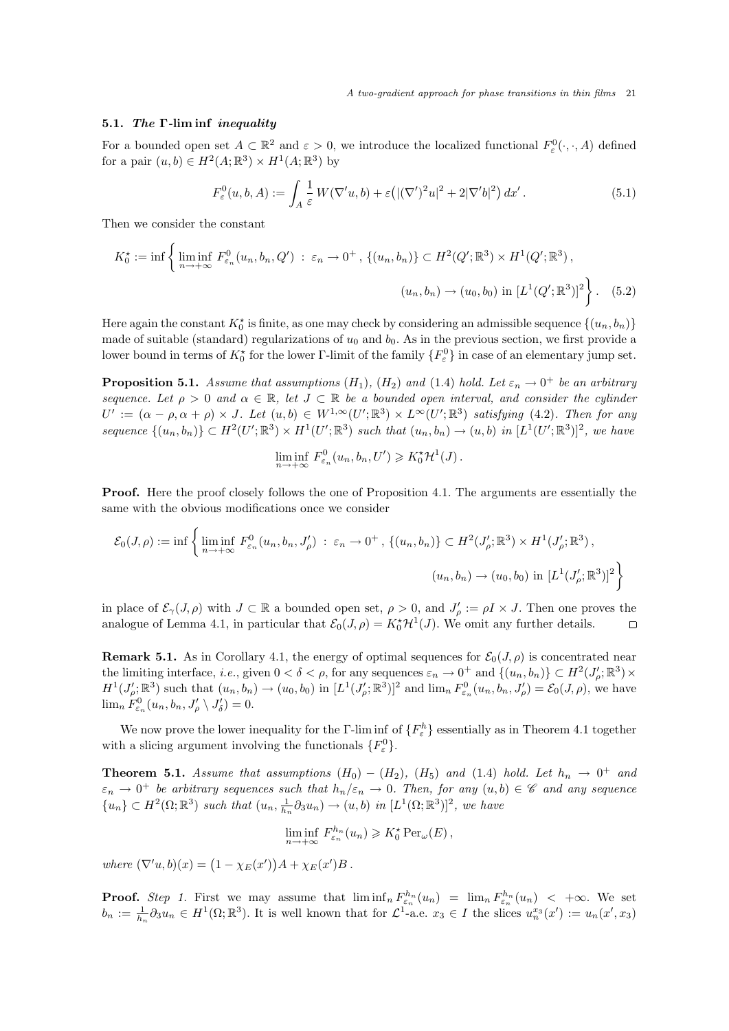#### 5.1. The Γ-lim inf inequality

For a bounded open set  $A \subset \mathbb{R}^2$  and  $\varepsilon > 0$ , we introduce the localized functional  $F^0_{\varepsilon}(\cdot, \cdot, A)$  defined for a pair  $(u, b) \in H^2(A; \mathbb{R}^3) \times H^1(A; \mathbb{R}^3)$  by

$$
F_{\varepsilon}^{0}(u,b,A) := \int_{A} \frac{1}{\varepsilon} W(\nabla' u, b) + \varepsilon \left( |(\nabla')^{2} u|^{2} + 2|\nabla' b|^{2} \right) dx'.
$$
 (5.1)

Then we consider the constant

$$
K_0^{\star} := \inf \left\{ \liminf_{n \to +\infty} F_{\varepsilon_n}^0(u_n, b_n, Q') : \ \varepsilon_n \to 0^+, \{ (u_n, b_n) \} \subset H^2(Q'; \mathbb{R}^3) \times H^1(Q'; \mathbb{R}^3),
$$

$$
(u_n, b_n) \to (u_0, b_0) \text{ in } [L^1(Q'; \mathbb{R}^3)]^2 \right\}.
$$
 (5.2)

Here again the constant  $K_0^{\star}$  is finite, as one may check by considering an admissible sequence  $\{(u_n, b_n)\}$ made of suitable (standard) regularizations of  $u_0$  and  $b_0$ . As in the previous section, we first provide a lower bound in terms of  $K_0^*$  for the lower  $\Gamma$ -limit of the family  $\{F_\varepsilon^0\}$  in case of an elementary jump set.

**Proposition 5.1.** Assume that assumptions  $(H_1)$ ,  $(H_2)$  and  $(1.4)$  hold. Let  $\varepsilon_n \to 0^+$  be an arbitrary sequence. Let  $\rho > 0$  and  $\alpha \in \mathbb{R}$ , let  $J \subset \mathbb{R}$  be a bounded open interval, and consider the cylinder  $U' := (\alpha - \rho, \alpha + \rho) \times J$ . Let  $(u, b) \in W^{1, \infty}(U'; \mathbb{R}^3) \times L^{\infty}(U'; \mathbb{R}^3)$  satisfying (4.2). Then for any sequence  $\{(u_n, b_n)\} \subset H^2(U'; \mathbb{R}^3) \times H^1(U'; \mathbb{R}^3)$  such that  $(u_n, b_n) \to (u, b)$  in  $[L^1(U'; \mathbb{R}^3)]^2$ , we have

$$
\liminf_{n \to +\infty} F_{\varepsilon_n}^0(u_n, b_n, U') \geqslant K_0^* \mathcal{H}^1(J).
$$

**Proof.** Here the proof closely follows the one of Proposition 4.1. The arguments are essentially the same with the obvious modifications once we consider

$$
\mathcal{E}_0(J,\rho) := \inf \left\{ \liminf_{n \to +\infty} F_{\varepsilon_n}^0(u_n, b_n, J_\rho') \; : \; \varepsilon_n \to 0^+ \, , \, \{(u_n, b_n)\} \subset H^2(J_\rho'; \mathbb{R}^3) \times H^1(J_\rho'; \mathbb{R}^3) \, , \right.\left. (u_n, b_n) \to (u_0, b_0) \, \inf \left[ L^1(J_\rho'; \mathbb{R}^3) \right]^2 \right\}
$$

in place of  $\mathcal{E}_{\gamma}(J,\rho)$  with  $J \subset \mathbb{R}$  a bounded open set,  $\rho > 0$ , and  $J_{\rho}':=\rho I \times J$ . Then one proves the analogue of Lemma 4.1, in particular that  $\mathcal{E}_0(J,\rho) = K_0^{\star} \mathcal{H}^1(J)$ . We omit any further details.

**Remark 5.1.** As in Corollary 4.1, the energy of optimal sequences for  $\mathcal{E}_0(J,\rho)$  is concentrated near the limiting interface, *i.e.*, given  $0 < \delta < \rho$ , for any sequences  $\varepsilon_n \to 0^+$  and  $\{(u_n, b_n)\} \subset H^2(J'_\rho; \mathbb{R}^3) \times$  $H^1(J'_\rho;\mathbb{R}^3)$  such that  $(u_n, b_n) \to (u_0, b_0)$  in  $[L^1(J'_\rho;\mathbb{R}^3)]^2$  and  $\lim_n F^0_{\varepsilon_n}(u_n, b_n, J'_\rho) = \mathcal{E}_0(J, \rho)$ , we have  $\lim_{n} F_{\varepsilon_n}^0(u_n, b_n, J'_{\rho} \setminus J'_{\delta}) = 0.$ 

We now prove the lower inequality for the Γ-lim inf of  $\{F_{\varepsilon}^{h}\}$  essentially as in Theorem 4.1 together with a slicing argument involving the functionals  $\{F_{\varepsilon}^{0}\}.$ 

**Theorem 5.1.** Assume that assumptions  $(H_0) - (H_2)$ ,  $(H_5)$  and  $(1.4)$  hold. Let  $h_n \rightarrow 0^+$  and  $\varepsilon_n \to 0^+$  be arbitrary sequences such that  $h_n/\varepsilon_n \to 0$ . Then, for any  $(u, b) \in \mathscr{C}$  and any sequence  ${u_n} \subset H^2(\Omega;\mathbb{R}^3)$  such that  $(u_n, \frac{1}{h_n} \partial_3 u_n) \to (u, b)$  in  $[L^1(\Omega;\mathbb{R}^3)]^2$ , we have

$$
\liminf_{n \to +\infty} F_{\varepsilon_n}^{h_n}(u_n) \geqslant K_0^{\star} \operatorname{Per}_{\omega}(E),
$$

where  $(\nabla' u, b)(x) = (1 - \chi_E(x'))A + \chi_E(x')B$ .

**Proof.** Step 1. First we may assume that  $\liminf_n F_{\varepsilon_n}^{h_n}(u_n) = \lim_n F_{\varepsilon_n}^{h_n}(u_n) < +\infty$ . We set  $b_n := \frac{1}{h_n} \partial_3 u_n \in H^1(\Omega; \mathbb{R}^3)$ . It is well known that for  $\mathcal{L}^1$ -a.e.  $x_3 \in I$  the slices  $u_n^{x_3}(x') := u_n(x', x_3)$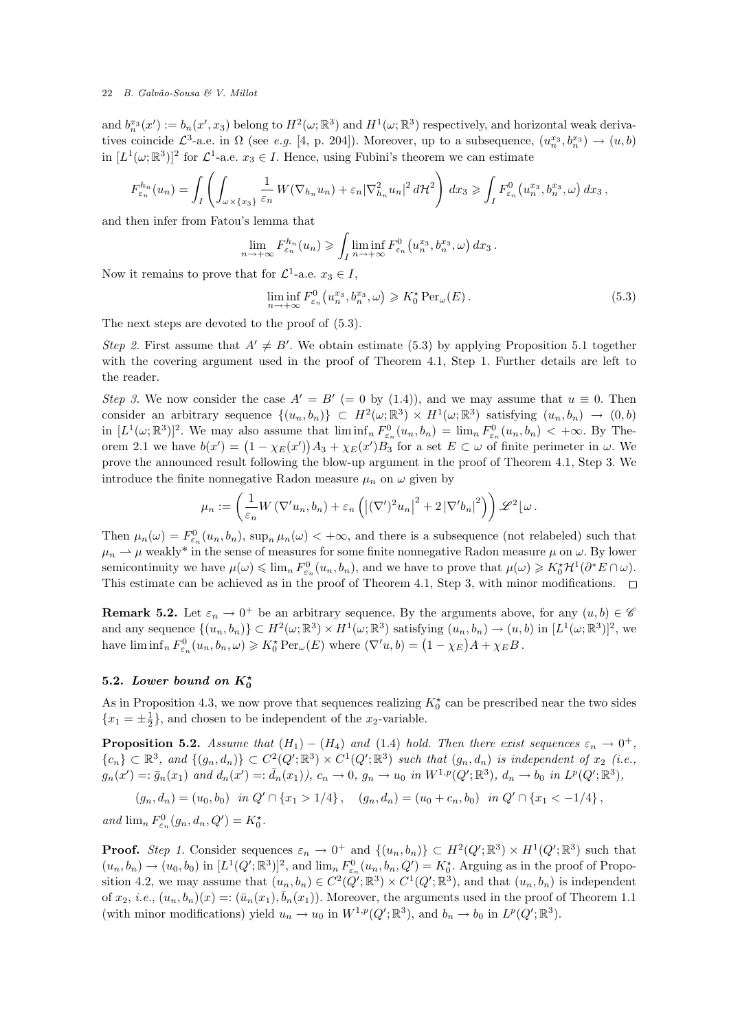and  $b_n^{x_3}(x') := b_n(x', x_3)$  belong to  $H^2(\omega; \mathbb{R}^3)$  and  $H^1(\omega; \mathbb{R}^3)$  respectively, and horizontal weak derivatives coincide  $\mathcal{L}^3$ -a.e. in  $\Omega$  (see e.g. [4, p. 204]). Moreover, up to a subsequence,  $(u_n^{x_3}, b_n^{x_3}) \to (u, b)$ in  $[L^1(\omega;\mathbb{R}^3)]^2$  for  $\mathcal{L}^1$ -a.e.  $x_3 \in I$ . Hence, using Fubini's theorem we can estimate

$$
F_{\varepsilon_n}^{h_n}(u_n) = \int_I \left( \int_{\omega \times \{x_3\}} \frac{1}{\varepsilon_n} W(\nabla_{h_n} u_n) + \varepsilon_n |\nabla_{h_n}^2 u_n|^2 d\mathcal{H}^2 \right) dx_3 \ge \int_I F_{\varepsilon_n}^0(u_n^{x_3}, b_n^{x_3}, \omega) dx_3,
$$

and then infer from Fatou's lemma that

$$
\lim_{n \to +\infty} F_{\varepsilon_n}^{h_n}(u_n) \geq \int_I \liminf_{n \to +\infty} F_{\varepsilon_n}^0(u_n^{x_3}, b_n^{x_3}, \omega) dx_3.
$$

Now it remains to prove that for  $\mathcal{L}^1$ -a.e.  $x_3 \in I$ ,

$$
\liminf_{n \to +\infty} F_{\varepsilon_n}^0(u_n^{x_3}, b_n^{x_3}, \omega) \geqslant K_0^{\star} \operatorname{Per}_{\omega}(E). \tag{5.3}
$$

The next steps are devoted to the proof of (5.3).

Step 2. First assume that  $A' \neq B'$ . We obtain estimate (5.3) by applying Proposition 5.1 together with the covering argument used in the proof of Theorem 4.1, Step 1. Further details are left to the reader.

Step 3. We now consider the case  $A' = B' (= 0$  by (1.4)), and we may assume that  $u \equiv 0$ . Then consider an arbitrary sequence  $\{(u_n, b_n)\}\subset H^2(\omega;\mathbb{R}^3)\times H^1(\omega;\mathbb{R}^3)$  satisfying  $(u_n, b_n) \to (0, b)$ in  $[L^1(\omega;\mathbb{R}^3)]^2$ . We may also assume that  $\liminf_n F^0_{\varepsilon_n}(u_n, b_n) = \lim_n F^0_{\varepsilon_n}(u_n, b_n) < +\infty$ . By Theorem 2.1 we have  $b(x') = (1 - \chi_E(x'))A_3 + \chi_E(x')B_3$  for a set  $E \subset \omega$  of finite perimeter in  $\omega$ . We prove the announced result following the blow-up argument in the proof of Theorem 4.1, Step 3. We introduce the finite nonnegative Radon measure  $\mu_n$  on  $\omega$  given by

$$
\mu_n := \left(\frac{1}{\varepsilon_n} W\left(\nabla' u_n, b_n\right) + \varepsilon_n \left(\left|(\nabla')^2 u_n\right|^2 + 2\left|\nabla' b_n\right|^2\right)\right) \mathscr{L}^2\left[\omega\right].
$$

Then  $\mu_n(\omega) = F_{\varepsilon_n}^0(u_n, b_n)$ ,  $\sup_n \mu_n(\omega) < +\infty$ , and there is a subsequence (not relabeled) such that  $\mu_n \rightharpoonup \mu$  weakly<sup>\*</sup> in the sense of measures for some finite nonnegative Radon measure  $\mu$  on  $\omega$ . By lower semicontinuity we have  $\mu(\omega) \leq \lim_{n} F_{\varepsilon_n}^0(u_n, b_n)$ , and we have to prove that  $\mu(\omega) \geq K_0^* \mathcal{H}^1(\partial^* E \cap \omega)$ . This estimate can be achieved as in the proof of Theorem 4.1, Step 3, with minor modifications.  $\Box$ 

**Remark 5.2.** Let  $\varepsilon_n \to 0^+$  be an arbitrary sequence. By the arguments above, for any  $(u, b) \in \mathscr{C}$ and any sequence  $\{(u_n, b_n)\} \subset H^2(\omega; \mathbb{R}^3) \times H^1(\omega; \mathbb{R}^3)$  satisfying  $(u_n, b_n) \to (u, b)$  in  $[L^1(\omega; \mathbb{R}^3)]^2$ , we have  $\liminf_n F_{\varepsilon_n}^0(u_n, b_n, \omega) \geqslant K_0^{\star} \operatorname{Per}_{\omega}(E)$  where  $(\nabla' u, b) = (1 - \chi_E)A + \chi_E B$ .

# 5.2. Lower bound on  $K_0^*$

As in Proposition 4.3, we now prove that sequences realizing  $K_0^*$  can be prescribed near the two sides  ${x_1 = \pm \frac{1}{2}}$ , and chosen to be independent of the  $x_2$ -variable.

**Proposition 5.2.** Assume that  $(H_1) - (H_4)$  and  $(1.4)$  hold. Then there exist sequences  $\varepsilon_n \to 0^+$ ,  ${c_n} \subset \mathbb{R}^3$ , and  ${(g_n, d_n)} \subset C^2(Q'; \mathbb{R}^3) \times C^1(Q'; \mathbb{R}^3)$  such that  $(g_n, d_n)$  is independent of  $x_2$  (i.e.,  $g_n(x') =: \bar{g}_n(x_1)$  and  $d_n(x') =: \bar{d}_n(x_1)$ ,  $c_n \to 0$ ,  $g_n \to u_0$  in  $W^{1,p}(Q'; \mathbb{R}^3)$ ,  $d_n \to b_0$  in  $L^p(Q'; \mathbb{R}^3)$ ,

$$
(g_n, d_n) = (u_0, b_0)
$$
 in  $Q' \cap \{x_1 > 1/4\}$ ,  $(g_n, d_n) = (u_0 + c_n, b_0)$  in  $Q' \cap \{x_1 < -1/4\}$ ,

and  $\lim_{n} F_{\varepsilon_n}^0(g_n, d_n, Q') = K_0^*$ .

**Proof.** Step 1. Consider sequences  $\varepsilon_n \to 0^+$  and  $\{(u_n, b_n)\}\subset H^2(Q'; \mathbb{R}^3) \times H^1(Q'; \mathbb{R}^3)$  such that  $(u_n, b_n) \to (u_0, b_0)$  in  $[L^1(Q'; \mathbb{R}^3)]^2$ , and  $\lim_n F_{\varepsilon_n}^0(u_n, b_n, Q') = K_0^*$ . Arguing as in the proof of Proposition 4.2, we may assume that  $(u_n, b_n) \in C^2(Q'; \mathbb{R}^3) \times C^1(Q'; \mathbb{R}^3)$ , and that  $(u_n, b_n)$  is independent of  $x_2$ , *i.e.*,  $(u_n, b_n)(x) =: (\bar{u}_n(x_1), \bar{b}_n(x_1))$ . Moreover, the arguments used in the proof of Theorem 1.1 (with minor modifications) yield  $u_n \to u_0$  in  $W^{1,p}(Q';\mathbb{R}^3)$ , and  $b_n \to b_0$  in  $L^p(Q';\mathbb{R}^3)$ .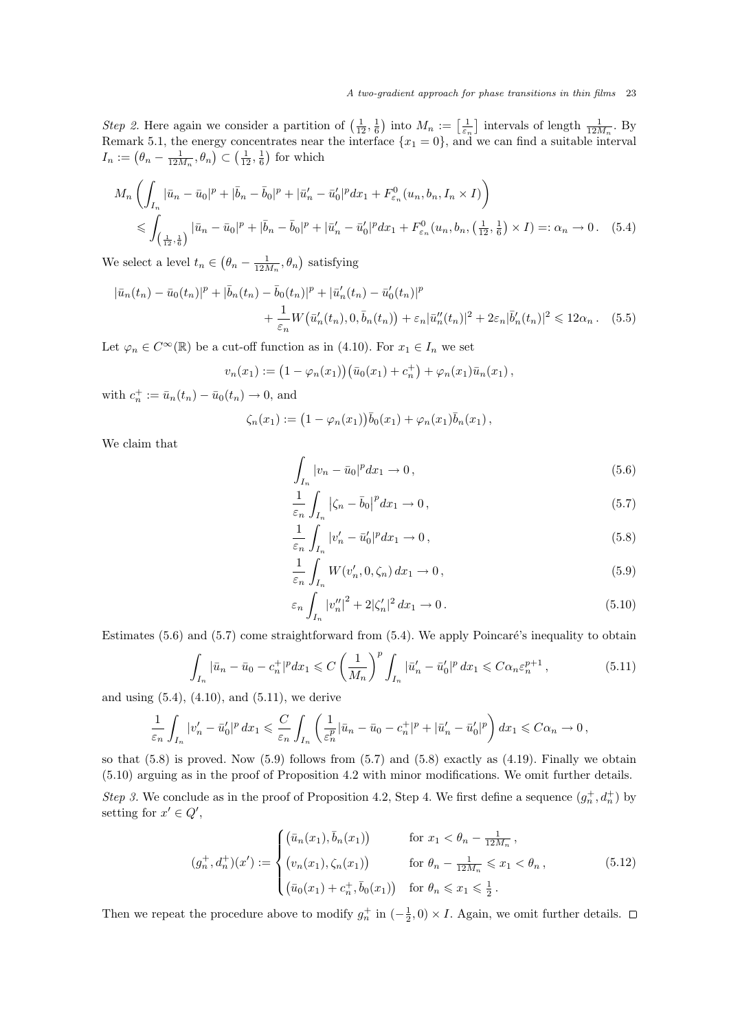Step 2. Here again we consider a partition of  $\left(\frac{1}{12},\frac{1}{6}\right)$  into  $M_n := \left[\frac{1}{\varepsilon_n}\right]$  intervals of length  $\frac{1}{12M_n}$ . By Remark 5.1, the energy concentrates near the interface  ${x_1 = 0}$ , and we can find a suitable interval  $I_n := (\theta_n - \frac{1}{12M_n}, \theta_n) \subset (\frac{1}{12}, \frac{1}{6})$  for which

$$
M_n \left( \int_{I_n} |\bar{u}_n - \bar{u}_0|^p + |\bar{b}_n - \bar{b}_0|^p + |\bar{u}'_n - \bar{u}'_0|^p dx_1 + F_{\varepsilon_n}^0(u_n, b_n, I_n \times I) \right)
$$
  
\$\leqslant \int\_{\left(\frac{1}{12}, \frac{1}{6}\right)} |\bar{u}\_n - \bar{u}\_0|^p + |\bar{b}\_n - \bar{b}\_0|^p + |\bar{u}'\_n - \bar{u}'\_0|^p dx\_1 + F\_{\varepsilon\_n}^0(u\_n, b\_n, \left(\frac{1}{12}, \frac{1}{6}\right) \times I) =: \alpha\_n \to 0. \quad (5.4)

We select a level  $t_n \in (\theta_n - \frac{1}{12M_n}, \theta_n)$  satisfying

$$
|\bar{u}_n(t_n) - \bar{u}_0(t_n)|^p + |\bar{b}_n(t_n) - \bar{b}_0(t_n)|^p + |\bar{u}'_n(t_n) - \bar{u}'_0(t_n)|^p
$$
  
+ 
$$
\frac{1}{\varepsilon_n} W(\bar{u}'_n(t_n), 0, \bar{b}_n(t_n)) + \varepsilon_n |\bar{u}''_n(t_n)|^2 + 2\varepsilon_n |\bar{b}'_n(t_n)|^2 \le 12\alpha_n.
$$
 (5.5)

Let  $\varphi_n \in C^{\infty}(\mathbb{R})$  be a cut-off function as in (4.10). For  $x_1 \in I_n$  we set

$$
v_n(x_1) := (1 - \varphi_n(x_1)) (\bar{u}_0(x_1) + c_n^+) + \varphi_n(x_1) \bar{u}_n(x_1),
$$

with  $c_n^+ := \bar{u}_n(t_n) - \bar{u}_0(t_n) \to 0$ , and

$$
\zeta_n(x_1) := (1 - \varphi_n(x_1))\overline{b}_0(x_1) + \varphi_n(x_1)\overline{b}_n(x_1),
$$

We claim that

$$
\int_{I_n} |v_n - \bar{u}_0|^p dx_1 \to 0, \qquad (5.6)
$$

$$
\frac{1}{\varepsilon_n} \int_{I_n} \left| \zeta_n - \bar{b}_0 \right|^p dx_1 \to 0, \tag{5.7}
$$

$$
\frac{1}{\varepsilon_n} \int_{I_n} |v'_n - \bar{u}'_0|^p dx_1 \to 0, \qquad (5.8)
$$

$$
\frac{1}{\varepsilon_n} \int_{I_n} W(v'_n, 0, \zeta_n) dx_1 \to 0, \qquad (5.9)
$$

$$
\varepsilon_n \int_{I_n} |v_n''|^2 + 2|\zeta_n'|^2 \, dx_1 \to 0. \tag{5.10}
$$

Estimates  $(5.6)$  and  $(5.7)$  come straightforward from  $(5.4)$ . We apply Poincaré's inequality to obtain

$$
\int_{I_n} |\bar{u}_n - \bar{u}_0 - c_n^+|^p dx_1 \leqslant C \left(\frac{1}{M_n}\right)^p \int_{I_n} |\bar{u}'_n - \bar{u}'_0|^p dx_1 \leqslant C \alpha_n \varepsilon_n^{p+1},\tag{5.11}
$$

and using  $(5.4)$ ,  $(4.10)$ , and  $(5.11)$ , we derive

$$
\frac{1}{\varepsilon_n} \int_{I_n} |v_n' - \bar{u}_0'|^p dx_1 \leqslant \frac{C}{\varepsilon_n} \int_{I_n} \left( \frac{1}{\varepsilon_n^p} |\bar{u}_n - \bar{u}_0 - c_n^+|^p + |\bar{u}_n' - \bar{u}_0'|^p \right) dx_1 \leqslant C\alpha_n \to 0,
$$

so that  $(5.8)$  is proved. Now  $(5.9)$  follows from  $(5.7)$  and  $(5.8)$  exactly as  $(4.19)$ . Finally we obtain (5.10) arguing as in the proof of Proposition 4.2 with minor modifications. We omit further details. Step 3. We conclude as in the proof of Proposition 4.2, Step 4. We first define a sequence  $(g_n^+, d_n^+)$  by setting for  $x' \in Q'$ ,

$$
(g_n^+, d_n^+)(x') := \begin{cases} (\bar{u}_n(x_1), \bar{b}_n(x_1)) & \text{for } x_1 < \theta_n - \frac{1}{12M_n}, \\ (v_n(x_1), \zeta_n(x_1)) & \text{for } \theta_n - \frac{1}{12M_n} \leq x_1 < \theta_n, \\ (\bar{u}_0(x_1) + c_n^+, \bar{b}_0(x_1)) & \text{for } \theta_n \leq x_1 \leq \frac{1}{2}. \end{cases}
$$
(5.12)

Then we repeat the procedure above to modify  $g_n^+$  in  $\left(-\frac{1}{2},0\right) \times I$ . Again, we omit further details.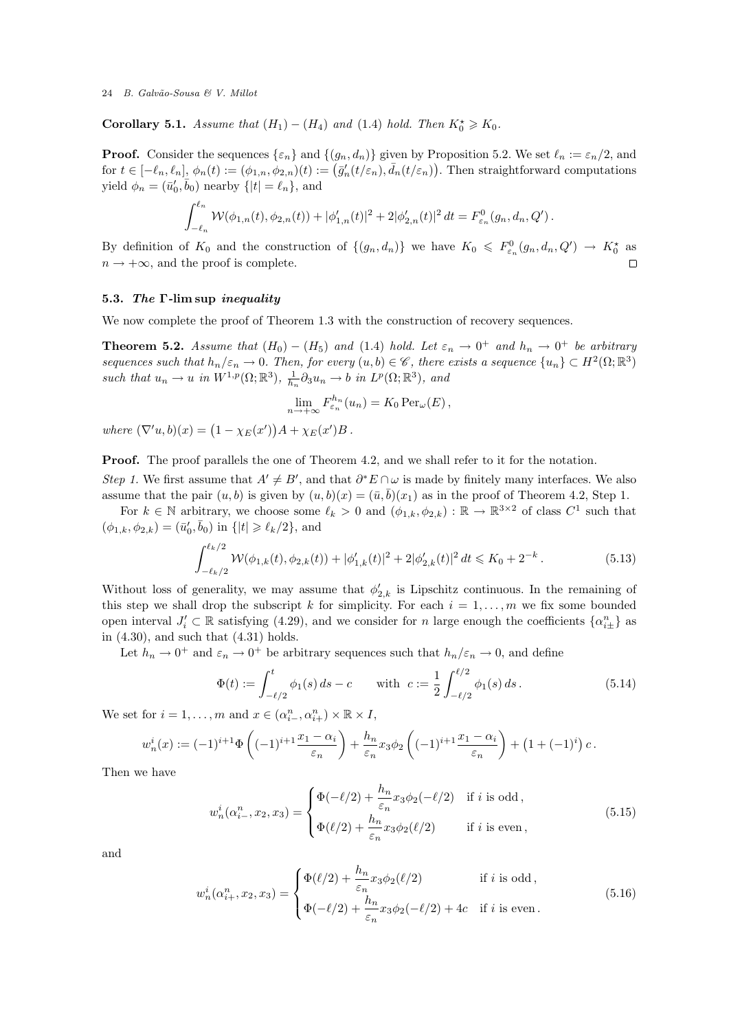Corollary 5.1. Assume that  $(H_1) - (H_4)$  and  $(1.4)$  hold. Then  $K_0^* \ge K_0$ .

**Proof.** Consider the sequences  $\{\varepsilon_n\}$  and  $\{(g_n, d_n)\}$  given by Proposition 5.2. We set  $\ell_n := \varepsilon_n/2$ , and for  $t \in [-\ell_n, \ell_n], \phi_n(t) := (\phi_{1,n}, \phi_{2,n})(t) := (\bar{g}'_n(t/\varepsilon_n), \bar{d}_n(t/\varepsilon_n)).$  Then straightforward computations yield  $\phi_n = (\bar{u}'_0, \bar{b}_0)$  nearby  $\{|t| = \ell_n\}$ , and

$$
\int_{-\ell_n}^{\ell_n} \mathcal{W}(\phi_{1,n}(t), \phi_{2,n}(t)) + |\phi'_{1,n}(t)|^2 + 2|\phi'_{2,n}(t)|^2 dt = F_{\varepsilon_n}^0(g_n, d_n, Q').
$$

By definition of  $K_0$  and the construction of  $\{(g_n, d_n)\}\$  we have  $K_0 \leq F_{\varepsilon_n}^0(g_n, d_n, Q') \to K_0^*$  as  $n \rightarrow +\infty$ , and the proof is complete.  $\Box$ 

# 5.3. The Γ-lim sup inequality

We now complete the proof of Theorem 1.3 with the construction of recovery sequences.

**Theorem 5.2.** Assume that  $(H_0) - (H_5)$  and  $(1.4)$  hold. Let  $\varepsilon_n \to 0^+$  and  $h_n \to 0^+$  be arbitrary sequences such that  $h_n/\varepsilon_n \to 0$ . Then, for every  $(u, b) \in \mathscr{C}$ , there exists a sequence  $\{u_n\} \subset H^2(\Omega;\mathbb{R}^3)$ such that  $u_n \to u$  in  $W^{1,p}(\Omega;\mathbb{R}^3)$ ,  $\frac{1}{h_n} \partial_3 u_n \to b$  in  $L^p(\Omega;\mathbb{R}^3)$ , and

$$
\lim_{n \to +\infty} F_{\varepsilon_n}^{h_n}(u_n) = K_0 \operatorname{Per}_{\omega}(E),
$$

where  $(\nabla' u, b)(x) = (1 - \chi_E(x'))A + \chi_E(x')B$ .

**Proof.** The proof parallels the one of Theorem 4.2, and we shall refer to it for the notation. Step 1. We first assume that  $A' \neq B'$ , and that  $\partial^* E \cap \omega$  is made by finitely many interfaces. We also assume that the pair  $(u, b)$  is given by  $(u, b)(x) = (\bar{u}, \bar{b})(x_1)$  as in the proof of Theorem 4.2, Step 1.

For  $k \in \mathbb{N}$  arbitrary, we choose some  $\ell_k > 0$  and  $(\phi_{1,k}, \phi_{2,k}) : \mathbb{R} \to \mathbb{R}^{3 \times 2}$  of class  $C^1$  such that  $(\phi_{1,k}, \phi_{2,k}) = (\bar{u}'_0, \bar{b}_0)$  in  $\{|t| \geq \ell_k/2\}$ , and

$$
\int_{-\ell_k/2}^{\ell_k/2} \mathcal{W}(\phi_{1,k}(t), \phi_{2,k}(t)) + |\phi_{1,k}'(t)|^2 + 2|\phi_{2,k}'(t)|^2 dt \leq K_0 + 2^{-k}.
$$
 (5.13)

Without loss of generality, we may assume that  $\phi'_{2,k}$  is Lipschitz continuous. In the remaining of this step we shall drop the subscript k for simplicity. For each  $i = 1, \ldots, m$  we fix some bounded open interval  $J'_i \subset \mathbb{R}$  satisfying (4.29), and we consider for n large enough the coefficients  $\{\alpha_{i\pm}^n\}$  as in  $(4.30)$ , and such that  $(4.31)$  holds.

Let  $h_n \to 0^+$  and  $\varepsilon_n \to 0^+$  be arbitrary sequences such that  $h_n/\varepsilon_n \to 0$ , and define

$$
\Phi(t) := \int_{-\ell/2}^{t} \phi_1(s) \, ds - c \qquad \text{with} \ \ c := \frac{1}{2} \int_{-\ell/2}^{\ell/2} \phi_1(s) \, ds \,. \tag{5.14}
$$

We set for  $i = 1, ..., m$  and  $x \in (\alpha_{i-1}^n, \alpha_{i+1}^n) \times \mathbb{R} \times I$ ,

$$
w_n^i(x) := (-1)^{i+1} \Phi\left((-1)^{i+1} \frac{x_1 - \alpha_i}{\varepsilon_n}\right) + \frac{h_n}{\varepsilon_n} x_3 \phi_2 \left((-1)^{i+1} \frac{x_1 - \alpha_i}{\varepsilon_n}\right) + \left(1 + (-1)^i\right) c.
$$

Then we have

$$
w_n^i(\alpha_{i-}^n, x_2, x_3) = \begin{cases} \Phi(-\ell/2) + \frac{h_n}{\varepsilon_n} x_3 \phi_2(-\ell/2) & \text{if } i \text{ is odd,} \\ \Phi(\ell/2) + \frac{h_n}{\varepsilon_n} x_3 \phi_2(\ell/2) & \text{if } i \text{ is even,} \end{cases}
$$
(5.15)

and

$$
w_n^i(\alpha_{i+}^n, x_2, x_3) = \begin{cases} \Phi(\ell/2) + \frac{h_n}{\varepsilon_n} x_3 \phi_2(\ell/2) & \text{if } i \text{ is odd,} \\ \Phi(-\ell/2) + \frac{h_n}{\varepsilon_n} x_3 \phi_2(-\ell/2) + 4c & \text{if } i \text{ is even.} \end{cases}
$$
(5.16)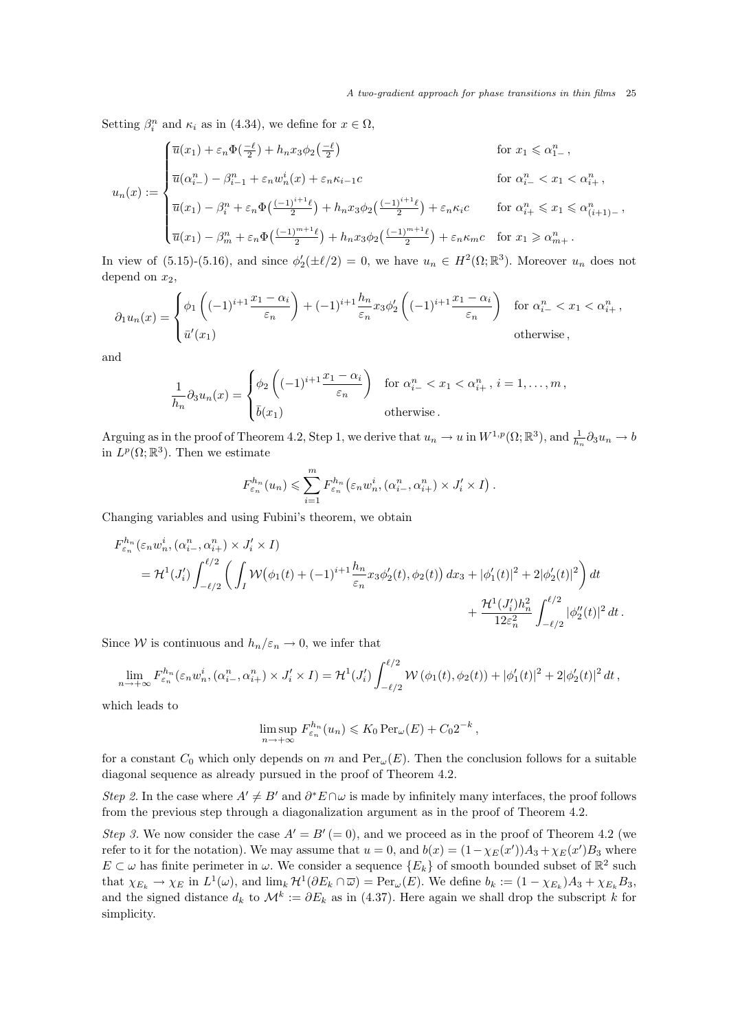Setting  $\beta_i^n$  and  $\kappa_i$  as in (4.34), we define for  $x \in \Omega$ ,

$$
u_n(x) := \begin{cases} \overline{u}(x_1) + \varepsilon_n \Phi\left(\frac{-\ell}{2}\right) + h_n x_3 \phi_2\left(\frac{-\ell}{2}\right) & \text{for } x_1 \leq \alpha_{1-}^n, \\ \overline{u}(\alpha_{i-}^n) - \beta_{i-1}^n + \varepsilon_n w_n^i(x) + \varepsilon_n \kappa_{i-1} c & \text{for } \alpha_{i-}^n < x_1 < \alpha_{i+}^n, \\ \overline{u}(x_1) - \beta_i^n + \varepsilon_n \Phi\left(\frac{(-1)^{i+1}\ell}{2}\right) + h_n x_3 \phi_2\left(\frac{(-1)^{i+1}\ell}{2}\right) + \varepsilon_n \kappa_i c & \text{for } \alpha_{i+}^n \leq x_1 \leq \alpha_{(i+1)-}^n, \\ \overline{u}(x_1) - \beta_m^n + \varepsilon_n \Phi\left(\frac{(-1)^{m+1}\ell}{2}\right) + h_n x_3 \phi_2\left(\frac{(-1)^{m+1}\ell}{2}\right) + \varepsilon_n \kappa_m c & \text{for } x_1 \geq \alpha_{m+}^n. \end{cases}
$$

In view of (5.15)-(5.16), and since  $\phi_2'(\pm \ell/2) = 0$ , we have  $u_n \in H^2(\Omega;\mathbb{R}^3)$ . Moreover  $u_n$  does not depend on  $x_2$ ,

$$
\partial_1 u_n(x) = \begin{cases} \phi_1 \left( (-1)^{i+1} \frac{x_1 - \alpha_i}{\varepsilon_n} \right) + (-1)^{i+1} \frac{h_n}{\varepsilon_n} x_3 \phi_2' \left( (-1)^{i+1} \frac{x_1 - \alpha_i}{\varepsilon_n} \right) & \text{for } \alpha_{i-}^n < x_1 < \alpha_{i+}^n, \\ \bar{u}'(x_1) & \text{otherwise} \end{cases}
$$

and

$$
\frac{1}{h_n} \partial_3 u_n(x) = \begin{cases} \phi_2 \left( (-1)^{i+1} \frac{x_1 - \alpha_i}{\varepsilon_n} \right) & \text{for } \alpha_{i-}^n < x_1 < \alpha_{i+}^n, i = 1, \dots, m, \\ \bar{b}(x_1) & \text{otherwise.} \end{cases}
$$

Arguing as in the proof of Theorem 4.2, Step 1, we derive that  $u_n \to u$  in  $W^{1,p}(\Omega;\mathbb{R}^3)$ , and  $\frac{1}{h_n} \partial_3 u_n \to b$ in  $L^p(\Omega;\mathbb{R}^3)$ . Then we estimate

$$
F_{\varepsilon_n}^{h_n}(u_n) \leqslant \sum_{i=1}^m F_{\varepsilon_n}^{h_n} \left( \varepsilon_n w_n^i, (\alpha_{i-}^n, \alpha_{i+}^n) \times J'_i \times I \right).
$$

Changing variables and using Fubini's theorem, we obtain

$$
F_{\varepsilon_n}^{h_n}(\varepsilon_n w_n^i, (\alpha_{i-}^n, \alpha_{i+}^n) \times J_i' \times I)
$$
  
=  $\mathcal{H}^1(J_i') \int_{-\ell/2}^{\ell/2} \left( \int_I \mathcal{W}(\phi_1(t) + (-1)^{i+1} \frac{h_n}{\varepsilon_n} x_3 \phi_2'(t), \phi_2(t)) dx_3 + |\phi_1'(t)|^2 + 2|\phi_2'(t)|^2 \right) dt$   
+  $\frac{\mathcal{H}^1(J_i') h_n^2}{12\varepsilon_n^2} \int_{-\ell/2}^{\ell/2} |\phi_2''(t)|^2 dt$ .

Since W is continuous and  $h_n/\varepsilon_n \to 0$ , we infer that

$$
\lim_{n \to +\infty} F_{\varepsilon_n}^{h_n}(\varepsilon_n w_n^i, (\alpha_{i-}^n, \alpha_{i+}^n) \times J'_i \times I) = \mathcal{H}^1(J'_i) \int_{-\ell/2}^{\ell/2} \mathcal{W}\left(\phi_1(t), \phi_2(t)\right) + |\phi_1'(t)|^2 + 2|\phi_2'(t)|^2 dt,
$$

which leads to

$$
\limsup_{n \to +\infty} F_{\varepsilon_n}^{h_n}(u_n) \leqslant K_0 \operatorname{Per}_{\omega}(E) + C_0 2^{-k},
$$

for a constant  $C_0$  which only depends on m and  $Per_{\omega}(E)$ . Then the conclusion follows for a suitable diagonal sequence as already pursued in the proof of Theorem 4.2.

Step 2. In the case where  $A' \neq B'$  and  $\partial^* E \cap \omega$  is made by infinitely many interfaces, the proof follows from the previous step through a diagonalization argument as in the proof of Theorem 4.2.

Step 3. We now consider the case  $A' = B' (= 0)$ , and we proceed as in the proof of Theorem 4.2 (we refer to it for the notation). We may assume that  $u = 0$ , and  $b(x) = (1 - \chi_E(x'))A_3 + \chi_E(x')B_3$  where  $E \subset \omega$  has finite perimeter in  $\omega$ . We consider a sequence  $\{E_k\}$  of smooth bounded subset of  $\mathbb{R}^2$  such that  $\chi_{E_k} \to \chi_E$  in  $L^1(\omega)$ , and  $\lim_k \mathcal{H}^1(\partial E_k \cap \overline{\omega}) = \text{Per}_{\omega}(E)$ . We define  $b_k := (1 - \chi_{E_k})A_3 + \chi_{E_k}B_3$ , and the signed distance  $d_k$  to  $\mathcal{M}^k := \partial E_k$  as in (4.37). Here again we shall drop the subscript k for simplicity.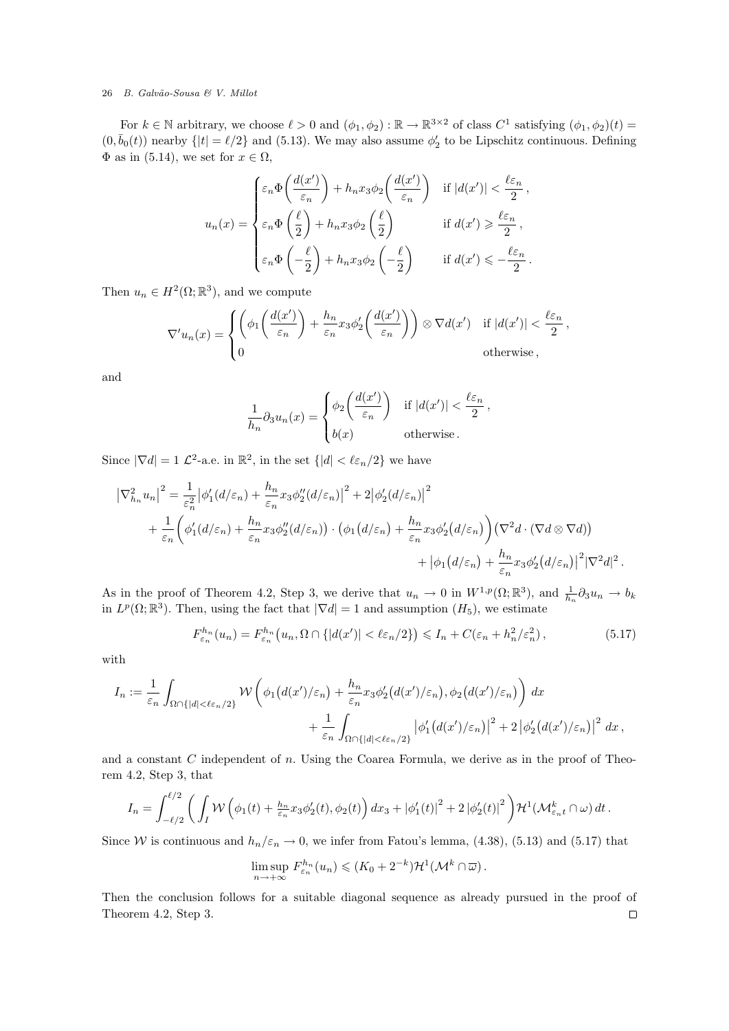For  $k \in \mathbb{N}$  arbitrary, we choose  $\ell > 0$  and  $(\phi_1, \phi_2) : \mathbb{R} \to \mathbb{R}^{3 \times 2}$  of class  $C^1$  satisfying  $(\phi_1, \phi_2)(t) =$  $(0, \bar{b}_0(t))$  nearby  $\{|t| = \ell/2\}$  and (5.13). We may also assume  $\phi'_2$  to be Lipschitz continuous. Defining  $\Phi$  as in (5.14), we set for  $x \in \Omega$ ,

$$
u_n(x) = \begin{cases} \varepsilon_n \Phi\left(\frac{d(x')}{\varepsilon_n}\right) + h_n x_3 \phi_2\left(\frac{d(x')}{\varepsilon_n}\right) & \text{if } |d(x')| < \frac{\ell \varepsilon_n}{2}, \\ \varepsilon_n \Phi\left(\frac{\ell}{2}\right) + h_n x_3 \phi_2\left(\frac{\ell}{2}\right) & \text{if } d(x') \geqslant \frac{\ell \varepsilon_n}{2}, \\ \varepsilon_n \Phi\left(-\frac{\ell}{2}\right) + h_n x_3 \phi_2\left(-\frac{\ell}{2}\right) & \text{if } d(x') \leqslant -\frac{\ell \varepsilon_n}{2} .\end{cases}
$$

Then  $u_n \in H^2(\Omega;\mathbb{R}^3)$ , and we compute

$$
\nabla' u_n(x) = \begin{cases} \left( \phi_1 \left( \frac{d(x')}{\varepsilon_n} \right) + \frac{h_n}{\varepsilon_n} x_3 \phi_2' \left( \frac{d(x')}{\varepsilon_n} \right) \right) \otimes \nabla d(x') & \text{if } |d(x')| < \frac{\ell \varepsilon_n}{2}, \\ 0 & \text{otherwise} \end{cases}
$$

and

$$
\frac{1}{h_n} \partial_3 u_n(x) = \begin{cases} \phi_2 \left( \frac{d(x')}{\varepsilon_n} \right) & \text{if } |d(x')| < \frac{\ell \varepsilon_n}{2}, \\ b(x) & \text{otherwise.} \end{cases}
$$

Since  $|\nabla d| = 1$   $\mathcal{L}^2$ -a.e. in  $\mathbb{R}^2$ , in the set  $\{|d| < \ell \varepsilon_n/2\}$  we have

$$
\left|\nabla_{h_n}^2 u_n\right|^2 = \frac{1}{\varepsilon_n^2} \left|\phi_1'(d/\varepsilon_n) + \frac{h_n}{\varepsilon_n} x_3 \phi_2''(d/\varepsilon_n)\right|^2 + 2 \left|\phi_2'(d/\varepsilon_n)\right|^2
$$
  
+ 
$$
\frac{1}{\varepsilon_n} \left(\phi_1'(d/\varepsilon_n) + \frac{h_n}{\varepsilon_n} x_3 \phi_2''(d/\varepsilon_n)\right) \cdot \left(\phi_1(d/\varepsilon_n) + \frac{h_n}{\varepsilon_n} x_3 \phi_2'(d/\varepsilon_n)\right) \left(\nabla^2 d \cdot (\nabla d \otimes \nabla d)\right)
$$
  
+ 
$$
\left|\phi_1(d/\varepsilon_n) + \frac{h_n}{\varepsilon_n} x_3 \phi_2'(d/\varepsilon_n)\right|^2 \left|\nabla^2 d\right|^2.
$$

As in the proof of Theorem 4.2, Step 3, we derive that  $u_n \to 0$  in  $W^{1,p}(\Omega;\mathbb{R}^3)$ , and  $\frac{1}{h_n} \partial_3 u_n \to b_k$ in  $L^p(\Omega;\mathbb{R}^3)$ . Then, using the fact that  $|\nabla d|=1$  and assumption  $(H_5)$ , we estimate

$$
F_{\varepsilon_n}^{h_n}(u_n) = F_{\varepsilon_n}^{h_n}\left(u_n, \Omega \cap \{|d(x')| < \ell\varepsilon_n/2\}\right) \le I_n + C(\varepsilon_n + h_n^2/\varepsilon_n^2),\tag{5.17}
$$

with

$$
I_n := \frac{1}{\varepsilon_n} \int_{\Omega \cap \{|d| < \ell \varepsilon_n/2\}} \mathcal{W}\left(\phi_1\big(d(x')/\varepsilon_n\big) + \frac{h_n}{\varepsilon_n} x_3 \phi_2'\big(d(x')/\varepsilon_n\big), \phi_2\big(d(x')/\varepsilon_n\big)\right) dx + \frac{1}{\varepsilon_n} \int_{\Omega \cap \{|d| < \ell \varepsilon_n/2\}} \left|\phi_1'\big(d(x')/\varepsilon_n\big)\right|^2 + 2 \left|\phi_2'\big(d(x')/\varepsilon_n\big)\right|^2 dx,
$$

and a constant  $C$  independent of  $n$ . Using the Coarea Formula, we derive as in the proof of Theorem 4.2, Step 3, that

$$
I_n = \int_{-\ell/2}^{\ell/2} \left( \int_I \mathcal{W}\left(\phi_1(t) + \frac{h_n}{\varepsilon_n} x_3 \phi_2'(t), \phi_2(t) \right) dx_3 + \left|\phi_1'(t)\right|^2 + 2\left|\phi_2'(t)\right|^2 \right) \mathcal{H}^1(\mathcal{M}_{\varepsilon_n t}^k \cap \omega) dt.
$$

Since W is continuous and  $h_n/\varepsilon_n \to 0$ , we infer from Fatou's lemma, (4.38), (5.13) and (5.17) that

$$
\limsup_{n\to+\infty} F_{\varepsilon_n}^{h_n}(u_n) \leqslant (K_0 + 2^{-k})\mathcal{H}^1(\mathcal{M}^k \cap \overline{\omega}).
$$

Then the conclusion follows for a suitable diagonal sequence as already pursued in the proof of Theorem 4.2, Step 3. $\Box$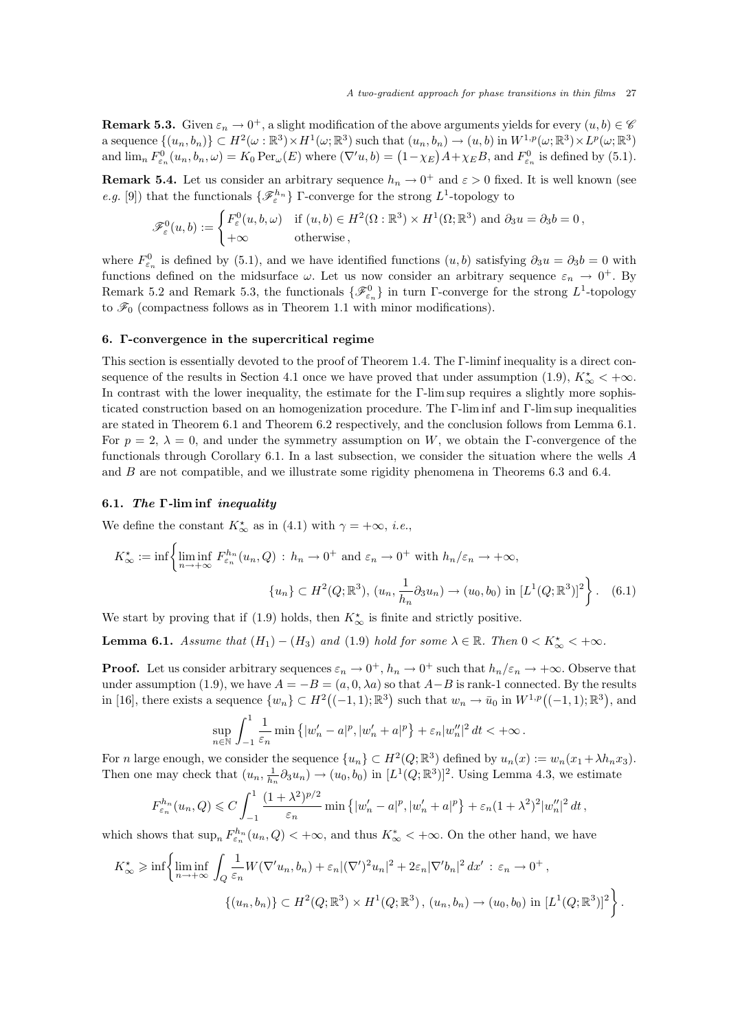**Remark 5.3.** Given  $\varepsilon_n \to 0^+$ , a slight modification of the above arguments yields for every  $(u, b) \in \mathscr{C}$ a sequence  $\{(u_n, b_n)\} \subset H^2(\omega : \mathbb{R}^3) \times H^1(\omega; \mathbb{R}^3)$  such that  $(u_n, b_n) \to (u, b)$  in  $W^{1,p}(\omega; \mathbb{R}^3) \times L^p(\omega; \mathbb{R}^3)$ and  $\lim_{n} F_{\varepsilon_n}^0(u_n, b_n, \omega) = K_0 \operatorname{Per}_{\omega}(E)$  where  $(\nabla' u, b) = (1 - \chi_E)A + \chi_E B$ , and  $F_{\varepsilon_n}^0$  is defined by (5.1).

**Remark 5.4.** Let us consider an arbitrary sequence  $h_n \to 0^+$  and  $\varepsilon > 0$  fixed. It is well known (see *e.g.* [9]) that the functionals  $\{\mathscr{F}_{\varepsilon}^{h_n}\}\Gamma$ -converge for the strong  $L^1$ -topology to

$$
\mathscr{F}_{\varepsilon}^{0}(u,b) := \begin{cases} F_{\varepsilon}^{0}(u,b,\omega) & \text{if } (u,b) \in H^{2}(\Omega : \mathbb{R}^{3}) \times H^{1}(\Omega; \mathbb{R}^{3}) \text{ and } \partial_{3}u = \partial_{3}b = 0, \\ +\infty & \text{otherwise,} \end{cases}
$$

where  $F_{\varepsilon_n}^0$  is defined by (5.1), and we have identified functions  $(u, b)$  satisfying  $\partial_3 u = \partial_3 b = 0$  with functions defined on the midsurface  $\omega$ . Let us now consider an arbitrary sequence  $\varepsilon_n \to 0^+$ . By Remark 5.2 and Remark 5.3, the functionals  $\{\mathscr{F}_{\varepsilon_n}^0\}$  in turn Γ-converge for the strong  $L^1$ -topology to  $\mathscr{F}_0$  (compactness follows as in Theorem 1.1 with minor modifications).

# 6. Γ-convergence in the supercritical regime

This section is essentially devoted to the proof of Theorem 1.4. The Γ-liminf inequality is a direct consequence of the results in Section 4.1 once we have proved that under assumption (1.9),  $K^{\star}_{\infty} < +\infty$ . In contrast with the lower inequality, the estimate for the Γ-lim sup requires a slightly more sophisticated construction based on an homogenization procedure. The Γ-lim inf and Γ-lim sup inequalities are stated in Theorem 6.1 and Theorem 6.2 respectively, and the conclusion follows from Lemma 6.1. For  $p = 2$ ,  $\lambda = 0$ , and under the symmetry assumption on W, we obtain the Γ-convergence of the functionals through Corollary 6.1. In a last subsection, we consider the situation where the wells A and  $B$  are not compatible, and we illustrate some rigidity phenomena in Theorems  $6.3$  and  $6.4$ .

#### 6.1. The Γ-lim inf inequality

We define the constant  $K_{\infty}^{\star}$  as in (4.1) with  $\gamma = +\infty$ , *i.e.*,

$$
K_{\infty}^{\star} := \inf \left\{ \liminf_{n \to +\infty} F_{\varepsilon_n}^{h_n}(u_n, Q) : h_n \to 0^+ \text{ and } \varepsilon_n \to 0^+ \text{ with } h_n/\varepsilon_n \to +\infty,
$$

$$
\{u_n\} \subset H^2(Q; \mathbb{R}^3), (u_n, \frac{1}{h_n}\partial_3 u_n) \to (u_0, b_0) \text{ in } [L^1(Q; \mathbb{R}^3)]^2 \right\}.
$$
 (6.1)

We start by proving that if (1.9) holds, then  $K^{\star}_{\infty}$  is finite and strictly positive.

**Lemma 6.1.** Assume that  $(H_1) - (H_3)$  and  $(1.9)$  hold for some  $\lambda \in \mathbb{R}$ . Then  $0 < K^*_{\infty} < +\infty$ .

**Proof.** Let us consider arbitrary sequences  $\varepsilon_n \to 0^+$ ,  $h_n \to 0^+$  such that  $h_n/\varepsilon_n \to +\infty$ . Observe that under assumption (1.9), we have  $A = -B = (a, 0, \lambda a)$  so that  $A - B$  is rank-1 connected. By the results in [16], there exists a sequence  $\{w_n\} \subset H^2((-1,1); \mathbb{R}^3)$  such that  $w_n \to \bar{u}_0$  in  $W^{1,p}((-1,1); \mathbb{R}^3)$ , and

$$
\sup_{n\in\mathbb{N}}\int_{-1}^1\frac{1}{\varepsilon_n}\min\left\{|w_n'-a|^p,|w_n'+a|^p\right\}+\varepsilon_n|w_n''|^2\,dt<+\infty\,.
$$

For *n* large enough, we consider the sequence  $\{u_n\} \subset H^2(Q;\mathbb{R}^3)$  defined by  $u_n(x) := w_n(x_1 + \lambda h_n x_3)$ . Then one may check that  $(u_n, \frac{1}{h_n} \partial_3 u_n) \to (u_0, b_0)$  in  $[L^1(Q; \mathbb{R}^3)]^2$ . Using Lemma 4.3, we estimate

$$
F_{\varepsilon_n}^{h_n}(u_n, Q) \leqslant C \int_{-1}^1 \frac{(1+\lambda^2)^{p/2}}{\varepsilon_n} \min \left\{ |w_n'-a|^p, |w_n'+a|^p \right\} + \varepsilon_n (1+\lambda^2)^2 |w_n''|^2 dt,
$$

which shows that  $\sup_n F_{\varepsilon_n}^{h_n}(u_n, Q) < +\infty$ , and thus  $K^*_{\infty} < +\infty$ . On the other hand, we have

$$
K_{\infty}^{\star} \geqslant \inf \left\{ \liminf_{n \to +\infty} \int_{Q} \frac{1}{\varepsilon_n} W(\nabla' u_n, b_n) + \varepsilon_n |(\nabla')^2 u_n|^2 + 2\varepsilon_n |\nabla' b_n|^2 dx' : \varepsilon_n \to 0^+,
$$
  

$$
\{(u_n, b_n)\} \subset H^2(Q; \mathbb{R}^3) \times H^1(Q; \mathbb{R}^3), (u_n, b_n) \to (u_0, b_0) \text{ in } [L^1(Q; \mathbb{R}^3)]^2 \right\}.
$$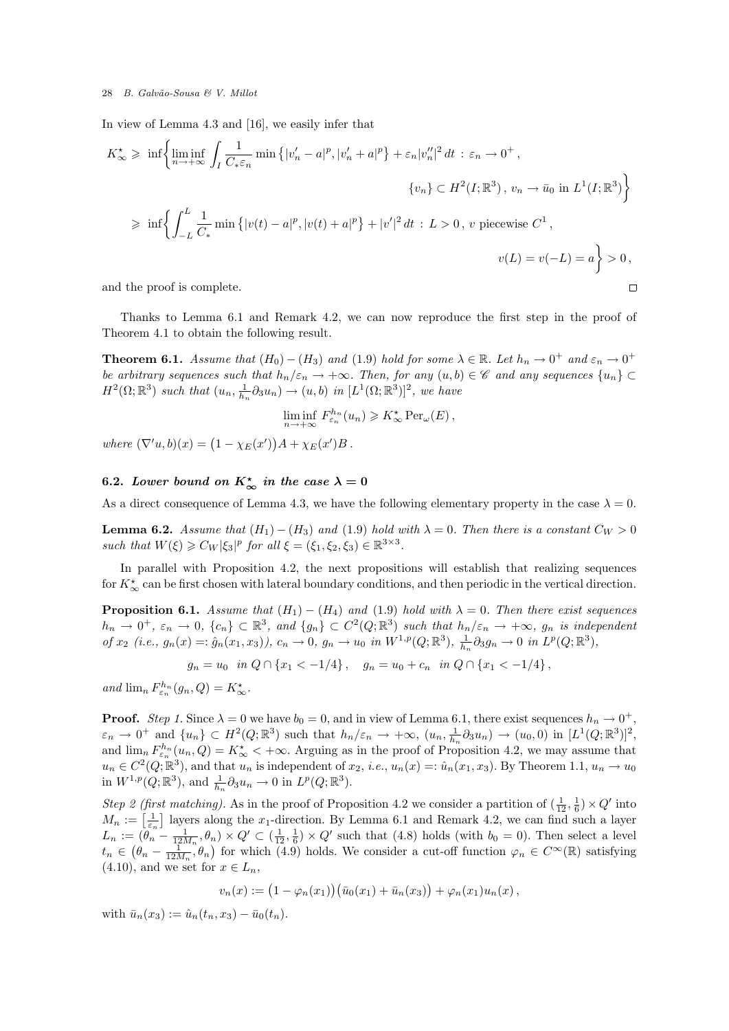In view of Lemma 4.3 and [16], we easily infer that

$$
K_{\infty}^{\star} \geqslant \inf \left\{ \liminf_{n \to +\infty} \int_{I} \frac{1}{C_{*}\varepsilon_{n}} \min \left\{ |v'_{n} - a|^{p}, |v'_{n} + a|^{p} \right\} + \varepsilon_{n} |v''_{n}|^{2} dt : \varepsilon_{n} \to 0^{+},
$$
  

$$
\left\{ v_{n} \right\} \subset H^{2}(I; \mathbb{R}^{3}), v_{n} \to \bar{u}_{0} \text{ in } L^{1}(I; \mathbb{R}^{3}) \right\}
$$

$$
\geqslant \inf \left\{ \int_{-L}^{L} \frac{1}{C_{*}} \min \left\{ |v(t) - a|^{p}, |v(t) + a|^{p} \right\} + |v'|^{2} dt : L > 0, v \text{ piecewise } C^{1},
$$

$$
v(L) = v(-L) = a \right\} > 0,
$$
and the proof is complete.

and the proof is complete.

Thanks to Lemma 6.1 and Remark 4.2, we can now reproduce the first step in the proof of Theorem 4.1 to obtain the following result.

**Theorem 6.1.** Assume that  $(H_0) - (H_3)$  and  $(1.9)$  hold for some  $\lambda \in \mathbb{R}$ . Let  $h_n \to 0^+$  and  $\varepsilon_n \to 0^+$ be arbitrary sequences such that  $h_n/\varepsilon_n \to +\infty$ . Then, for any  $(u, b) \in \mathscr{C}$  and any sequences  $\{u_n\} \subset$  $H^2(\Omega;\mathbb{R}^3)$  such that  $(u_n, \frac{1}{h_n} \partial_3 u_n) \to (u, b)$  in  $[L^1(\Omega;\mathbb{R}^3)]^2$ , we have

$$
\liminf_{n \to +\infty} F_{\varepsilon_n}^{h_n}(u_n) \geqslant K_{\infty}^* \operatorname{Per}_{\omega}(E),
$$

where  $(\nabla' u, b)(x) = (1 - \chi_E(x'))A + \chi_E(x')B$ .

# 6.2. Lower bound on  $K_{\infty}^{\star}$  in the case  $\lambda = 0$

As a direct consequence of Lemma 4.3, we have the following elementary property in the case  $\lambda = 0$ .

**Lemma 6.2.** Assume that  $(H_1) - (H_3)$  and  $(1.9)$  hold with  $\lambda = 0$ . Then there is a constant  $C_W > 0$ such that  $W(\xi) \geqslant C_W |\xi_3|^p$  for all  $\xi = (\xi_1, \xi_2, \xi_3) \in \mathbb{R}^{3 \times 3}$ .

In parallel with Proposition 4.2, the next propositions will establish that realizing sequences for  $K^*_{\infty}$  can be first chosen with lateral boundary conditions, and then periodic in the vertical direction.

**Proposition 6.1.** Assume that  $(H_1) - (H_4)$  and (1.9) hold with  $\lambda = 0$ . Then there exist sequences  $h_n \to 0^+, \varepsilon_n \to 0, \{c_n\} \subset \mathbb{R}^3$ , and  $\{g_n\} \subset C^2(Q;\mathbb{R}^3)$  such that  $h_n/\varepsilon_n \to +\infty$ ,  $g_n$  is independent of  $x_2$  (i.e.,  $g_n(x) = \hat{g}_n(x_1, x_3)$ ),  $c_n \to 0$ ,  $g_n \to u_0$  in  $W^{1,p}(Q; \mathbb{R}^3)$ ,  $\frac{1}{h_n} \partial_3 g_n \to 0$  in  $L^p(Q; \mathbb{R}^3)$ ,

$$
g_n = u_0 \quad \text{in } Q \cap \{x_1 < -1/4\} \,, \quad g_n = u_0 + c_n \quad \text{in } Q \cap \{x_1 < -1/4\} \,,
$$

and  $\lim_{n} F_{\varepsilon_n}^{h_n}(g_n, Q) = K_{\infty}^*$ .

**Proof.** Step 1. Since  $\lambda = 0$  we have  $b_0 = 0$ , and in view of Lemma 6.1, there exist sequences  $h_n \to 0^+$ ,  $\varepsilon_n \to 0^+$  and  $\{u_n\} \subset H^2(Q;\mathbb{R}^3)$  such that  $h_n/\varepsilon_n \to +\infty$ ,  $(u_n, \frac{1}{h_n}\partial_3 u_n) \to (u_0, 0)$  in  $[L^1(Q;\mathbb{R}^3)]^2$ , and  $\lim_{n} F_{\varepsilon_n}^{h_n}(u_n, Q) = K_{\infty}^* < +\infty$ . Arguing as in the proof of Proposition 4.2, we may assume that  $u_n \in C^2(Q;\mathbb{R}^3)$ , and that  $u_n$  is independent of  $x_2$ , *i.e.*,  $u_n(x) =: \hat{u}_n(x_1, x_3)$ . By Theorem 1.1,  $u_n \to u_0$ in  $W^{1,p}(Q;\mathbb{R}^3)$ , and  $\frac{1}{h_n} \partial_3 u_n \to 0$  in  $L^p(Q;\mathbb{R}^3)$ .

Step 2 (first matching). As in the proof of Proposition 4.2 we consider a partition of  $(\frac{1}{12}, \frac{1}{6}) \times Q'$  into  $M_n := \left[\frac{1}{\varepsilon_n}\right]$  layers along the  $x_1$ -direction. By Lemma 6.1 and Remark 4.2, we can find such a layer  $L_n := (\theta_n - \frac{1}{12M_n}, \theta_n) \times Q' \subset (\frac{1}{12}, \frac{1}{6}) \times Q'$  such that (4.8) holds (with  $b_0 = 0$ ). Then select a level  $t_n \in (\theta_n - \frac{1}{12M_n}, \theta_n)$  for which (4.9) holds. We consider a cut-off function  $\varphi_n \in C^{\infty}(\mathbb{R})$  satisfying  $(4.10)$ , and we set for  $x \in L_n$ ,

$$
v_n(x) := (1 - \varphi_n(x_1)) (\bar{u}_0(x_1) + \bar{u}_n(x_3)) + \varphi_n(x_1) u_n(x),
$$

with  $\bar{u}_n(x_3) := \hat{u}_n(t_n, x_3) - \bar{u}_0(t_n).$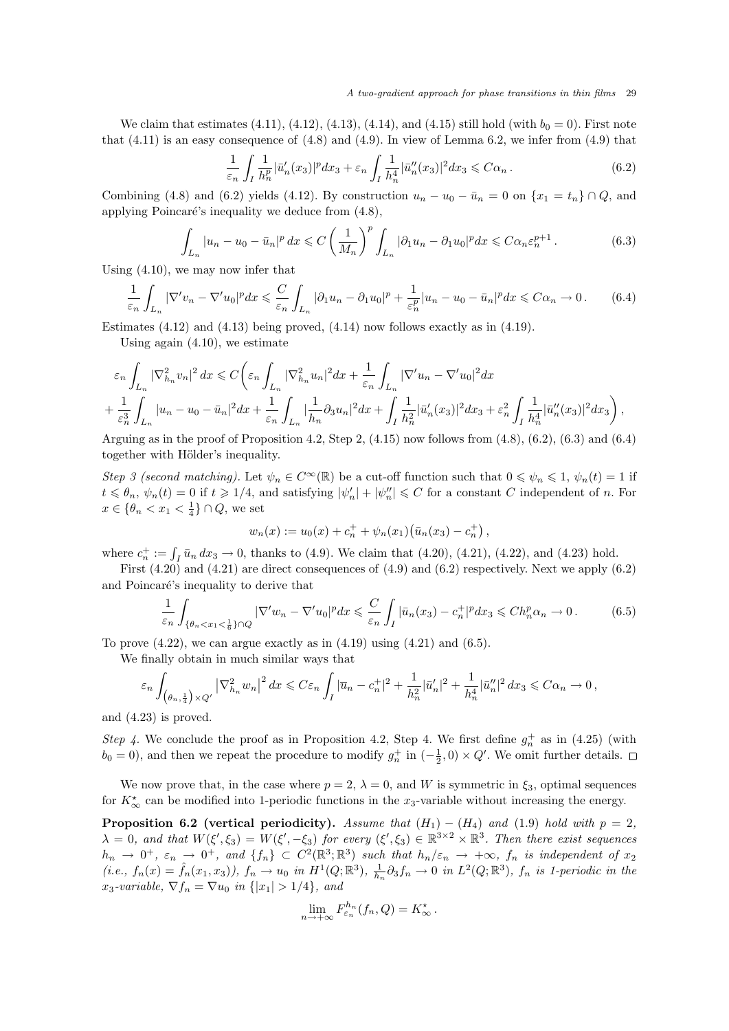We claim that estimates  $(4.11)$ ,  $(4.12)$ ,  $(4.13)$ ,  $(4.14)$ , and  $(4.15)$  still hold (with  $b_0 = 0$ ). First note that  $(4.11)$  is an easy consequence of  $(4.8)$  and  $(4.9)$ . In view of Lemma 6.2, we infer from  $(4.9)$  that

$$
\frac{1}{\varepsilon_n} \int_I \frac{1}{h_n^p} |\bar{u}_n'(x_3)|^p dx_3 + \varepsilon_n \int_I \frac{1}{h_n^4} |\bar{u}_n''(x_3)|^2 dx_3 \leq C\alpha_n. \tag{6.2}
$$

Combining (4.8) and (6.2) yields (4.12). By construction  $u_n - u_0 - \bar{u}_n = 0$  on  $\{x_1 = t_n\} \cap Q$ , and applying Poincaré's inequality we deduce from  $(4.8)$ ,

$$
\int_{L_n} |u_n - u_0 - \bar{u}_n|^p dx \leqslant C \left(\frac{1}{M_n}\right)^p \int_{L_n} |\partial_1 u_n - \partial_1 u_0|^p dx \leqslant C \alpha_n \varepsilon_n^{p+1} . \tag{6.3}
$$

Using (4.10), we may now infer that

$$
\frac{1}{\varepsilon_n} \int_{L_n} |\nabla' v_n - \nabla' u_0|^p dx \leqslant \frac{C}{\varepsilon_n} \int_{L_n} |\partial_1 u_n - \partial_1 u_0|^p + \frac{1}{\varepsilon_n^p} |u_n - u_0 - \bar{u}_n|^p dx \leqslant C\alpha_n \to 0. \tag{6.4}
$$

Estimates  $(4.12)$  and  $(4.13)$  being proved,  $(4.14)$  now follows exactly as in  $(4.19)$ .

Using again (4.10), we estimate

$$
\varepsilon_n \int_{L_n} |\nabla_{h_n}^2 v_n|^2 dx \leqslant C \bigg(\varepsilon_n \int_{L_n} |\nabla_{h_n}^2 u_n|^2 dx + \frac{1}{\varepsilon_n} \int_{L_n} |\nabla' u_n - \nabla' u_0|^2 dx \n+ \frac{1}{\varepsilon_n^3} \int_{L_n} |u_n - u_0 - \bar{u}_n|^2 dx + \frac{1}{\varepsilon_n} \int_{L_n} |\frac{1}{h_n} \partial_3 u_n|^2 dx + \int_I \frac{1}{h_n^2} |\bar{u}'_n(x_3)|^2 dx_3 + \varepsilon_n^2 \int_I \frac{1}{h_n^4} |\bar{u}''_n(x_3)|^2 dx_3 \bigg),
$$

Arguing as in the proof of Proposition 4.2, Step 2,  $(4.15)$  now follows from  $(4.8)$ ,  $(6.2)$ ,  $(6.3)$  and  $(6.4)$ together with Hölder's inequality.

Step 3 (second matching). Let  $\psi_n \in C^{\infty}(\mathbb{R})$  be a cut-off function such that  $0 \leq \psi_n \leq 1$ ,  $\psi_n(t) = 1$  if  $t \leq \theta_n$ ,  $\psi_n(t) = 0$  if  $t \geq 1/4$ , and satisfying  $|\psi'_n| + |\psi''_n| \leq C$  for a constant C independent of n. For  $x \in \{\theta_n < x_1 < \frac{1}{4}\} \cap Q$ , we set

$$
w_n(x) := u_0(x) + c_n^+ + \psi_n(x_1)(\bar{u}_n(x_3) - c_n^+),
$$

where  $c_n^+ := \int_I \bar{u}_n \, dx_3 \to 0$ , thanks to (4.9). We claim that (4.20), (4.21), (4.22), and (4.23) hold.

First  $(4.20)$  and  $(4.21)$  are direct consequences of  $(4.9)$  and  $(6.2)$  respectively. Next we apply  $(6.2)$ and Poincaré's inequality to derive that

$$
\frac{1}{\varepsilon_n} \int_{\{\theta_n < x_1 < \frac{1}{6}\} \cap Q} |\nabla' w_n - \nabla' u_0|^p dx \leqslant \frac{C}{\varepsilon_n} \int_I |\bar{u}_n(x_3) - c_n^+|^p dx_3 \leqslant Ch_n^p \alpha_n \to 0. \tag{6.5}
$$

To prove  $(4.22)$ , we can argue exactly as in  $(4.19)$  using  $(4.21)$  and  $(6.5)$ .

We finally obtain in much similar ways that

$$
\varepsilon_n\int_{\left(\theta_n,\frac{1}{4}\right)\times Q'}\left|\nabla_{h_n}^2w_n\right|^2dx\leqslant C\varepsilon_n\int_{I}\left|\overline{u}_n-c_n^+\right|^2+\frac{1}{h_n^2}|\bar{u}_n'|^2+\frac{1}{h_n^4}|\bar{u}_n''|^2\,dx_3\leqslant C\alpha_n\to 0\,,
$$

and (4.23) is proved.

Step 4. We conclude the proof as in Proposition 4.2, Step 4. We first define  $g_n^+$  as in (4.25) (with  $b_0 = 0$ , and then we repeat the procedure to modify  $g_n^+$  in  $\left(-\frac{1}{2},0\right) \times Q'$ . We omit further details.

We now prove that, in the case where  $p = 2$ ,  $\lambda = 0$ , and W is symmetric in  $\xi_3$ , optimal sequences for  $K_{\infty}^{\star}$  can be modified into 1-periodic functions in the x<sub>3</sub>-variable without increasing the energy.

**Proposition 6.2 (vertical periodicity).** Assume that  $(H_1) - (H_4)$  and (1.9) hold with  $p = 2$ ,  $\lambda = 0$ , and that  $W(\xi', \xi_3) = W(\xi', -\xi_3)$  for every  $(\xi', \xi_3) \in \mathbb{R}^{3 \times 2} \times \mathbb{R}^3$ . Then there exist sequences  $h_n \to 0^+, \ \varepsilon_n \to 0^+, \text{ and } \{f_n\} \subset C^2(\mathbb{R}^3; \mathbb{R}^3)$  such that  $h_n/\varepsilon_n \to +\infty$ ,  $f_n$  is independent of  $x_2$  $(i.e., f_n(x) = \hat{f}_n(x_1, x_3)), f_n \to u_0 \text{ in } H^1(Q; \mathbb{R}^3), \frac{1}{h_n} \partial_3 f_n \to 0 \text{ in } L^2(Q; \mathbb{R}^3), f_n \text{ is 1-periodic in the } L^2(Q; \mathbb{R}^3).$  $x_3$ -variable,  $\nabla f_n = \nabla u_0$  in  $\{|x_1| > 1/4\}$ , and

$$
\lim_{n \to +\infty} F_{\varepsilon_n}^{h_n}(f_n, Q) = K_{\infty}^{\star}.
$$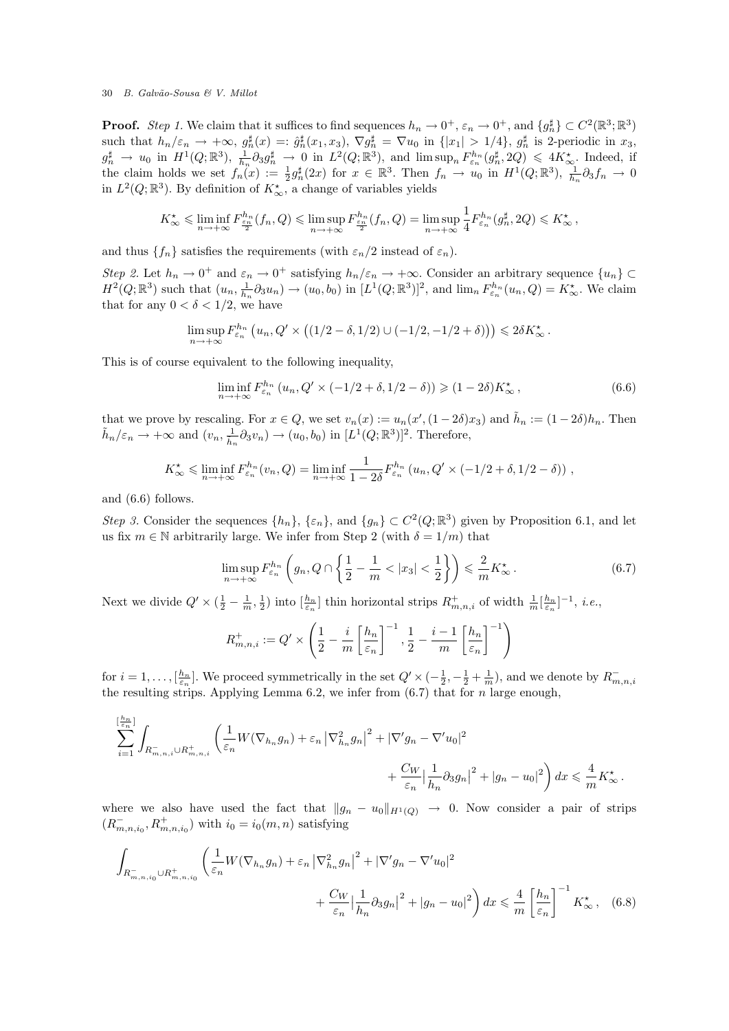**Proof.** Step 1. We claim that it suffices to find sequences  $h_n \to 0^+, \varepsilon_n \to 0^+,$  and  $\{g_n^{\sharp}\}\subset C^2(\mathbb{R}^3;\mathbb{R}^3)$ such that  $h_n/\varepsilon_n \to +\infty$ ,  $g_n^{\sharp}(x) =: \hat{g}_n^{\sharp}(x_1, x_3)$ ,  $\nabla g_n^{\sharp} = \nabla u_0$  in  $\{|x_1| > 1/4\}$ ,  $g_n^{\sharp}$  is 2-periodic in  $x_3$ ,  $g_n^{\sharp} \to u_0$  in  $H^1(Q;\mathbb{R}^3)$ ,  $\frac{1}{h_n} \partial_3 g_n^{\sharp} \to 0$  in  $L^2(Q;\mathbb{R}^3)$ , and  $\limsup_n F_{\varepsilon_n}^{h_n}(g_n^{\sharp}, 2Q) \leq 4K_{\infty}^{\star}$ . Indeed, if the claim holds we set  $f_n(x) := \frac{1}{2} g_n^{\sharp}(2x)$  for  $x \in \mathbb{R}^3$ . Then  $f_n \to u_0$  in  $H^1(Q;\mathbb{R}^3)$ ,  $\frac{1}{h_n} \partial_3 f_n \to 0$ in  $L^2(Q;\mathbb{R}^3)$ . By definition of  $K_{\infty}^{\star}$ , a change of variables yields

$$
K_{\infty}^{\star} \leqslant \liminf_{n \to +\infty} F_{\frac{\varepsilon_n}{2}}^{h_n}(f_n, Q) \leqslant \limsup_{n \to +\infty} F_{\frac{\varepsilon_n}{2}}^{h_n}(f_n, Q) = \limsup_{n \to +\infty} \frac{1}{4} F_{\varepsilon_n}^{h_n}(g_n^{\sharp}, 2Q) \leqslant K_{\infty}^{\star},
$$

and thus  $\{f_n\}$  satisfies the requirements (with  $\varepsilon_n/2$  instead of  $\varepsilon_n$ ).

Step 2. Let  $h_n \to 0^+$  and  $\varepsilon_n \to 0^+$  satisfying  $h_n/\varepsilon_n \to +\infty$ . Consider an arbitrary sequence  $\{u_n\} \subset$  $H^2(Q;\mathbb{R}^3)$  such that  $(u_n, \frac{1}{h_n} \partial_3 u_n) \to (u_0, b_0)$  in  $[L^1(Q;\mathbb{R}^3)]^2$ , and  $\lim_n F_{\varepsilon_n}^{h_n}(u_n, Q) = K_{\infty}^*$ . We claim that for any  $0 < \delta < 1/2$ , we have

$$
\limsup_{n \to +\infty} F_{\varepsilon_n}^{h_n} \left( u_n, Q' \times \left( \left( 1/2 - \delta, 1/2 \right) \cup \left( -1/2, -1/2 + \delta \right) \right) \right) \leq 2\delta K_\infty^*.
$$

This is of course equivalent to the following inequality,

$$
\liminf_{n \to +\infty} F_{\varepsilon_n}^{h_n} (u_n, Q' \times (-1/2 + \delta, 1/2 - \delta)) \geq (1 - 2\delta) K_{\infty}^{\star},
$$
\n(6.6)

that we prove by rescaling. For  $x \in Q$ , we set  $v_n(x) := u_n(x', (1 - 2\delta)x_3)$  and  $\tilde{h}_n := (1 - 2\delta)h_n$ . Then  $\tilde{h}_n/\varepsilon_n \to +\infty$  and  $(v_n, \frac{1}{\tilde{h}_n} \partial_3 v_n) \to (u_0, b_0)$  in  $[L^1(Q;\mathbb{R}^3)]^2$ . Therefore,

$$
K_{\infty}^{\star} \leq \liminf_{n \to +\infty} F_{\varepsilon_n}^{h_n}(v_n, Q) = \liminf_{n \to +\infty} \frac{1}{1 - 2\delta} F_{\varepsilon_n}^{h_n}(u_n, Q' \times (-1/2 + \delta, 1/2 - \delta)),
$$

and (6.6) follows.

Step 3. Consider the sequences  $\{h_n\}$ ,  $\{\varepsilon_n\}$ , and  $\{g_n\} \subset C^2(Q;\mathbb{R}^3)$  given by Proposition 6.1, and let us fix  $m \in \mathbb{N}$  arbitrarily large. We infer from Step 2 (with  $\delta = 1/m$ ) that

$$
\limsup_{n \to +\infty} F_{\varepsilon_n}^{h_n} \left( g_n, Q \cap \left\{ \frac{1}{2} - \frac{1}{m} < |x_3| < \frac{1}{2} \right\} \right) \leqslant \frac{2}{m} K_{\infty}^{\star} \,. \tag{6.7}
$$

Next we divide  $Q' \times (\frac{1}{2} - \frac{1}{m}, \frac{1}{2})$  into  $\left[\frac{h_n}{\varepsilon_n}\right]$  thin horizontal strips  $R^+_{m,n,i}$  of width  $\frac{1}{m} \left[\frac{h_n}{\varepsilon_n}\right]^{-1}$ , *i.e.*,

$$
R_{m,n,i}^+ := Q' \times \left(\frac{1}{2} - \frac{i}{m} \left[\frac{h_n}{\varepsilon_n}\right]^{-1}, \frac{1}{2} - \frac{i-1}{m} \left[\frac{h_n}{\varepsilon_n}\right]^{-1}\right)
$$

for  $i = 1, \ldots, \lbrack \frac{h_n}{\varepsilon_n} \rbrack$ . We proceed symmetrically in the set  $Q' \times \left(-\frac{1}{2}, -\frac{1}{2} + \frac{1}{m}\right)$ , and we denote by  $R_{m,n,i}^$ the resulting strips. Applying Lemma 6.2, we infer from  $(6.7)$  that for n large enough,

$$
\sum_{i=1}^{\lfloor \frac{h_n}{\varepsilon_n} \rfloor} \int_{R_{m,n,i}^- \cup R_{m,n,i}^+} \left( \frac{1}{\varepsilon_n} W(\nabla_{h_n} g_n) + \varepsilon_n |\nabla_{h_n}^2 g_n|^2 + |\nabla' g_n - \nabla' u_0|^2 + \frac{C_W}{\varepsilon_n} |\frac{1}{h_n} \partial_3 g_n|^2 + |g_n - u_0|^2 \right) dx \leq \frac{4}{m} K_\infty^*.
$$

where we also have used the fact that  $||g_n - u_0||_{H^1(Q)} \to 0$ . Now consider a pair of strips  $(R_{m,n,i_0}^-, R_{m,n,i_0}^+)$  with  $i_0 = i_0(m,n)$  satisfying

$$
\int_{R_{m,n,i_0}^- \cup R_{m,n,i_0}^+} \left( \frac{1}{\varepsilon_n} W(\nabla_{h_n} g_n) + \varepsilon_n \left| \nabla_{h_n}^2 g_n \right|^2 + |\nabla' g_n - \nabla' u_0|^2 + \frac{C_W}{\varepsilon_n} \left| \frac{1}{h_n} \partial_3 g_n \right|^2 + |g_n - u_0|^2 \right) dx \leq \frac{4}{m} \left[ \frac{h_n}{\varepsilon_n} \right]^{-1} K_\infty^*, \quad (6.8)
$$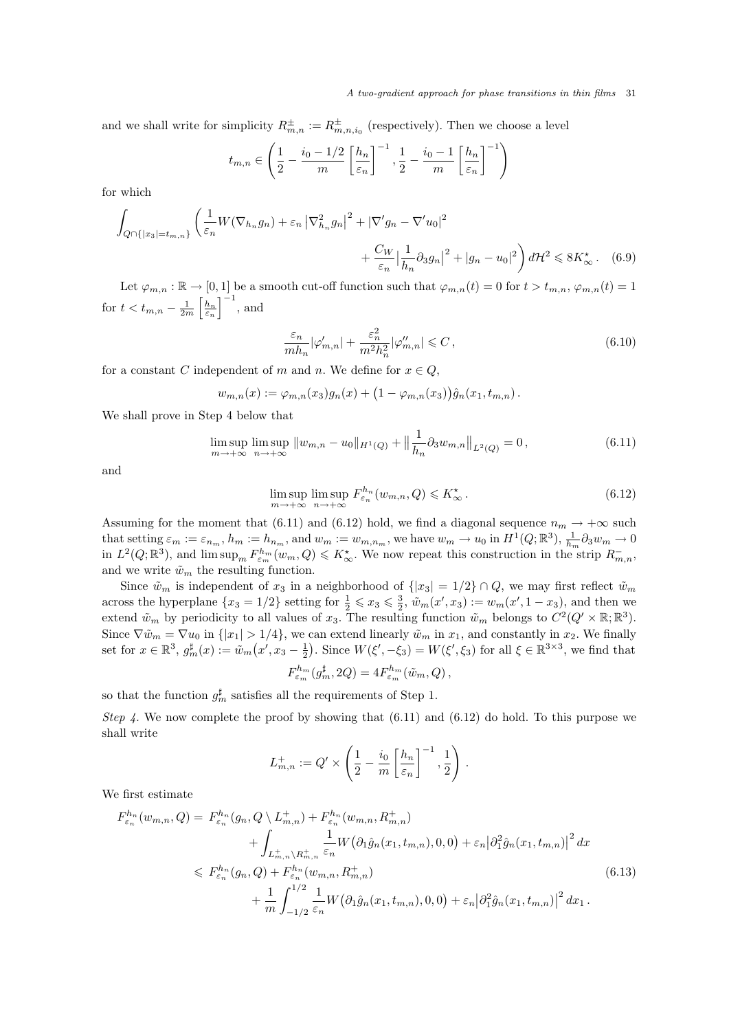and we shall write for simplicity  $R_{m,n}^{\pm} := R_{m,n,i_0}^{\pm}$  (respectively). Then we choose a level

$$
t_{m,n} \in \left(\frac{1}{2} - \frac{i_0 - 1/2}{m} \left[\frac{h_n}{\varepsilon_n}\right]^{-1}, \frac{1}{2} - \frac{i_0 - 1}{m} \left[\frac{h_n}{\varepsilon_n}\right]^{-1}\right)
$$

for which

$$
\int_{Q \cap \{|x_3| = t_{m,n}\}} \left( \frac{1}{\varepsilon_n} W(\nabla_{h_n} g_n) + \varepsilon_n \left| \nabla_{h_n}^2 g_n \right|^2 + \left| \nabla' g_n - \nabla' u_0 \right|^2 + \frac{C_W}{\varepsilon_n} \left| \frac{1}{h_n} \partial_3 g_n \right|^2 + |g_n - u_0|^2 \right) d\mathcal{H}^2 \leq 8K_\infty^*.
$$
 (6.9)

Let  $\varphi_{m,n} : \mathbb{R} \to [0,1]$  be a smooth cut-off function such that  $\varphi_{m,n}(t) = 0$  for  $t > t_{m,n}$ ,  $\varphi_{m,n}(t) = 1$ for  $t < t_{m,n} - \frac{1}{2m} \left[ \frac{h_n}{\varepsilon_n} \right]^{-1}$ , and

$$
\frac{\varepsilon_n}{mh_n} |\varphi'_{m,n}| + \frac{\varepsilon_n^2}{m^2 h_n^2} |\varphi''_{m,n}| \leqslant C \,,\tag{6.10}
$$

for a constant C independent of m and n. We define for  $x \in Q$ ,

$$
w_{m,n}(x) := \varphi_{m,n}(x_3)g_n(x) + (1 - \varphi_{m,n}(x_3))\hat{g}_n(x_1, t_{m,n}).
$$

We shall prove in Step 4 below that

$$
\limsup_{m \to +\infty} \limsup_{n \to +\infty} \|w_{m,n} - u_0\|_{H^1(Q)} + \left\|\frac{1}{h_n}\partial_3 w_{m,n}\right\|_{L^2(Q)} = 0,
$$
\n(6.11)

and

$$
\limsup_{m \to +\infty} \limsup_{n \to +\infty} F_{\varepsilon_n}^{h_n}(w_{m,n}, Q) \leq K_{\infty}^{\star}.
$$
\n(6.12)

Assuming for the moment that (6.11) and (6.12) hold, we find a diagonal sequence  $n_m \to +\infty$  such that setting  $\varepsilon_m := \varepsilon_{n_m}$ ,  $h_m := h_{n_m}$ , and  $w_m := w_{m,n_m}$ , we have  $w_m \to u_0$  in  $H^1(Q;\mathbb{R}^3)$ ,  $\frac{1}{h_m} \partial_3 w_m \to 0$ in  $L^2(Q;\mathbb{R}^3)$ , and  $\limsup_m F^{h_m}_{\varepsilon_m}(w_m, Q) \leq K^{\star}_{\infty}$ . We now repeat this construction in the strip  $R^{-}_{m,n}$ , and we write  $\tilde{w}_m$  the resulting function.

Since  $\tilde{w}_m$  is independent of  $x_3$  in a neighborhood of  $\{|x_3| = 1/2\} \cap Q$ , we may first reflect  $\tilde{w}_m$ across the hyperplane  $\{x_3 = 1/2\}$  setting for  $\frac{1}{2} \leqslant x_3 \leqslant \frac{3}{2}$ ,  $\tilde{w}_m(x', x_3) := w_m(x', 1 - x_3)$ , and then we extend  $\tilde{w}_m$  by periodicity to all values of  $x_3$ . The resulting function  $\tilde{w}_m$  belongs to  $C^2(Q' \times \mathbb{R}; \mathbb{R}^3)$ . Since  $\nabla \tilde{w}_m = \nabla u_0$  in  $\{|x_1| > 1/4\}$ , we can extend linearly  $\tilde{w}_m$  in  $x_1$ , and constantly in  $x_2$ . We finally set for  $x \in \mathbb{R}^3$ ,  $g_m^{\sharp}(x) := \tilde{w}_m(x', x_3 - \frac{1}{2})$ . Since  $W(\xi', -\xi_3) = W(\xi', \xi_3)$  for all  $\xi \in \mathbb{R}^{3 \times 3}$ , we find that

$$
F_{\varepsilon_m}^{h_m}(g_m^{\sharp}, 2Q) = 4F_{\varepsilon_m}^{h_m}(\tilde{w}_m, Q),
$$

so that the function  $g_m^{\sharp}$  satisfies all the requirements of Step 1.

Step 4. We now complete the proof by showing that  $(6.11)$  and  $(6.12)$  do hold. To this purpose we shall write

$$
L_{m,n}^+ := Q' \times \left(\frac{1}{2} - \frac{i_0}{m} \left[\frac{h_n}{\varepsilon_n}\right]^{-1}, \frac{1}{2}\right).
$$

We first estimate

$$
F_{\varepsilon_n}^{h_n}(w_{m,n}, Q) = F_{\varepsilon_n}^{h_n}(g_n, Q \setminus L_{m,n}^+) + F_{\varepsilon_n}^{h_n}(w_{m,n}, R_{m,n}^+)
$$
  
+ 
$$
\int_{L_{m,n}^+ \setminus R_{m,n}^+} \frac{1}{\varepsilon_n} W(\partial_1 \hat{g}_n(x_1, t_{m,n}), 0, 0) + \varepsilon_n |\partial_1^2 \hat{g}_n(x_1, t_{m,n})|^2 dx
$$
  

$$
\leq F_{\varepsilon_n}^{h_n}(g_n, Q) + F_{\varepsilon_n}^{h_n}(w_{m,n}, R_{m,n}^+)
$$
  
+ 
$$
\frac{1}{m} \int_{-1/2}^{1/2} \frac{1}{\varepsilon_n} W(\partial_1 \hat{g}_n(x_1, t_{m,n}), 0, 0) + \varepsilon_n |\partial_1^2 \hat{g}_n(x_1, t_{m,n})|^2 dx_1.
$$
 (6.13)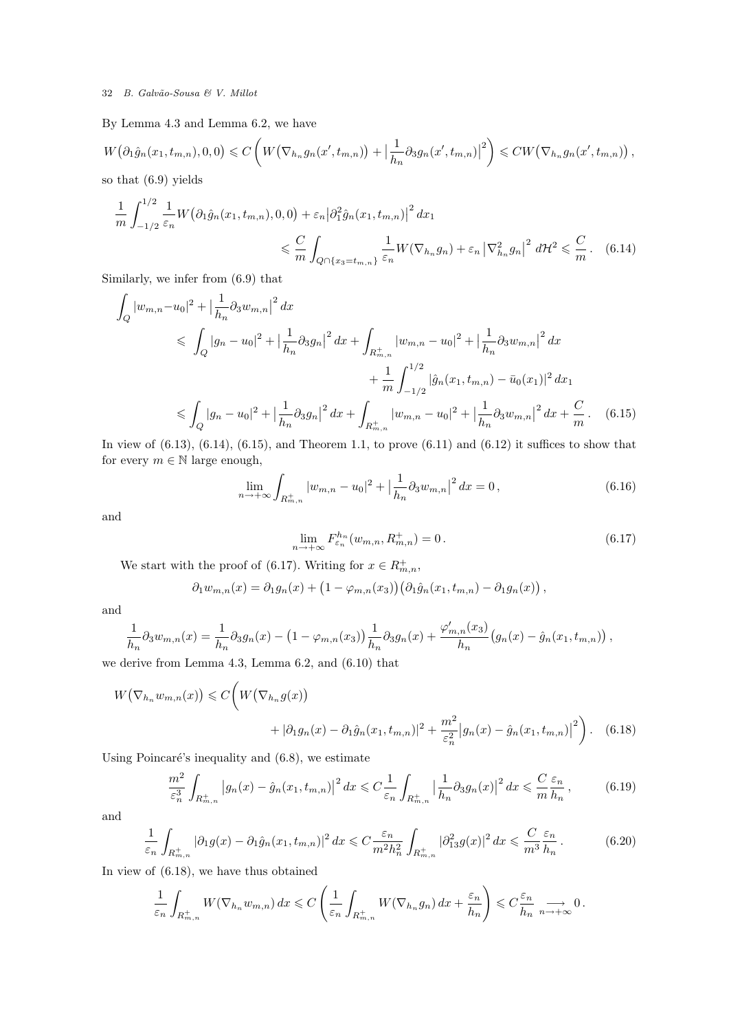By Lemma 4.3 and Lemma 6.2, we have

$$
W\big(\partial_1 \hat{g}_n(x_1, t_{m,n}), 0, 0\big) \leqslant C\left(W\big(\nabla_{h_n}g_n(x', t_{m,n})\big) + \left|\frac{1}{h_n}\partial_3 g_n(x', t_{m,n})\right|^2\right) \leqslant CW\big(\nabla_{h_n}g_n(x', t_{m,n})\big),
$$
 so that (6.9) yields

 $(0.9)$  )

$$
\frac{1}{m} \int_{-1/2}^{1/2} \frac{1}{\varepsilon_n} W(\partial_1 \hat{g}_n(x_1, t_{m,n}), 0, 0) + \varepsilon_n |\partial_1^2 \hat{g}_n(x_1, t_{m,n})|^2 dx_1
$$
  

$$
\leq \frac{C}{m} \int_{Q \cap \{x_3 = t_{m,n}\}} \frac{1}{\varepsilon_n} W(\nabla_{h_n} g_n) + \varepsilon_n |\nabla_{h_n}^2 g_n|^2 d\mathcal{H}^2 \leq \frac{C}{m}.
$$
 (6.14)

Similarly, we infer from (6.9) that

$$
\int_{Q} |w_{m,n} - u_0|^2 + \left| \frac{1}{h_n} \partial_3 w_{m,n} \right|^2 dx
$$
\n
$$
\leq \int_{Q} |g_n - u_0|^2 + \left| \frac{1}{h_n} \partial_3 g_n \right|^2 dx + \int_{R_{m,n}^+} |w_{m,n} - u_0|^2 + \left| \frac{1}{h_n} \partial_3 w_{m,n} \right|^2 dx
$$
\n
$$
+ \frac{1}{m} \int_{-1/2}^{1/2} |\hat{g}_n(x_1, t_{m,n}) - \bar{u}_0(x_1)|^2 dx_1
$$
\n
$$
\leq \int_{Q} |g_n - u_0|^2 + \left| \frac{1}{h_n} \partial_3 g_n \right|^2 dx + \int_{R_{m,n}^+} |w_{m,n} - u_0|^2 + \left| \frac{1}{h_n} \partial_3 w_{m,n} \right|^2 dx + \frac{C}{m}.
$$
\n(6.15)

In view of  $(6.13)$ ,  $(6.14)$ ,  $(6.15)$ , and Theorem 1.1, to prove  $(6.11)$  and  $(6.12)$  it suffices to show that for every  $m \in \mathbb{N}$  large enough,

$$
\lim_{n \to +\infty} \int_{R_{m,n}^+} |w_{m,n} - u_0|^2 + \left| \frac{1}{h_n} \partial_3 w_{m,n} \right|^2 dx = 0, \tag{6.16}
$$

and

$$
\lim_{n \to +\infty} F_{\varepsilon_n}^{h_n}(w_{m,n}, R_{m,n}^+) = 0. \tag{6.17}
$$

We start with the proof of (6.17). Writing for  $x \in R^+_{m,n}$ ,

$$
\partial_1 w_{m,n}(x) = \partial_1 g_n(x) + \left(1 - \varphi_{m,n}(x_3)\right) \left(\partial_1 \hat{g}_n(x_1, t_{m,n}) - \partial_1 g_n(x)\right),
$$

and

$$
\frac{1}{h_n}\partial_3 w_{m,n}(x) = \frac{1}{h_n}\partial_3 g_n(x) - (1 - \varphi_{m,n}(x_3))\frac{1}{h_n}\partial_3 g_n(x) + \frac{\varphi'_{m,n}(x_3)}{h_n} (g_n(x) - \hat{g}_n(x_1, t_{m,n})),
$$

we derive from Lemma 4.3, Lemma 6.2, and (6.10) that

$$
W(\nabla_{h_n} w_{m,n}(x)) \leq C \bigg( W(\nabla_{h_n} g(x)) + |\partial_1 g_n(x) - \partial_1 \hat{g}_n(x_1, t_{m,n})|^2 + \frac{m^2}{\varepsilon_n^2} |g_n(x) - \hat{g}_n(x_1, t_{m,n})|^2 \bigg). \tag{6.18}
$$

Using Poincaré's inequality and  $(6.8)$ , we estimate

$$
\frac{m^2}{\varepsilon_n^3} \int_{R_{m,n}^+} \left| g_n(x) - \hat{g}_n(x_1, t_{m,n}) \right|^2 dx \leq C \frac{1}{\varepsilon_n} \int_{R_{m,n}^+} \left| \frac{1}{h_n} \partial_3 g_n(x) \right|^2 dx \leq C \frac{\varepsilon_n}{m} \frac{1}{h_n},\tag{6.19}
$$

and

$$
\frac{1}{\varepsilon_n} \int_{R_{m,n}^+} |\partial_1 g(x) - \partial_1 \hat{g}_n(x_1, t_{m,n})|^2 dx \leq C \frac{\varepsilon_n}{m^2 h_n^2} \int_{R_{m,n}^+} |\partial_{13}^2 g(x)|^2 dx \leq \frac{C}{m^3} \frac{\varepsilon_n}{h_n}.
$$
 (6.20)

In view of (6.18), we have thus obtained

$$
\frac{1}{\varepsilon_n} \int_{R_{m,n}^+} W(\nabla_{h_n} w_{m,n}) dx \leqslant C \left( \frac{1}{\varepsilon_n} \int_{R_{m,n}^+} W(\nabla_{h_n} g_n) dx + \frac{\varepsilon_n}{h_n} \right) \leqslant C \frac{\varepsilon_n}{h_n} \xrightarrow[n \to +\infty]{} 0.
$$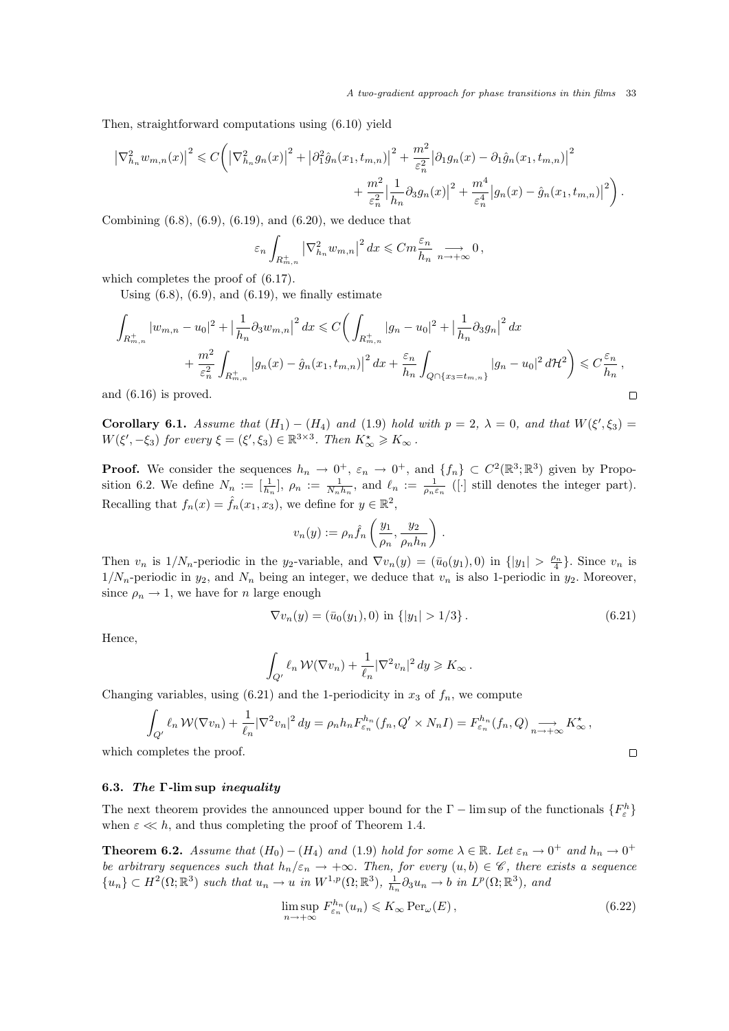A two-gradient approach for phase transitions in thin films 33

Then, straightforward computations using (6.10) yield

$$
\left|\nabla_{h_n}^2 w_{m,n}(x)\right|^2 \leq C \bigg( \left|\nabla_{h_n}^2 g_n(x)\right|^2 + \left|\partial_1^2 \hat{g}_n(x_1, t_{m,n})\right|^2 + \frac{m^2}{\varepsilon_n^2} \left|\partial_1 g_n(x) - \partial_1 \hat{g}_n(x_1, t_{m,n})\right|^2 + \frac{m^2}{\varepsilon_n^2} \left|\frac{1}{h_n} \partial_3 g_n(x)\right|^2 + \frac{m^4}{\varepsilon_n^4} \left|g_n(x) - \hat{g}_n(x_1, t_{m,n})\right|^2 \bigg).
$$

Combining (6.8), (6.9), (6.19), and (6.20), we deduce that

$$
\varepsilon_n \int_{R_{m,n}^+} \left| \nabla_{h_n}^2 w_{m,n} \right|^2 dx \leqslant C m \frac{\varepsilon_n}{h_n} \underset{n \to +\infty}{\longrightarrow} 0,
$$

which completes the proof of (6.17).

Using  $(6.8)$ ,  $(6.9)$ , and  $(6.19)$ , we finally estimate

$$
\int_{R_{m,n}^+} |w_{m,n} - u_0|^2 + \left| \frac{1}{h_n} \partial_3 w_{m,n} \right|^2 dx \leq C \bigg( \int_{R_{m,n}^+} |g_n - u_0|^2 + \left| \frac{1}{h_n} \partial_3 g_n \right|^2 dx \n+ \frac{m^2}{\varepsilon_n^2} \int_{R_{m,n}^+} |g_n(x) - \hat{g}_n(x_1, t_{m,n})|^2 dx + \frac{\varepsilon_n}{h_n} \int_{Q \cap \{x_3 = t_{m,n}\}} |g_n - u_0|^2 d\mathcal{H}^2 \bigg) \leq C \frac{\varepsilon_n}{h_n},
$$
d (6.16) is proved.

and (6.16) is proved.

Corollary 6.1. Assume that  $(H_1) - (H_4)$  and  $(1.9)$  hold with  $p = 2$ ,  $\lambda = 0$ , and that  $W(\xi', \xi_3) =$  $W(\xi', -\xi_3)$  for every  $\xi = (\xi', \xi_3) \in \mathbb{R}^{3 \times 3}$ . Then  $K^*_{\infty} \geq K_{\infty}$ .

**Proof.** We consider the sequences  $h_n \to 0^+, \varepsilon_n \to 0^+,$  and  $\{f_n\} \subset C^2(\mathbb{R}^3;\mathbb{R}^3)$  given by Proposition 6.2. We define  $N_n := \frac{1}{h_n}, \ \rho_n := \frac{1}{N_n h_n}, \text{ and } \ \ell_n := \frac{1}{\rho_n \varepsilon_n}$  ([·] still denotes the integer part). Recalling that  $f_n(x) = \hat{f}_n(x_1, x_3)$ , we define for  $y \in \mathbb{R}^2$ ,

$$
v_n(y) := \rho_n \hat{f}_n\left(\frac{y_1}{\rho_n}, \frac{y_2}{\rho_n h_n}\right) .
$$

Then  $v_n$  is  $1/N_n$ -periodic in the y<sub>2</sub>-variable, and  $\nabla v_n(y) = (\bar{u}_0(y_1), 0)$  in  $\{|y_1| > \frac{\rho_n}{4}\}\.$  Since  $v_n$  is  $1/N_n$ -periodic in  $y_2$ , and  $N_n$  being an integer, we deduce that  $v_n$  is also 1-periodic in  $y_2$ . Moreover, since  $\rho_n \to 1$ , we have for *n* large enough

$$
\nabla v_n(y) = (\bar{u}_0(y_1), 0) \text{ in } \{|y_1| > 1/3\}. \tag{6.21}
$$

Hence,

$$
\int_{Q'} \ell_n \, \mathcal{W}(\nabla v_n) + \frac{1}{\ell_n} |\nabla^2 v_n|^2 \, dy \geq K_\infty \, .
$$

Changing variables, using  $(6.21)$  and the 1-periodicity in  $x_3$  of  $f_n$ , we compute

$$
\int_{Q'} \ell_n W(\nabla v_n) + \frac{1}{\ell_n} |\nabla^2 v_n|^2 dy = \rho_n h_n F_{\varepsilon_n}^{h_n}(f_n, Q' \times N_n I) = F_{\varepsilon_n}^{h_n}(f_n, Q) \underset{n \to +\infty}{\longrightarrow} K_{\infty}^{\star},
$$
  
ompletes the proof.

which completes the proof.

#### 6.3. The Γ-lim sup inequality

The next theorem provides the announced upper bound for the  $\Gamma$  – lim sup of the functionals  $\{F^h_{\varepsilon}\}$ when  $\varepsilon \ll h$ , and thus completing the proof of Theorem 1.4.

**Theorem 6.2.** Assume that  $(H_0) - (H_4)$  and  $(1.9)$  hold for some  $\lambda \in \mathbb{R}$ . Let  $\varepsilon_n \to 0^+$  and  $h_n \to 0^+$ be arbitrary sequences such that  $h_n/\varepsilon_n \to +\infty$ . Then, for every  $(u, b) \in \mathscr{C}$ , there exists a sequence  ${u_n} \subset H^2(\Omega;\mathbb{R}^3)$  such that  $u_n \to u$  in  $W^{1,p}(\Omega;\mathbb{R}^3)$ ,  $\frac{1}{h_n} \partial_3 u_n \to b$  in  $L^p(\Omega;\mathbb{R}^3)$ , and

$$
\limsup_{n \to +\infty} F_{\varepsilon_n}^{h_n}(u_n) \leqslant K_\infty \operatorname{Per}_{\omega}(E), \tag{6.22}
$$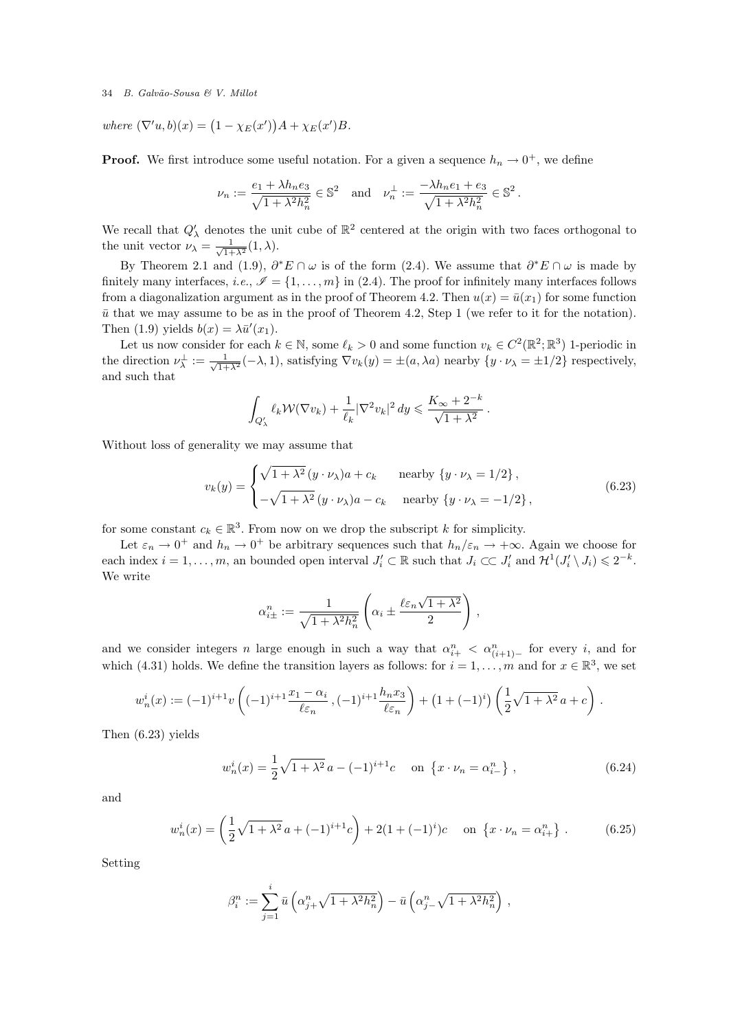where  $(\nabla' u, b)(x) = (1 - \chi_E(x'))A + \chi_E(x')B$ .

**Proof.** We first introduce some useful notation. For a given a sequence  $h_n \to 0^+$ , we define

$$
\nu_n := \frac{e_1 + \lambda h_n e_3}{\sqrt{1 + \lambda^2 h_n^2}} \in \mathbb{S}^2 \quad \text{and} \quad \nu_n^{\perp} := \frac{-\lambda h_n e_1 + e_3}{\sqrt{1 + \lambda^2 h_n^2}} \in \mathbb{S}^2.
$$

We recall that  $Q'_{\lambda}$  denotes the unit cube of  $\mathbb{R}^2$  centered at the origin with two faces orthogonal to the unit vector  $\nu_{\lambda} = \frac{1}{\sqrt{1 + \lambda^2}} (1, \lambda)$ .

By Theorem 2.1 and (1.9),  $\partial^* E \cap \omega$  is of the form (2.4). We assume that  $\partial^* E \cap \omega$  is made by finitely many interfaces, i.e.,  $\mathscr{I} = \{1, \ldots, m\}$  in (2.4). The proof for infinitely many interfaces follows from a diagonalization argument as in the proof of Theorem 4.2. Then  $u(x) = \bar{u}(x_1)$  for some function  $\bar{u}$  that we may assume to be as in the proof of Theorem 4.2, Step 1 (we refer to it for the notation). Then (1.9) yields  $b(x) = \lambda \bar{u}'(x_1)$ .

Let us now consider for each  $k \in \mathbb{N}$ , some  $\ell_k > 0$  and some function  $v_k \in C^2(\mathbb{R}^2; \mathbb{R}^3)$  1-periodic in the direction  $\nu_{\lambda}^{\perp} := \frac{1}{\sqrt{1+\lambda^2}}(-\lambda, 1)$ , satisfying  $\nabla v_k(y) = \pm(a, \lambda a)$  nearby  $\{y \cdot \nu_{\lambda} = \pm 1/2\}$  respectively, and such that

$$
\int_{Q'_{\lambda}} \ell_k \mathcal{W}(\nabla v_k) + \frac{1}{\ell_k} |\nabla^2 v_k|^2 dy \leqslant \frac{K_{\infty} + 2^{-k}}{\sqrt{1 + \lambda^2}}.
$$

Without loss of generality we may assume that

$$
v_k(y) = \begin{cases} \sqrt{1 + \lambda^2} (y \cdot \nu_\lambda) a + c_k & \text{nearby } \{y \cdot \nu_\lambda = 1/2\}, \\ -\sqrt{1 + \lambda^2} (y \cdot \nu_\lambda) a - c_k & \text{nearby } \{y \cdot \nu_\lambda = -1/2\}, \end{cases}
$$
(6.23)

for some constant  $c_k \in \mathbb{R}^3$ . From now on we drop the subscript k for simplicity.

Let  $\varepsilon_n \to 0^+$  and  $h_n \to 0^+$  be arbitrary sequences such that  $h_n/\varepsilon_n \to +\infty$ . Again we choose for each index  $i = 1, ..., m$ , an bounded open interval  $J'_i \subset \mathbb{R}$  such that  $J_i \subset\subset J'_i$  and  $\mathcal{H}^1(J'_i \setminus J_i) \leq 2^{-k}$ . We write

$$
\alpha_{i\pm}^n := \frac{1}{\sqrt{1 + \lambda^2 h_n^2}} \left( \alpha_i \pm \frac{\ell \varepsilon_n \sqrt{1 + \lambda^2}}{2} \right),
$$

and we consider integers n large enough in such a way that  $\alpha_{i+}^n < \alpha_{(i+1)-}^n$  for every i, and for which (4.31) holds. We define the transition layers as follows: for  $i = 1, \ldots, m$  and for  $x \in \mathbb{R}^3$ , we set

$$
w_n^i(x) := (-1)^{i+1} v \left( (-1)^{i+1} \frac{x_1 - \alpha_i}{\ell \varepsilon_n}, (-1)^{i+1} \frac{h_n x_3}{\ell \varepsilon_n} \right) + (1 + (-1)^i) \left( \frac{1}{2} \sqrt{1 + \lambda^2} a + c \right).
$$

Then (6.23) yields

$$
w_n^i(x) = \frac{1}{2}\sqrt{1+\lambda^2}a - (-1)^{i+1}c \quad \text{on } \{x \cdot \nu_n = \alpha_{i-}^n\} \,, \tag{6.24}
$$

and

$$
w_n^i(x) = \left(\frac{1}{2}\sqrt{1+\lambda^2}a + (-1)^{i+1}c\right) + 2(1+(-1)^i)c \quad \text{on } \{x \cdot \nu_n = \alpha_{i+1}^n\}.
$$
 (6.25)

Setting

$$
\beta_i^n := \sum_{j=1}^i \bar{u} \left( \alpha_{j+1}^n \sqrt{1 + \lambda^2 h_n^2} \right) - \bar{u} \left( \alpha_{j-1}^n \sqrt{1 + \lambda^2 h_n^2} \right),
$$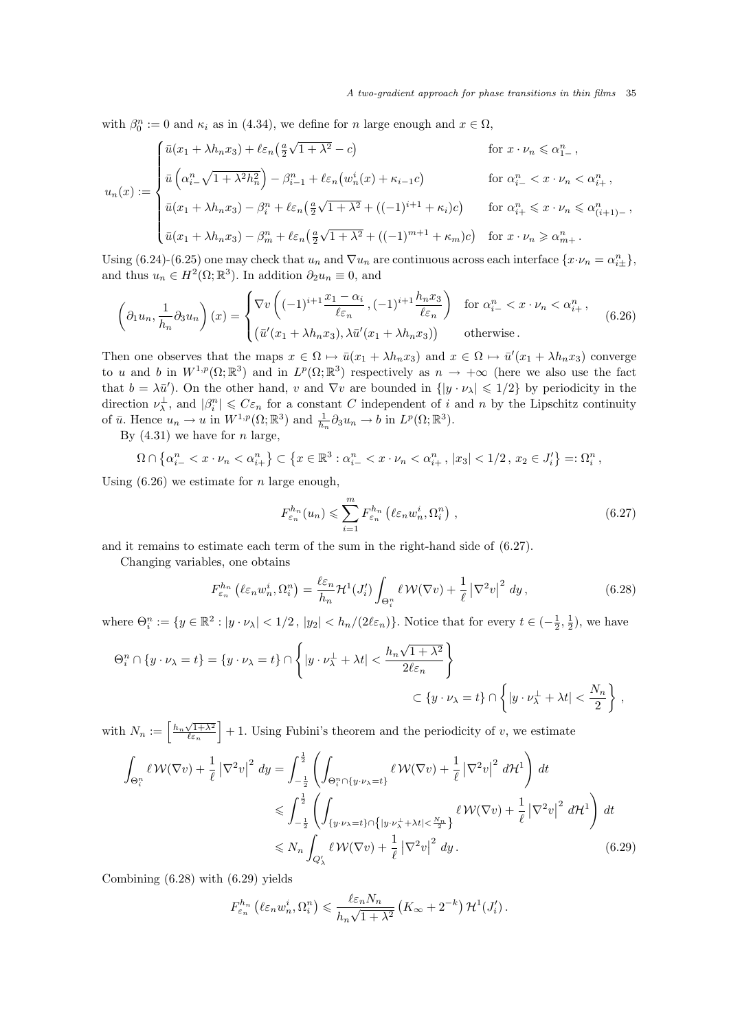with  $\beta_0^n := 0$  and  $\kappa_i$  as in (4.34), we define for n large enough and  $x \in \Omega$ ,

$$
u_n(x) := \begin{cases} \bar{u}(x_1 + \lambda h_n x_3) + \ell \varepsilon_n \left(\frac{a}{2}\sqrt{1 + \lambda^2} - c\right) & \text{for } x \cdot \nu_n \leq \alpha_{1-}^n, \\ \bar{u}\left(\alpha_{i-}^n \sqrt{1 + \lambda^2 h_n^2}\right) - \beta_{i-1}^n + \ell \varepsilon_n \left(w_n^i(x) + \kappa_{i-1} c\right) & \text{for } \alpha_{i-}^n < x \cdot \nu_n < \alpha_{i+}^n, \\ \bar{u}(x_1 + \lambda h_n x_3) - \beta_i^n + \ell \varepsilon_n \left(\frac{a}{2}\sqrt{1 + \lambda^2} + \left((-1)^{i+1} + \kappa_i\right)c\right) & \text{for } \alpha_{i+}^n \leq x \cdot \nu_n \leq \alpha_{(i+1)-}^n, \\ \bar{u}(x_1 + \lambda h_n x_3) - \beta_m^n + \ell \varepsilon_n \left(\frac{a}{2}\sqrt{1 + \lambda^2} + \left((-1)^{m+1} + \kappa_m\right)c\right) & \text{for } x \cdot \nu_n \geq \alpha_{m+}^n. \end{cases}
$$

Using (6.24)-(6.25) one may check that  $u_n$  and  $\nabla u_n$  are continuous across each interface  $\{x \cdot \nu_n = \alpha_{i\pm}^n\}$ , and thus  $u_n \in H^2(\Omega; \mathbb{R}^3)$ . In addition  $\partial_2 u_n \equiv 0$ , and

$$
\left(\partial_1 u_n, \frac{1}{h_n} \partial_3 u_n\right)(x) = \begin{cases} \nabla v \left( (-1)^{i+1} \frac{x_1 - \alpha_i}{\ell \varepsilon_n}, (-1)^{i+1} \frac{h_n x_3}{\ell \varepsilon_n} \right) & \text{for } \alpha_{i-}^n < x \cdot \nu_n < \alpha_{i+}^n, \\ \left( \bar{u}'(x_1 + \lambda h_n x_3), \lambda \bar{u}'(x_1 + \lambda h_n x_3) \right) & \text{otherwise.} \end{cases} \tag{6.26}
$$

Then one observes that the maps  $x \in \Omega \mapsto \bar{u}(x_1 + \lambda h_n x_3)$  and  $x \in \Omega \mapsto \bar{u}'(x_1 + \lambda h_n x_3)$  converge to u and b in  $W^{1,p}(\Omega;\mathbb{R}^3)$  and in  $L^p(\Omega;\mathbb{R}^3)$  respectively as  $n \to +\infty$  (here we also use the fact that  $b = \lambda \bar{u}'$ ). On the other hand, v and  $\nabla v$  are bounded in  $\{ |y \cdot \nu_{\lambda}| \leq 1/2 \}$  by periodicity in the direction  $\nu_{\lambda}^{\perp}$ , and  $|\beta_i^n| \leq C\varepsilon_n$  for a constant C independent of i and n by the Lipschitz continuity of  $\bar{u}$ . Hence  $u_n \to u$  in  $W^{1,p}(\Omega;\mathbb{R}^3)$  and  $\frac{1}{h_n} \partial_3 u_n \to b$  in  $L^p(\Omega;\mathbb{R}^3)$ .

By  $(4.31)$  we have for *n* large,

 $\Omega \cap \{\alpha_{i-}^n < x \cdot \nu_n < \alpha_{i+}^n\} \subset \left\{x \in \mathbb{R}^3 : \alpha_{i-}^n < x \cdot \nu_n < \alpha_{i+}^n, \, |x_3| < 1/2 \, , \, x_2 \in J_i'\right\} =: \Omega_i^n,$ 

Using  $(6.26)$  we estimate for *n* large enough,

$$
F_{\varepsilon_n}^{h_n}(u_n) \leqslant \sum_{i=1}^m F_{\varepsilon_n}^{h_n} \left( \ell \varepsilon_n w_n^i, \Omega_i^n \right) , \qquad (6.27)
$$

and it remains to estimate each term of the sum in the right-hand side of (6.27).

Changing variables, one obtains

$$
F_{\varepsilon_n}^{h_n} \left( \ell \varepsilon_n w_n^i, \Omega_i^n \right) = \frac{\ell \varepsilon_n}{h_n} \mathcal{H}^1(J_i') \int_{\Theta_i^n} \ell \, \mathcal{W}(\nabla v) + \frac{1}{\ell} \left| \nabla^2 v \right|^2 \, dy \,, \tag{6.28}
$$

where  $\Theta_i^n := \{y \in \mathbb{R}^2 : |y \cdot \nu_\lambda| < 1/2, |y_2| < h_n/(2\ell\varepsilon_n)\}\.$  Notice that for every  $t \in \left(-\frac{1}{2}, \frac{1}{2}\right)$ , we have

$$
\begin{aligned} \Theta_i^n \cap \left\{ y \cdot \nu_\lambda = t \right\} &= \left\{ y \cdot \nu_\lambda = t \right\} \cap \left\{ \left| y \cdot \nu_\lambda^\perp + \lambda t \right| < \frac{h_n \sqrt{1+\lambda^2}}{2\ell \varepsilon_n} \right\} \\ & \subset \left\{ y \cdot \nu_\lambda = t \right\} \cap \left\{ \left| y \cdot \nu_\lambda^\perp + \lambda t \right| < \frac{N_n}{2} \right\} \, , \end{aligned}
$$

with  $N_n := \left\lceil \frac{h_n \sqrt{1 + \lambda^2}}{\ell \varepsilon_n} \right\rceil + 1$ . Using Fubini's theorem and the periodicity of v, we estimate

$$
\int_{\Theta_i^n} \ell \mathcal{W}(\nabla v) + \frac{1}{\ell} |\nabla^2 v|^2 dy = \int_{-\frac{1}{2}}^{\frac{1}{2}} \left( \int_{\Theta_i^n \cap \{y \cdot \nu_\lambda = t\}} \ell \mathcal{W}(\nabla v) + \frac{1}{\ell} |\nabla^2 v|^2 d\mathcal{H}^1 \right) dt
$$
  
\n
$$
\leqslant \int_{-\frac{1}{2}}^{\frac{1}{2}} \left( \int_{\{y \cdot \nu_\lambda = t\} \cap \{ |y \cdot \nu_\lambda^{\perp} + \lambda t| < \frac{N_n}{2} \}} \ell \mathcal{W}(\nabla v) + \frac{1}{\ell} |\nabla^2 v|^2 d\mathcal{H}^1 \right) dt
$$
  
\n
$$
\leqslant N_n \int_{Q'_\lambda} \ell \mathcal{W}(\nabla v) + \frac{1}{\ell} |\nabla^2 v|^2 dy. \tag{6.29}
$$

Combining (6.28) with (6.29) yields

$$
F_{\varepsilon_n}^{h_n} \left( \ell \varepsilon_n w_n^i, \Omega_i^n \right) \leqslant \frac{\ell \varepsilon_n N_n}{h_n \sqrt{1 + \lambda^2}} \left( K_\infty + 2^{-k} \right) \mathcal{H}^1(J_i').
$$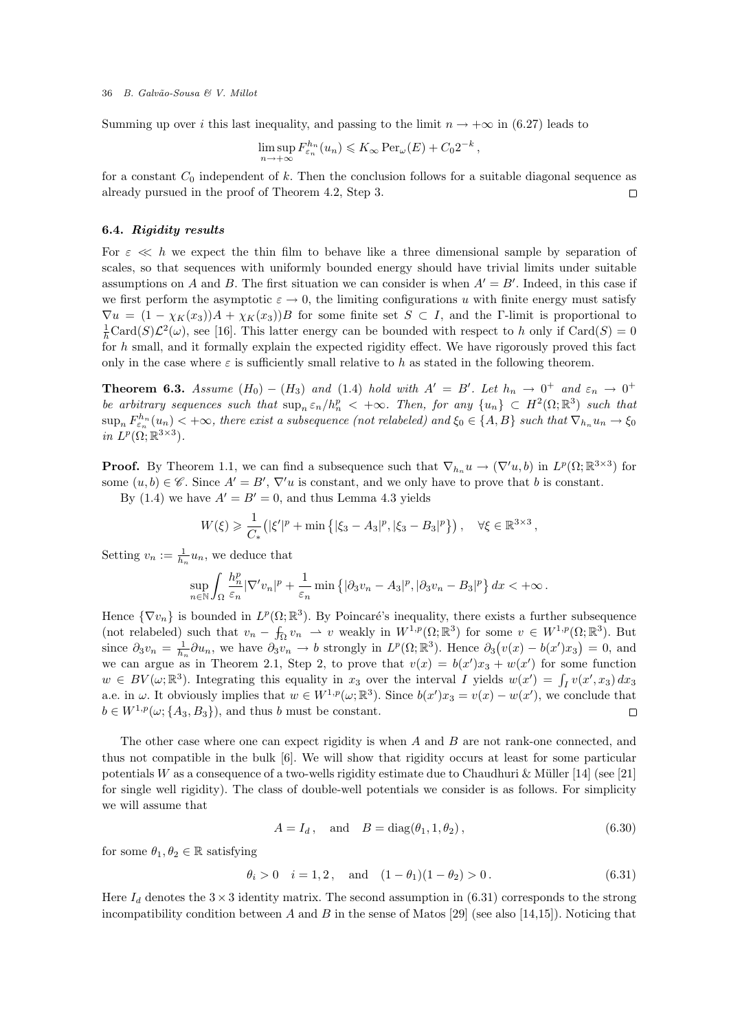Summing up over i this last inequality, and passing to the limit  $n \to +\infty$  in (6.27) leads to

$$
\limsup_{n \to +\infty} F_{\varepsilon_n}^{h_n}(u_n) \leqslant K_\infty \operatorname{Per}_{\omega}(E) + C_0 2^{-k},
$$

for a constant  $C_0$  independent of k. Then the conclusion follows for a suitable diagonal sequence as already pursued in the proof of Theorem 4.2, Step 3.  $\Box$ 

#### 6.4. Rigidity results

For  $\varepsilon \ll h$  we expect the thin film to behave like a three dimensional sample by separation of scales, so that sequences with uniformly bounded energy should have trivial limits under suitable assumptions on A and B. The first situation we can consider is when  $A' = B'$ . Indeed, in this case if we first perform the asymptotic  $\varepsilon \to 0$ , the limiting configurations u with finite energy must satisfy  $\nabla u = (1 - \chi_K(x_3))A + \chi_K(x_3)B$  for some finite set  $S \subset I$ , and the Γ-limit is proportional to  $\frac{1}{h}$ Card(S) $\mathcal{L}^2(\omega)$ , see [16]. This latter energy can be bounded with respect to h only if Card(S) = 0 for h small, and it formally explain the expected rigidity effect. We have rigorously proved this fact only in the case where  $\varepsilon$  is sufficiently small relative to h as stated in the following theorem.

**Theorem 6.3.** Assume  $(H_0) - (H_3)$  and  $(1.4)$  hold with  $A' = B'$ . Let  $h_n \to 0^+$  and  $\varepsilon_n \to 0^+$ be arbitrary sequences such that  $\sup_n \varepsilon_n/h_n^p < +\infty$ . Then, for any  $\{u_n\} \subset H^2(\Omega;\mathbb{R}^3)$  such that  $\sup_n F_{\varepsilon_n}^{h_n}(u_n)$   $<$  + $\infty$ , there exist a subsequence (not relabeled) and  $\xi_0$   $\in$  {A, B} such that  $\nabla_{h_n} u_n \to \xi_0$ in  $L^p(\Omega;\mathbb{R}^{3\times 3})$ .

**Proof.** By Theorem 1.1, we can find a subsequence such that  $\nabla_{h_n} u \to (\nabla' u, b)$  in  $L^p(\Omega; \mathbb{R}^{3 \times 3})$  for some  $(u, b) \in \mathscr{C}$ . Since  $A' = B'$ ,  $\nabla' u$  is constant, and we only have to prove that b is constant.

By (1.4) we have  $A' = B' = 0$ , and thus Lemma 4.3 yields

$$
W(\xi) \geq \frac{1}{C_*} \left( |\xi'|^p + \min \left\{ |\xi_3 - A_3|^p, |\xi_3 - B_3|^p \right\} \right), \quad \forall \xi \in \mathbb{R}^{3 \times 3},
$$

Setting  $v_n := \frac{1}{h_n} u_n$ , we deduce that

$$
\sup_{n\in\mathbb{N}}\int_{\Omega}\frac{h_n^p}{\varepsilon_n}|\nabla' v_n|^p+\frac{1}{\varepsilon_n}\min\left\{|\partial_3v_n-A_3|^p,|\partial_3v_n-B_3|^p\right\}dx<+\infty\,.
$$

Hence  $\{\nabla v_n\}$  is bounded in  $L^p(\Omega;\mathbb{R}^3)$ . By Poincaré's inequality, there exists a further subsequence (not relabeled) such that  $v_n - \int_{\Omega} v_n \rightharpoonup v$  weakly in  $W^{1,p}(\Omega;\mathbb{R}^3)$  for some  $v \in W^{1,p}(\Omega;\mathbb{R}^3)$ . But since  $\partial_3 v_n = \frac{1}{h_n} \partial u_n$ , we have  $\partial_3 v_n \to b$  strongly in  $L^p(\Omega; \mathbb{R}^3)$ . Hence  $\partial_3(v(x) - b(x')x_3) = 0$ , and we can argue as in Theorem 2.1, Step 2, to prove that  $v(x) = b(x')x_3 + w(x')$  for some function  $w \in BV(\omega;\mathbb{R}^3)$ . Integrating this equality in  $x_3$  over the interval I yields  $w(x') = \int_I v(x', x_3) dx_3$ a.e. in  $\omega$ . It obviously implies that  $w \in W^{1,p}(\omega;\mathbb{R}^3)$ . Since  $b(x')x_3 = v(x) - w(x')$ , we conclude that  $b \in W^{1,p}(\omega; \{A_3, B_3\})$ , and thus b must be constant.  $\Box$ 

The other case where one can expect rigidity is when A and B are not rank-one connected, and thus not compatible in the bulk [6]. We will show that rigidity occurs at least for some particular potentials W as a consequence of a two-wells rigidity estimate due to Chaudhuri & Müller [14] (see [21] for single well rigidity). The class of double-well potentials we consider is as follows. For simplicity we will assume that

$$
A = I_d
$$
, and  $B = diag(\theta_1, 1, \theta_2)$ , (6.30)

for some  $\theta_1, \theta_2 \in \mathbb{R}$  satisfying

$$
\theta_i > 0
$$
  $i = 1, 2$ , and  $(1 - \theta_1)(1 - \theta_2) > 0$ . (6.31)

Here  $I_d$  denotes the 3  $\times$  3 identity matrix. The second assumption in (6.31) corresponds to the strong incompatibility condition between A and B in the sense of Matos [29] (see also [14,15]). Noticing that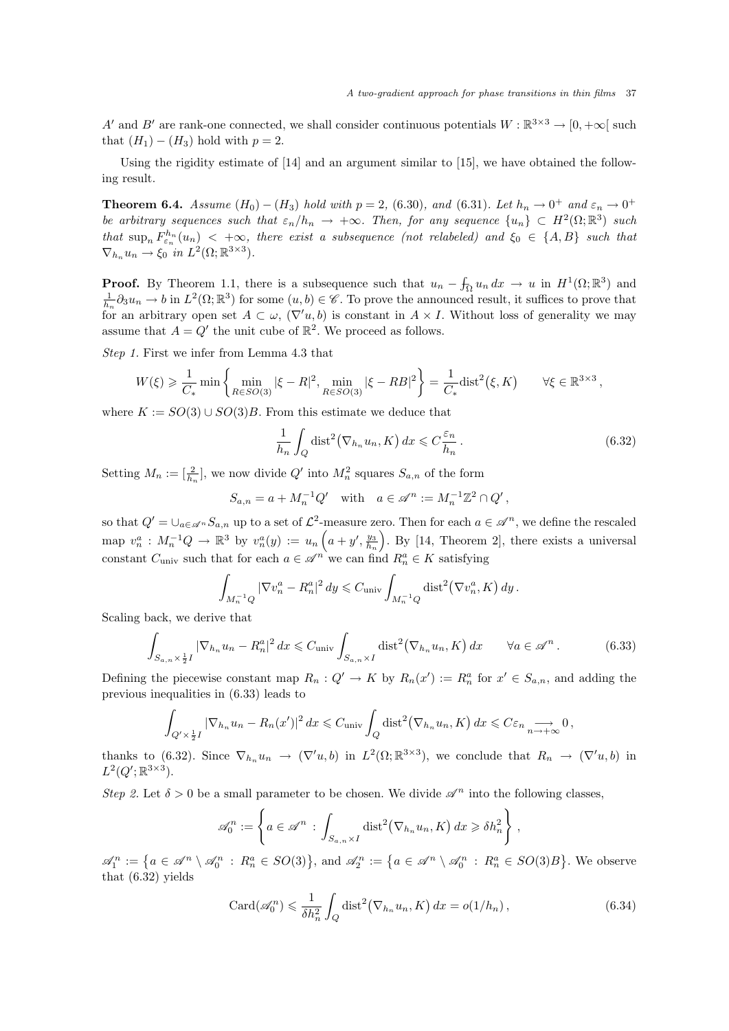A' and B' are rank-one connected, we shall consider continuous potentials  $W : \mathbb{R}^{3 \times 3} \to [0, +\infty[$  such that  $(H_1) - (H_3)$  hold with  $p = 2$ .

Using the rigidity estimate of [14] and an argument similar to [15], we have obtained the following result.

**Theorem 6.4.** Assume  $(H_0) - (H_3)$  hold with  $p = 2$ , (6.30), and (6.31). Let  $h_n \to 0^+$  and  $\varepsilon_n \to 0^+$ be arbitrary sequences such that  $\varepsilon_n/h_n \to +\infty$ . Then, for any sequence  $\{u_n\} \subset H^2(\Omega;\mathbb{R}^3)$  such that  $\sup_n F_{\varepsilon_n}^{h_n}(u_n) < +\infty$ , there exist a subsequence (not relabeled) and  $\xi_0 \in \{A, B\}$  such that  $\nabla_{h_n} u_n \to \xi_0 \text{ in } L^2(\Omega; \mathbb{R}^{3 \times 3}).$ 

**Proof.** By Theorem 1.1, there is a subsequence such that  $u_n - \int_{\Omega} u_n dx \to u$  in  $H^1(\Omega; \mathbb{R}^3)$  and  $\frac{1}{h_n}\partial_3 u_n \to b$  in  $L^2(\Omega;\mathbb{R}^3)$  for some  $(u, b) \in \mathscr{C}$ . To prove the announced result, it suffices to prove that for an arbitrary open set  $A \subset \omega$ ,  $(\nabla' u, b)$  is constant in  $A \times I$ . Without loss of generality we may assume that  $A = Q'$  the unit cube of  $\mathbb{R}^2$ . We proceed as follows.

Step 1. First we infer from Lemma 4.3 that

$$
W(\xi) \ge \frac{1}{C_*} \min \left\{ \min_{R \in SO(3)} |\xi - R|^2, \min_{R \in SO(3)} |\xi - RB|^2 \right\} = \frac{1}{C_*} \text{dist}^2(\xi, K) \qquad \forall \xi \in \mathbb{R}^{3 \times 3},
$$

where  $K := SO(3) \cup SO(3)B$ . From this estimate we deduce that

$$
\frac{1}{h_n} \int_Q \text{dist}^2(\nabla_{h_n} u_n, K) \, dx \leqslant C \frac{\varepsilon_n}{h_n} \,. \tag{6.32}
$$

Setting  $M_n := \left[\frac{2}{h_n}\right]$ , we now divide  $Q'$  into  $M_n^2$  squares  $S_{a,n}$  of the form

$$
S_{a,n} = a + M_n^{-1}Q'
$$
 with  $a \in \mathscr{A}^n := M_n^{-1}\mathbb{Z}^2 \cap Q'$ ,

so that  $Q' = \bigcup_{a \in \mathscr{A}^n} S_{a,n}$  up to a set of  $\mathcal{L}^2$ -measure zero. Then for each  $a \in \mathscr{A}^n$ , we define the rescaled map  $v_n^a: M_n^{-1}Q \to \mathbb{R}^3$  by  $v_n^a(y) := u_n\left(a+y', \frac{y_3}{h_n}\right)$ . By [14, Theorem 2], there exists a universal constant  $C_{\text{univ}}$  such that for each  $a \in \mathcal{A}^n$  we can find  $R_n^a \in K$  satisfying

$$
\int_{M_n^{-1}Q} |\nabla v_n^a - R_n^a|^2 dy \leqslant C_{\text{univ}} \int_{M_n^{-1}Q} \text{dist}^2(\nabla v_n^a, K) dy.
$$

Scaling back, we derive that

$$
\int_{S_{a,n}\times\frac{1}{2}I} |\nabla_{h_n} u_n - R_n^a|^2 dx \leqslant C_{\text{univ}} \int_{S_{a,n}\times I} \text{dist}^2(\nabla_{h_n} u_n, K) dx \qquad \forall a \in \mathscr{A}^n. \tag{6.33}
$$

Defining the piecewise constant map  $R_n: Q' \to K$  by  $R_n(x') := R_n^a$  for  $x' \in S_{a,n}$ , and adding the previous inequalities in (6.33) leads to

$$
\int_{Q' \times \frac{1}{2}I} |\nabla_{h_n} u_n - R_n(x')|^2 dx \leq C_{\text{univ}} \int_Q \text{dist}^2(\nabla_{h_n} u_n, K) dx \leq C \varepsilon_n \underset{n \to +\infty}{\longrightarrow} 0,
$$

thanks to (6.32). Since  $\nabla_{h_n} u_n \to (\nabla' u, b)$  in  $L^2(\Omega; \mathbb{R}^{3\times3})$ , we conclude that  $R_n \to (\nabla' u, b)$  in  $L^2(Q';\mathbb{R}^{3\times 3}).$ 

Step 2. Let  $\delta > 0$  be a small parameter to be chosen. We divide  $\mathscr{A}^n$  into the following classes,

$$
\mathscr{A}_0^n := \left\{ a \in \mathscr{A}^n : \int_{S_{a,n} \times I} \text{dist}^2(\nabla_{h_n} u_n, K) \, dx \geq \delta h_n^2 \right\},
$$

 $\mathscr{A}_1^n := \{a \in \mathscr{A}^n \setminus \mathscr{A}_0^n : R_n^a \in SO(3)\},\$ and  $\mathscr{A}_2^n := \{a \in \mathscr{A}^n \setminus \mathscr{A}_0^n : R_n^a \in SO(3)B\}.$  We observe that (6.32) yields

$$
\operatorname{Card}(\mathscr{A}_0^n) \leq \frac{1}{\delta h_n^2} \int_Q \operatorname{dist}^2(\nabla_{h_n} u_n, K) \, dx = o(1/h_n), \tag{6.34}
$$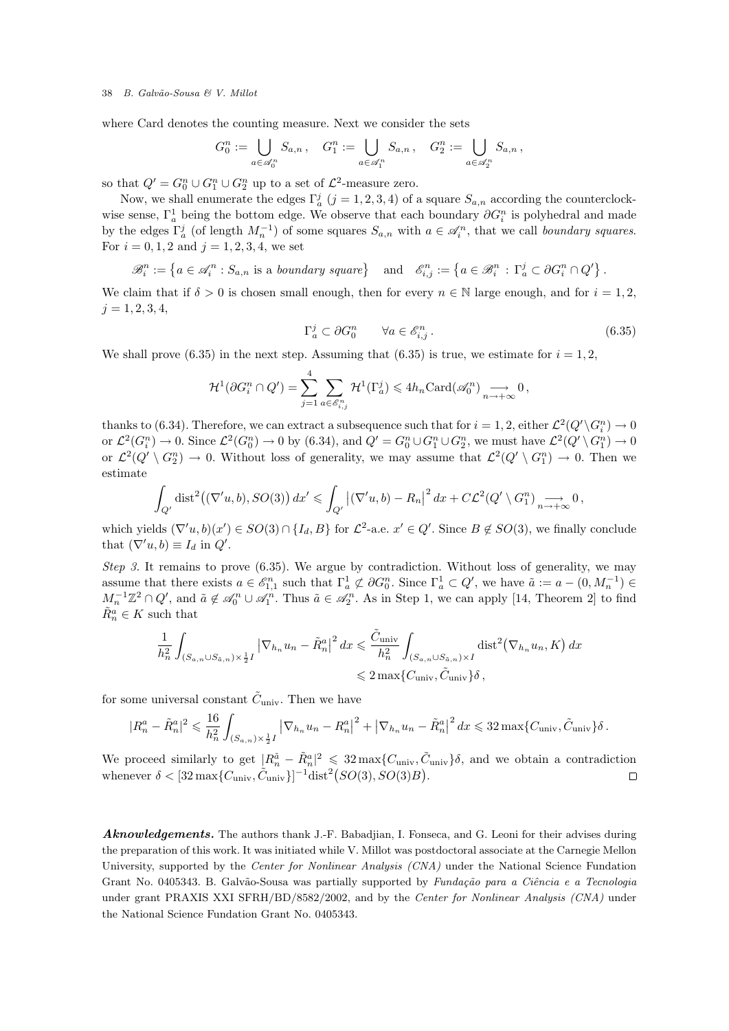where Card denotes the counting measure. Next we consider the sets

$$
G_0^n := \bigcup_{a \in \mathscr{A}_0^n} S_{a,n}, \quad G_1^n := \bigcup_{a \in \mathscr{A}_1^n} S_{a,n}, \quad G_2^n := \bigcup_{a \in \mathscr{A}_2^n} S_{a,n},
$$

so that  $Q' = G_0^n \cup G_1^n \cup G_2^n$  up to a set of  $\mathcal{L}^2$ -measure zero.

Now, we shall enumerate the edges  $\Gamma_a^j$   $(j = 1, 2, 3, 4)$  of a square  $S_{a,n}$  according the counterclockwise sense,  $\Gamma_a^1$  being the bottom edge. We observe that each boundary  $\partial G_i^n$  is polyhedral and made by the edges  $\Gamma_a^j$  (of length  $M_n^{-1}$ ) of some squares  $S_{a,n}$  with  $a \in \mathcal{A}_i^n$ , that we call boundary squares. For  $i = 0, 1, 2$  and  $j = 1, 2, 3, 4$ , we set

$$
\mathscr{B}_i^n := \left\{ a \in \mathscr{A}_i^n : S_{a,n} \text{ is a boundary square} \right\} \quad \text{and} \quad \mathscr{E}_{i,j}^n := \left\{ a \in \mathscr{B}_i^n : \Gamma_a^j \subset \partial G_i^n \cap Q' \right\}.
$$

We claim that if  $\delta > 0$  is chosen small enough, then for every  $n \in \mathbb{N}$  large enough, and for  $i = 1, 2$ ,  $j = 1, 2, 3, 4,$ 

$$
\Gamma_a^j \subset \partial G_0^n \qquad \forall a \in \mathscr{E}_{i,j}^n. \tag{6.35}
$$

We shall prove (6.35) in the next step. Assuming that (6.35) is true, we estimate for  $i = 1, 2$ ,

$$
\mathcal{H}^1(\partial G_i^n \cap Q') = \sum_{j=1}^4 \sum_{a \in \mathscr{E}_{i,j}^n} \mathcal{H}^1(\Gamma_a^j) \leq 4h_n \text{Card}(\mathscr{A}_0^n) \underset{n \to +\infty}{\longrightarrow} 0,
$$

thanks to (6.34). Therefore, we can extract a subsequence such that for  $i = 1, 2$ , either  $\mathcal{L}^2(Q' \setminus G_i^n) \to 0$ or  $\mathcal{L}^2(G_i^n) \to 0$ . Since  $\mathcal{L}^2(G_0^n) \to 0$  by  $(6.34)$ , and  $Q' = G_0^n \cup G_1^n \cup G_2^n$ , we must have  $\mathcal{L}^2(Q' \setminus G_1^n) \to 0$ or  $\mathcal{L}^2(Q' \setminus G_2^n) \to 0$ . Without loss of generality, we may assume that  $\mathcal{L}^2(Q' \setminus G_1^n) \to 0$ . Then we estimate

$$
\int_{Q'} \text{dist}^2((\nabla' u, b), SO(3)) dx' \leq \int_{Q'} |(\nabla' u, b) - R_n|^2 dx + C\mathcal{L}^2(Q' \setminus G_1^n) \underset{n \to +\infty}{\longrightarrow} 0,
$$

which yields  $(\nabla' u, b)(x') \in SO(3) \cap \{I_d, B\}$  for  $\mathcal{L}^2$ -a.e.  $x' \in Q'$ . Since  $B \notin SO(3)$ , we finally conclude that  $(\nabla' u, b) \equiv I_d$  in  $Q'$ .

Step 3. It remains to prove (6.35). We argue by contradiction. Without loss of generality, we may assume that there exists  $a \in \mathscr{E}_{1,1}^n$  such that  $\Gamma_a^1 \not\subset \partial G_0^n$ . Since  $\Gamma_a^1 \subset Q'$ , we have  $\tilde{a} := a - (0, M_n^{-1}) \in$  $M_n^{-1}\mathbb{Z}^2\cap Q'$ , and  $\tilde{a}\notin\mathscr{A}_0^n\cup\mathscr{A}_1^n$ . Thus  $\tilde{a}\in\mathscr{A}_2^n$ . As in Step 1, we can apply [14, Theorem 2] to find  $\tilde{R}^a_n \in K$  such that

$$
\frac{1}{h_n^2} \int_{(S_{a,n}\cup S_{\tilde{a},n})\times\frac{1}{2}I} |\nabla_{h_n} u_n - \tilde{R}_n^a|^2 dx \leq \frac{\tilde{C}_{\text{univ}}}{h_n^2} \int_{(S_{a,n}\cup S_{\tilde{a},n})\times I} \text{dist}^2(\nabla_{h_n} u_n, K) dx
$$
  
 $\leq 2 \max\{C_{\text{univ}}, \tilde{C}_{\text{univ}}\}\delta,$ 

for some universal constant  $\tilde{C}_{\text{univ}}$ . Then we have

$$
|R_n^a - \tilde{R}_n^a|^2 \leq \frac{16}{h_n^2} \int_{(S_{a,n}) \times \frac{1}{2}I} |\nabla_{h_n} u_n - R_n^a|^2 + |\nabla_{h_n} u_n - \tilde{R}_n^a|^2 dx \leq 32 \max\{C_{\text{univ}}, \tilde{C}_{\text{univ}}\}\delta.
$$

We proceed similarly to get  $|R_n^{\tilde{a}} - \tilde{R}_n^a|^2 \leq 32 \max\{C_{\text{univ}}, \tilde{C}_{\text{univ}}\}\delta$ , and we obtain a contradiction whenever  $\delta < [32 \max\{C_{\text{univ}}, \tilde{C}_{\text{univ}}\}]^{-1} \text{dist}^2(SO(3), SO(3)B).$ 

Aknowledgements. The authors thank J.-F. Babadjian, I. Fonseca, and G. Leoni for their advises during the preparation of this work. It was initiated while V. Millot was postdoctoral associate at the Carnegie Mellon University, supported by the Center for Nonlinear Analysis (CNA) under the National Science Fundation Grant No. 0405343. B. Galvão-Sousa was partially supported by *Fundação para a Ciência e a Tecnologia* under grant PRAXIS XXI SFRH/BD/8582/2002, and by the Center for Nonlinear Analysis (CNA) under the National Science Fundation Grant No. 0405343.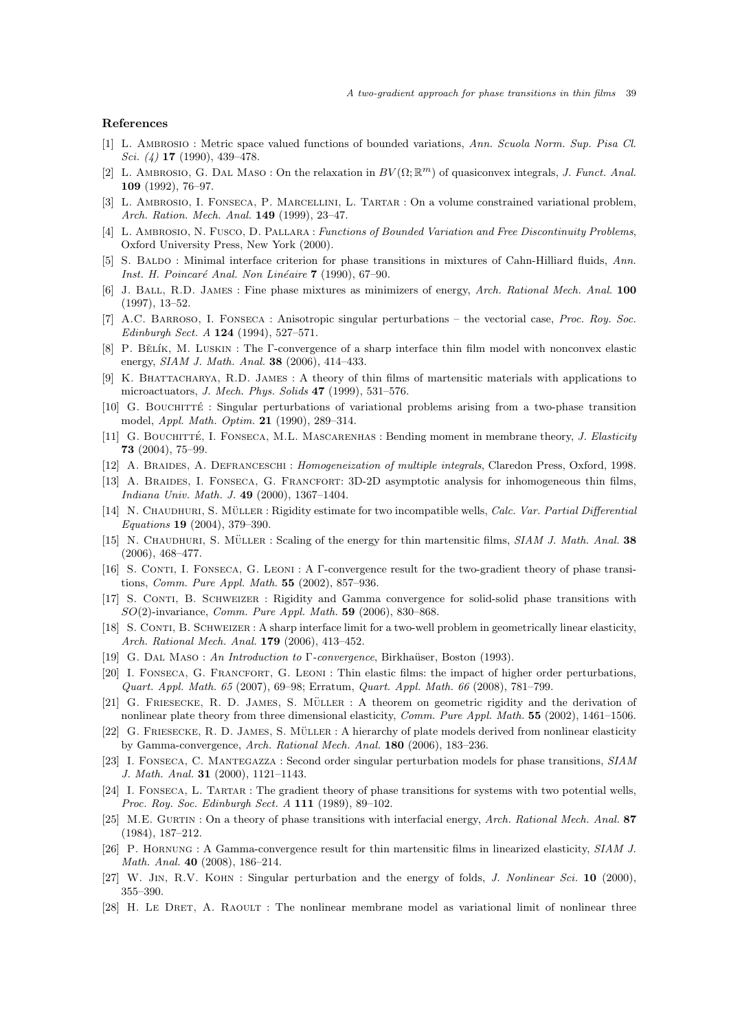#### References

- [1] L. Ambrosio : Metric space valued functions of bounded variations, Ann. Scuola Norm. Sup. Pisa Cl. Sci. (4) 17 (1990), 439–478.
- [2] L. AMBROSIO, G. DAL MASO: On the relaxation in  $BV(\Omega;\mathbb{R}^m)$  of quasiconvex integrals, J. Funct. Anal. 109 (1992), 76–97.
- [3] L. Ambrosio, I. Fonseca, P. Marcellini, L. Tartar : On a volume constrained variational problem, Arch. Ration. Mech. Anal. 149 (1999), 23–47.
- [4] L. AMBROSIO, N. FUSCO, D. PALLARA : Functions of Bounded Variation and Free Discontinuity Problems, Oxford University Press, New York (2000).
- [5] S. Baldo : Minimal interface criterion for phase transitions in mixtures of Cahn-Hilliard fluids, Ann. Inst. H. Poincaré Anal. Non Linéaire  $7$  (1990), 67–90.
- [6] J. BALL, R.D. JAMES : Fine phase mixtures as minimizers of energy, Arch. Rational Mech. Anal. 100 (1997), 13–52.
- [7] A.C. Barroso, I. Fonseca : Anisotropic singular perturbations the vectorial case, Proc. Roy. Soc. Edinburgh Sect. A 124 (1994), 527–571.
- [8] P. BĚLÍK, M. LUSKIN : The Γ-convergence of a sharp interface thin film model with nonconvex elastic energy, SIAM J. Math. Anal. 38 (2006), 414–433.
- [9] K. Bhattacharya, R.D. James : A theory of thin films of martensitic materials with applications to microactuators, J. Mech. Phys. Solids  $47$  (1999), 531–576.
- [10] G. BOUCHITTÉ : Singular perturbations of variational problems arising from a two-phase transition model, Appl. Math. Optim. 21 (1990), 289–314.
- [11] G. BOUCHITTÉ, I. FONSECA, M.L. MASCARENHAS : Bending moment in membrane theory, J. Elasticity 73 (2004), 75–99.
- [12] A. BRAIDES, A. DEFRANCESCHI : Homogeneization of multiple integrals, Claredon Press, Oxford, 1998.
- [13] A. BRAIDES, I. FONSECA, G. FRANCFORT: 3D-2D asymptotic analysis for inhomogeneous thin films, Indiana Univ. Math. J. 49 (2000), 1367–1404.
- [14] N. CHAUDHURI, S. MÜLLER : Rigidity estimate for two incompatible wells, Calc. Var. Partial Differential Equations 19 (2004), 379–390.
- [15] N. CHAUDHURI, S. MÜLLER : Scaling of the energy for thin martensitic films, SIAM J. Math. Anal. 38 (2006), 468–477.
- [16] S. CONTI, I. FONSECA, G. LEONI : A Γ-convergence result for the two-gradient theory of phase transitions, Comm. Pure Appl. Math. 55 (2002), 857–936.
- [17] S. Conti, B. Schweizer : Rigidity and Gamma convergence for solid-solid phase transitions with SO(2)-invariance, Comm. Pure Appl. Math. 59 (2006), 830–868.
- [18] S. CONTI, B. SCHWEIZER : A sharp interface limit for a two-well problem in geometrically linear elasticity, Arch. Rational Mech. Anal. 179 (2006), 413–452.
- [19] G. DAL MASO : An Introduction to Γ-convergence, Birkhaüser, Boston (1993).
- [20] I. FONSECA, G. FRANCFORT, G. LEONI : Thin elastic films: the impact of higher order perturbations, Quart. Appl. Math. 65 (2007), 69–98; Erratum, Quart. Appl. Math. 66 (2008), 781–799.
- [21] G. FRIESECKE, R. D. JAMES, S. MÜLLER : A theorem on geometric rigidity and the derivation of nonlinear plate theory from three dimensional elasticity, Comm. Pure Appl. Math. 55 (2002), 1461-1506.
- [22] G. FRIESECKE, R. D. JAMES, S. MÜLLER : A hierarchy of plate models derived from nonlinear elasticity by Gamma-convergence, Arch. Rational Mech. Anal. 180 (2006), 183–236.
- [23] I. Fonseca, C. Mantegazza : Second order singular perturbation models for phase transitions, SIAM J. Math. Anal. 31 (2000), 1121–1143.
- [24] I. Fonseca, L. Tartar : The gradient theory of phase transitions for systems with two potential wells, Proc. Roy. Soc. Edinburgh Sect. A 111 (1989), 89–102.
- [25] M.E. GURTIN : On a theory of phase transitions with interfacial energy, Arch. Rational Mech. Anal. 87 (1984), 187–212.
- [26] P. Hornung : A Gamma-convergence result for thin martensitic films in linearized elasticity, SIAM J. Math. Anal. 40 (2008), 186–214.
- [27] W. JIN, R.V. KOHN : Singular perturbation and the energy of folds, *J. Nonlinear Sci.* 10 (2000), 355–390.
- [28] H. Le DRET, A. RAOULT : The nonlinear membrane model as variational limit of nonlinear three